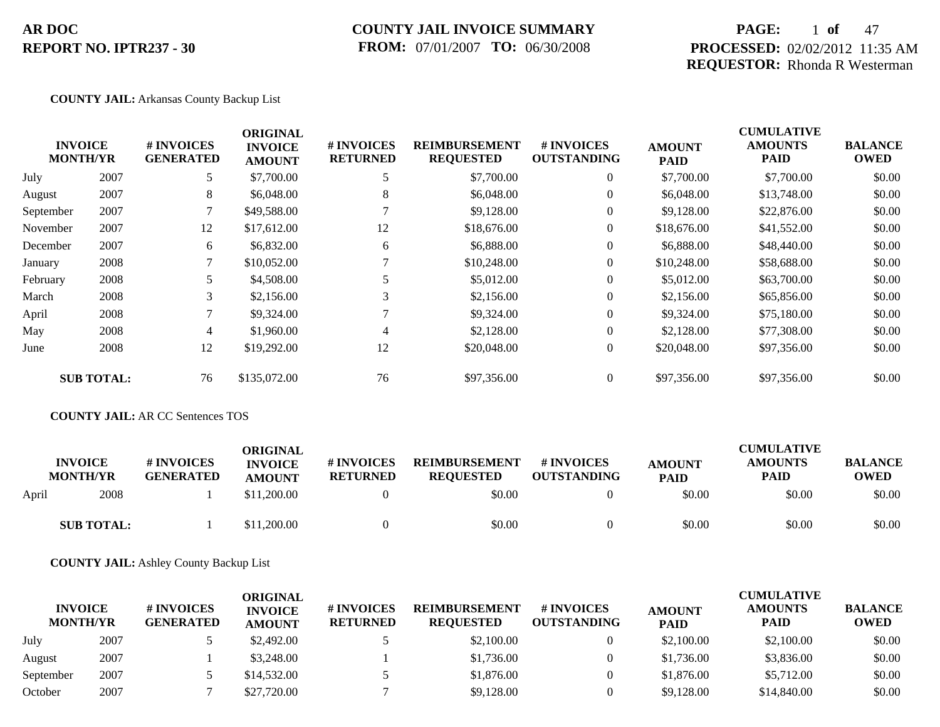### **COUNTY JAIL INVOICE SUMMARY FROM:** 07/01/2007 **TO:** 06/30/2008

### **PAGE:** 1 **of** 47 **PROCESSED:** 02/02/2012 11:35 AM **REQUESTOR:** Rhonda R Westerman

#### **COUNTY JAIL:** Arkansas County Backup List

|           |                                   |                                | <b>ORIGINAL</b>                 |                               |                                          |                                  |                              | <b>CUMULATIVE</b>      |                               |
|-----------|-----------------------------------|--------------------------------|---------------------------------|-------------------------------|------------------------------------------|----------------------------------|------------------------------|------------------------|-------------------------------|
|           | <b>INVOICE</b><br><b>MONTH/YR</b> | # INVOICES<br><b>GENERATED</b> | <b>INVOICE</b><br><b>AMOUNT</b> | # INVOICES<br><b>RETURNED</b> | <b>REIMBURSEMENT</b><br><b>REQUESTED</b> | # INVOICES<br><b>OUTSTANDING</b> | <b>AMOUNT</b><br><b>PAID</b> | <b>AMOUNTS</b><br>PAID | <b>BALANCE</b><br><b>OWED</b> |
| July      | 2007                              | 5                              | \$7,700.00                      |                               | \$7,700.00                               | $\overline{0}$                   | \$7,700.00                   | \$7,700.00             | \$0.00                        |
| August    | 2007                              | 8                              | \$6,048.00                      | 8                             | \$6,048.00                               | $\overline{0}$                   | \$6,048.00                   | \$13,748.00            | \$0.00                        |
| September | 2007                              |                                | \$49,588.00                     |                               | \$9,128.00                               | $\overline{0}$                   | \$9,128.00                   | \$22,876.00            | \$0.00                        |
| November  | 2007                              | 12                             | \$17,612.00                     | 12                            | \$18,676.00                              | $\overline{0}$                   | \$18,676.00                  | \$41,552.00            | \$0.00                        |
| December  | 2007                              | 6                              | \$6,832.00                      | 6                             | \$6,888.00                               | $\overline{0}$                   | \$6,888.00                   | \$48,440.00            | \$0.00                        |
| January   | 2008                              |                                | \$10,052.00                     |                               | \$10,248.00                              | $\overline{0}$                   | \$10,248.00                  | \$58,688.00            | \$0.00                        |
| February  | 2008                              | 5                              | \$4,508.00                      | 5                             | \$5,012.00                               | $\overline{0}$                   | \$5,012.00                   | \$63,700.00            | \$0.00                        |
| March     | 2008                              | 3                              | \$2,156.00                      | 3                             | \$2,156.00                               | $\overline{0}$                   | \$2,156.00                   | \$65,856.00            | \$0.00                        |
| April     | 2008                              |                                | \$9,324.00                      |                               | \$9,324.00                               | $\overline{0}$                   | \$9,324.00                   | \$75,180.00            | \$0.00                        |
| May       | 2008                              | 4                              | \$1,960.00                      | 4                             | \$2,128.00                               | $\overline{0}$                   | \$2,128.00                   | \$77,308.00            | \$0.00                        |
| June      | 2008                              | 12                             | \$19,292.00                     | 12                            | \$20,048.00                              | $\overline{0}$                   | \$20,048.00                  | \$97,356.00            | \$0.00                        |
|           | <b>SUB TOTAL:</b>                 | 76                             | \$135,072.00                    | 76                            | \$97,356.00                              | $\overline{0}$                   | \$97,356.00                  | \$97,356.00            | \$0.00                        |

### **COUNTY JAIL:** AR CC Sentences TOS

| <b>INVOICE</b><br><b>MONTH/YR</b> | <b># INVOICES</b><br><b>GENERATED</b> | ORIGINAL<br><b>INVOICE</b><br><b>AMOUNT</b> | <b># INVOICES</b><br><b>RETURNED</b> | <b>REIMBURSEMENT</b><br><b>REQUESTED</b> | <b>#INVOICES</b><br><b>OUTSTANDING</b> | <b>AMOUNT</b><br><b>PAID</b> | <b>CUMULATIVE</b><br><b>AMOUNTS</b><br>PAID | <b>BALANCE</b><br><b>OWED</b> |
|-----------------------------------|---------------------------------------|---------------------------------------------|--------------------------------------|------------------------------------------|----------------------------------------|------------------------------|---------------------------------------------|-------------------------------|
| 2008<br>April                     |                                       | \$11,200.00                                 |                                      | \$0.00                                   |                                        | \$0.00                       | \$0.00                                      | \$0.00                        |
| <b>SUB TOTAL:</b>                 |                                       | \$11,200.00                                 |                                      | \$0.00                                   |                                        | \$0.00                       | \$0.00                                      | \$0.00                        |

**COUNTY JAIL:** Ashley County Backup List

| <b>INVOICE</b><br><b>MONTH/YR</b> |      | # INVOICES<br><b>GENERATED</b> | ORIGINAL<br><b>INVOICE</b><br><b>AMOUNT</b> | <b>#INVOICES</b><br><b>RETURNED</b> | <b>REIMBURSEMENT</b><br><b>REOUESTED</b> | <b>#INVOICES</b><br><b>OUTSTANDING</b> | <b>AMOUNT</b><br><b>PAID</b> | <b>CUMULATIVE</b><br><b>AMOUNTS</b><br><b>PAID</b> | <b>BALANCE</b><br><b>OWED</b> |
|-----------------------------------|------|--------------------------------|---------------------------------------------|-------------------------------------|------------------------------------------|----------------------------------------|------------------------------|----------------------------------------------------|-------------------------------|
| July                              | 2007 |                                | \$2,492.00                                  |                                     | \$2,100.00                               |                                        | \$2,100.00                   | \$2,100.00                                         | \$0.00                        |
| August                            | 2007 |                                | \$3,248,00                                  |                                     | \$1,736.00                               |                                        | \$1,736.00                   | \$3,836.00                                         | \$0.00                        |
| September                         | 2007 |                                | \$14,532.00                                 |                                     | \$1,876.00                               |                                        | \$1,876.00                   | \$5,712.00                                         | \$0.00                        |
| October                           | 2007 |                                | \$27,720.00                                 |                                     | \$9,128,00                               |                                        | \$9,128,00                   | \$14,840.00                                        | \$0.00                        |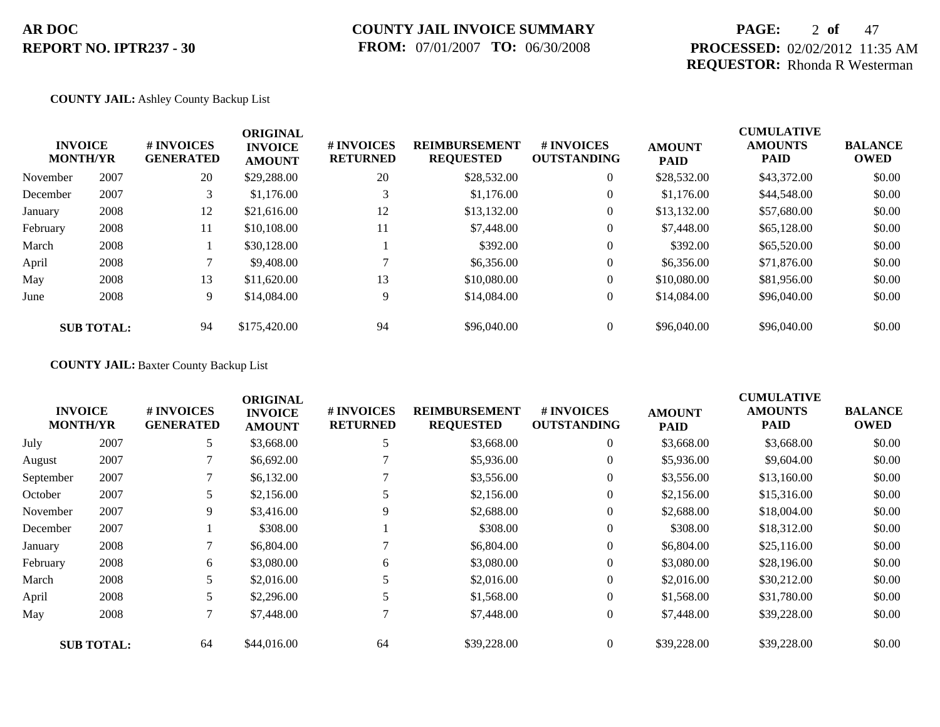### **PAGE:** 2 **of** 47 **PROCESSED:** 02/02/2012 11:35 AM **REQUESTOR:** Rhonda R Westerman

#### **COUNTY JAIL:** Ashley County Backup List

|          | <b>INVOICE</b><br><b>MONTH/YR</b> | # INVOICES<br><b>GENERATED</b> | <b>ORIGINAL</b><br><b>INVOICE</b><br><b>AMOUNT</b> | # INVOICES<br><b>RETURNED</b> | <b>REIMBURSEMENT</b><br><b>REQUESTED</b> | <b>#INVOICES</b><br><b>OUTSTANDING</b> | <b>AMOUNT</b><br><b>PAID</b> | <b>CUMULATIVE</b><br><b>AMOUNTS</b><br><b>PAID</b> | <b>BALANCE</b><br><b>OWED</b> |
|----------|-----------------------------------|--------------------------------|----------------------------------------------------|-------------------------------|------------------------------------------|----------------------------------------|------------------------------|----------------------------------------------------|-------------------------------|
| November | 2007                              | 20                             | \$29,288.00                                        | 20                            | \$28,532.00                              | $\overline{0}$                         | \$28,532.00                  | \$43,372.00                                        | \$0.00                        |
| December | 2007                              | 3                              | \$1,176.00                                         |                               | \$1,176.00                               | $\overline{0}$                         | \$1,176.00                   | \$44,548.00                                        | \$0.00                        |
| January  | 2008                              | 12                             | \$21,616.00                                        | 12                            | \$13,132.00                              | $\overline{0}$                         | \$13,132.00                  | \$57,680.00                                        | \$0.00                        |
| February | 2008                              | 11                             | \$10,108.00                                        | 11                            | \$7,448.00                               | $\overline{0}$                         | \$7,448.00                   | \$65,128.00                                        | \$0.00                        |
| March    | 2008                              |                                | \$30,128.00                                        |                               | \$392.00                                 | $\overline{0}$                         | \$392.00                     | \$65,520.00                                        | \$0.00                        |
| April    | 2008                              |                                | \$9,408.00                                         |                               | \$6,356.00                               | $\overline{0}$                         | \$6,356.00                   | \$71,876.00                                        | \$0.00                        |
| May      | 2008                              | 13                             | \$11,620.00                                        | 13                            | \$10,080.00                              | $\overline{0}$                         | \$10,080.00                  | \$81,956.00                                        | \$0.00                        |
| June     | 2008                              | 9                              | \$14,084.00                                        | 9                             | \$14,084.00                              | $\overline{0}$                         | \$14,084.00                  | \$96,040.00                                        | \$0.00                        |
|          | <b>SUB TOTAL:</b>                 | 94                             | \$175,420.00                                       | 94                            | \$96,040.00                              | $\Omega$                               | \$96,040.00                  | \$96,040.00                                        | \$0.00                        |

### **COUNTY JAIL:** Baxter County Backup List

|           |                                   |                                | <b>ORIGINAL</b>                 |                               |                                          |                                         |                              | <b>CUMULATIVE</b>             |                               |
|-----------|-----------------------------------|--------------------------------|---------------------------------|-------------------------------|------------------------------------------|-----------------------------------------|------------------------------|-------------------------------|-------------------------------|
|           | <b>INVOICE</b><br><b>MONTH/YR</b> | # INVOICES<br><b>GENERATED</b> | <b>INVOICE</b><br><b>AMOUNT</b> | # INVOICES<br><b>RETURNED</b> | <b>REIMBURSEMENT</b><br><b>REQUESTED</b> | <b># INVOICES</b><br><b>OUTSTANDING</b> | <b>AMOUNT</b><br><b>PAID</b> | <b>AMOUNTS</b><br><b>PAID</b> | <b>BALANCE</b><br><b>OWED</b> |
| July      | 2007                              | 5                              | \$3,668.00                      |                               | \$3,668.00                               | $\overline{0}$                          | \$3,668.00                   | \$3,668.00                    | \$0.00                        |
| August    | 2007                              |                                | \$6,692.00                      |                               | \$5,936.00                               | 0                                       | \$5,936.00                   | \$9,604.00                    | \$0.00                        |
| September | 2007                              |                                | \$6,132.00                      |                               | \$3,556.00                               | $\overline{0}$                          | \$3,556.00                   | \$13,160.00                   | \$0.00                        |
| October   | 2007                              |                                | \$2,156.00                      |                               | \$2,156.00                               | $\overline{0}$                          | \$2,156.00                   | \$15,316.00                   | \$0.00                        |
| November  | 2007                              | 9                              | \$3,416.00                      | 9                             | \$2,688.00                               | $\overline{0}$                          | \$2,688.00                   | \$18,004.00                   | \$0.00                        |
| December  | 2007                              |                                | \$308.00                        |                               | \$308.00                                 | $\overline{0}$                          | \$308.00                     | \$18,312.00                   | \$0.00                        |
| January   | 2008                              |                                | \$6,804.00                      |                               | \$6,804.00                               | $\overline{0}$                          | \$6,804.00                   | \$25,116.00                   | \$0.00                        |
| February  | 2008                              | 6                              | \$3,080.00                      | 6                             | \$3,080.00                               | $\overline{0}$                          | \$3,080.00                   | \$28,196.00                   | \$0.00                        |
| March     | 2008                              |                                | \$2,016.00                      |                               | \$2,016.00                               | $\overline{0}$                          | \$2,016.00                   | \$30,212.00                   | \$0.00                        |
| April     | 2008                              | 5                              | \$2,296.00                      |                               | \$1,568.00                               | $\overline{0}$                          | \$1,568.00                   | \$31,780.00                   | \$0.00                        |
| May       | 2008                              | 7                              | \$7,448.00                      |                               | \$7,448.00                               | $\overline{0}$                          | \$7,448.00                   | \$39,228.00                   | \$0.00                        |
|           | <b>SUB TOTAL:</b>                 | 64                             | \$44,016.00                     | 64                            | \$39,228.00                              | $\Omega$                                | \$39,228.00                  | \$39,228.00                   | \$0.00                        |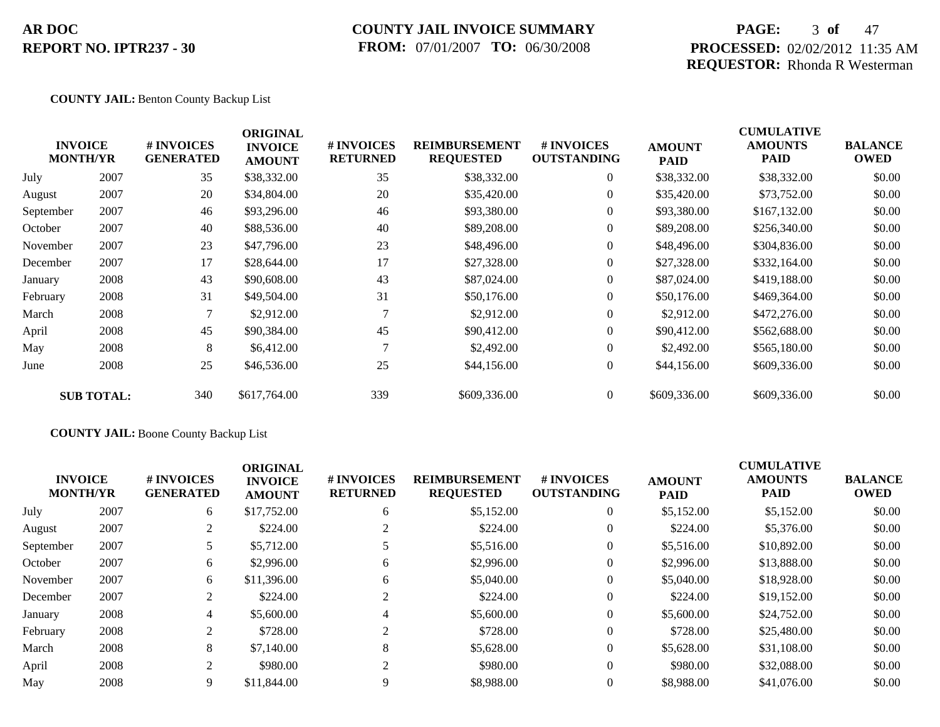### **COUNTY JAIL INVOICE SUMMARY FROM:** 07/01/2007 **TO:** 06/30/2008

### **PAGE:** 3 **of** 47 **PROCESSED:** 02/02/2012 11:35 AM **REQUESTOR:** Rhonda R Westerman

#### **COUNTY JAIL:** Benton County Backup List

| <b>MONTH/YR</b> | <b>INVOICE</b>    | # INVOICES<br><b>GENERATED</b> | <b>ORIGINAL</b><br><b>INVOICE</b><br><b>AMOUNT</b> | # INVOICES<br><b>RETURNED</b> | <b>REIMBURSEMENT</b><br><b>REQUESTED</b> | <b>#INVOICES</b><br><b>OUTSTANDING</b> | <b>AMOUNT</b><br><b>PAID</b> | <b>CUMULATIVE</b><br><b>AMOUNTS</b><br>PAID | <b>BALANCE</b><br><b>OWED</b> |
|-----------------|-------------------|--------------------------------|----------------------------------------------------|-------------------------------|------------------------------------------|----------------------------------------|------------------------------|---------------------------------------------|-------------------------------|
| July            | 2007              | 35                             | \$38,332.00                                        | 35                            | \$38,332.00                              | $\overline{0}$                         | \$38,332.00                  | \$38,332.00                                 | \$0.00                        |
| August          | 2007              | 20                             | \$34,804.00                                        | 20                            | \$35,420.00                              | $\overline{0}$                         | \$35,420.00                  | \$73,752.00                                 | \$0.00                        |
| September       | 2007              | 46                             | \$93,296.00                                        | 46                            | \$93,380.00                              | $\overline{0}$                         | \$93,380.00                  | \$167,132.00                                | \$0.00                        |
| October         | 2007              | 40                             | \$88,536.00                                        | 40                            | \$89,208.00                              | $\overline{0}$                         | \$89,208.00                  | \$256,340.00                                | \$0.00                        |
| November        | 2007              | 23                             | \$47,796.00                                        | 23                            | \$48,496.00                              | $\overline{0}$                         | \$48,496.00                  | \$304,836.00                                | \$0.00                        |
| December        | 2007              | 17                             | \$28,644.00                                        | 17                            | \$27,328.00                              | $\overline{0}$                         | \$27,328.00                  | \$332,164.00                                | \$0.00                        |
| January         | 2008              | 43                             | \$90,608.00                                        | 43                            | \$87,024.00                              | $\overline{0}$                         | \$87,024.00                  | \$419,188.00                                | \$0.00                        |
| February        | 2008              | 31                             | \$49,504.00                                        | 31                            | \$50,176.00                              | $\overline{0}$                         | \$50,176.00                  | \$469,364.00                                | \$0.00                        |
| March           | 2008              |                                | \$2,912.00                                         |                               | \$2,912.00                               | $\overline{0}$                         | \$2,912.00                   | \$472,276.00                                | \$0.00                        |
| April           | 2008              | 45                             | \$90,384.00                                        | 45                            | \$90,412.00                              | $\overline{0}$                         | \$90,412.00                  | \$562,688.00                                | \$0.00                        |
| May             | 2008              | 8                              | \$6,412.00                                         | $\mathbf{\tau}$               | \$2,492.00                               | $\overline{0}$                         | \$2,492.00                   | \$565,180.00                                | \$0.00                        |
| June            | 2008              | 25                             | \$46,536.00                                        | 25                            | \$44,156.00                              | $\boldsymbol{0}$                       | \$44,156.00                  | \$609,336.00                                | \$0.00                        |
|                 | <b>SUB TOTAL:</b> | 340                            | \$617,764.00                                       | 339                           | \$609,336.00                             | $\overline{0}$                         | \$609,336.00                 | \$609,336.00                                | \$0.00                        |

### **COUNTY JAIL:** Boone County Backup List

| <b>INVOICE</b><br><b>MONTH/YR</b> |      | # INVOICES<br><b>GENERATED</b> | <b>ORIGINAL</b><br><b>INVOICE</b><br><b>AMOUNT</b> | # INVOICES<br><b>RETURNED</b> | <b>REIMBURSEMENT</b><br><b>REQUESTED</b> | <b>#INVOICES</b><br><b>OUTSTANDING</b> | <b>AMOUNT</b><br><b>PAID</b> | <b>CUMULATIVE</b><br><b>AMOUNTS</b><br><b>PAID</b> | <b>BALANCE</b><br><b>OWED</b> |
|-----------------------------------|------|--------------------------------|----------------------------------------------------|-------------------------------|------------------------------------------|----------------------------------------|------------------------------|----------------------------------------------------|-------------------------------|
| July                              | 2007 | 6                              | \$17,752.00                                        | 6                             | \$5,152.00                               | $\overline{0}$                         | \$5,152.00                   | \$5,152.00                                         | \$0.00                        |
| August                            | 2007 | 2                              | \$224.00                                           |                               | \$224.00                                 | $\overline{0}$                         | \$224.00                     | \$5,376.00                                         | \$0.00                        |
| September                         | 2007 |                                | \$5,712.00                                         |                               | \$5,516.00                               | $\overline{0}$                         | \$5,516.00                   | \$10,892.00                                        | \$0.00                        |
| October                           | 2007 | 6                              | \$2,996.00                                         | 6                             | \$2,996.00                               | $\overline{0}$                         | \$2,996.00                   | \$13,888.00                                        | \$0.00                        |
| November                          | 2007 | 6                              | \$11,396.00                                        | 6                             | \$5,040.00                               | $\overline{0}$                         | \$5,040.00                   | \$18,928.00                                        | \$0.00                        |
| December                          | 2007 | 2                              | \$224.00                                           |                               | \$224.00                                 | $\overline{0}$                         | \$224.00                     | \$19,152.00                                        | \$0.00                        |
| January                           | 2008 | $\overline{4}$                 | \$5,600.00                                         |                               | \$5,600.00                               | $\overline{0}$                         | \$5,600.00                   | \$24,752.00                                        | \$0.00                        |
| February                          | 2008 | 2                              | \$728.00                                           | $\sim$                        | \$728.00                                 | $\overline{0}$                         | \$728.00                     | \$25,480.00                                        | \$0.00                        |
| March                             | 2008 | 8                              | \$7,140.00                                         | 8                             | \$5,628.00                               | $\overline{0}$                         | \$5,628.00                   | \$31,108.00                                        | \$0.00                        |
| April                             | 2008 | 2                              | \$980.00                                           | 2                             | \$980.00                                 | $\theta$                               | \$980.00                     | \$32,088.00                                        | \$0.00                        |
| May                               | 2008 | 9                              | \$11,844.00                                        |                               | \$8,988.00                               | $\overline{0}$                         | \$8,988.00                   | \$41,076.00                                        | \$0.00                        |
|                                   |      |                                |                                                    |                               |                                          |                                        |                              |                                                    |                               |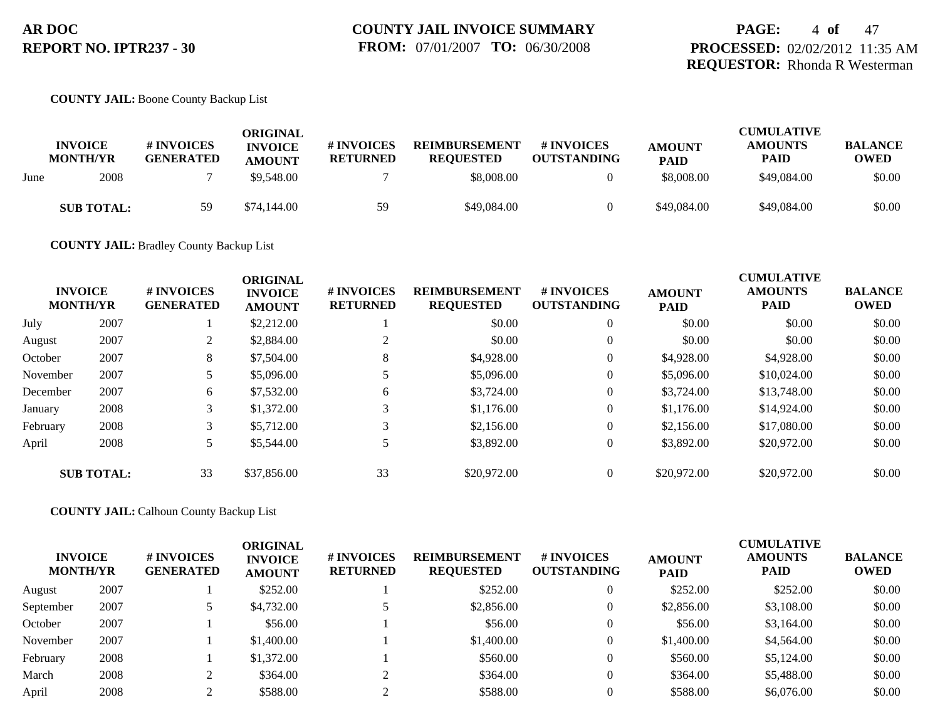#### **COUNTY JAIL:** Boone County Backup List

|      | <b>INVOICE</b><br><b>MONTH/YR</b> | # INVOICES<br><b>GENERATED</b> | ORIGINAL<br><b>INVOICE</b><br><b>AMOUNT</b> | # INVOICES<br><b>RETURNED</b> | <b>REIMBURSEMENT</b><br><b>REOUESTED</b> | # INVOICES<br><b>OUTSTANDING</b> | <b>AMOUNT</b><br><b>PAID</b> | <b>CUMULATIVE</b><br><b>AMOUNTS</b><br>PAID | <b>BALANCE</b><br>OWED |
|------|-----------------------------------|--------------------------------|---------------------------------------------|-------------------------------|------------------------------------------|----------------------------------|------------------------------|---------------------------------------------|------------------------|
| June | 2008                              |                                | \$9,548.00                                  |                               | \$8,008.00                               |                                  | \$8,008.00                   | \$49,084.00                                 | \$0.00                 |
|      | <b>SUB TOTAL:</b>                 | 59                             | \$74,144.00                                 | 59                            | \$49,084.00                              |                                  | \$49,084.00                  | \$49,084.00                                 | \$0.00                 |

**COUNTY JAIL:** Bradley County Backup List

| <b>INVOICE</b><br><b>MONTH/YR</b> |                   | <b>#INVOICES</b><br><b>GENERATED</b> | <b>ORIGINAL</b><br><b>INVOICE</b><br><b>AMOUNT</b> | # INVOICES<br><b>RETURNED</b> | <b>REIMBURSEMENT</b><br><b>REQUESTED</b> | <b>#INVOICES</b><br><b>OUTSTANDING</b> | <b>AMOUNT</b><br><b>PAID</b> | <b>CUMULATIVE</b><br><b>AMOUNTS</b><br><b>PAID</b> | <b>BALANCE</b><br><b>OWED</b> |
|-----------------------------------|-------------------|--------------------------------------|----------------------------------------------------|-------------------------------|------------------------------------------|----------------------------------------|------------------------------|----------------------------------------------------|-------------------------------|
| July                              | 2007              |                                      | \$2,212.00                                         |                               | \$0.00                                   | $\overline{0}$                         | \$0.00                       | \$0.00                                             | \$0.00                        |
| August                            | 2007              | $\mathcal{L}$                        | \$2,884.00                                         |                               | \$0.00                                   | $\theta$                               | \$0.00                       | \$0.00                                             | \$0.00                        |
| October                           | 2007              | 8                                    | \$7,504.00                                         | 8                             | \$4,928.00                               | $\overline{0}$                         | \$4,928.00                   | \$4,928.00                                         | \$0.00                        |
| November                          | 2007              |                                      | \$5,096.00                                         |                               | \$5,096.00                               | $\overline{0}$                         | \$5,096.00                   | \$10,024.00                                        | \$0.00                        |
| December                          | 2007              | 6                                    | \$7,532.00                                         | 6                             | \$3,724.00                               | $\overline{0}$                         | \$3,724.00                   | \$13,748.00                                        | \$0.00                        |
| January                           | 2008              | 3                                    | \$1,372.00                                         |                               | \$1,176.00                               | $\overline{0}$                         | \$1,176.00                   | \$14,924.00                                        | \$0.00                        |
| February                          | 2008              | 3                                    | \$5,712.00                                         |                               | \$2,156.00                               | $\overline{0}$                         | \$2,156.00                   | \$17,080.00                                        | \$0.00                        |
| April                             | 2008              |                                      | \$5,544.00                                         |                               | \$3,892.00                               | $\overline{0}$                         | \$3,892.00                   | \$20,972.00                                        | \$0.00                        |
|                                   | <b>SUB TOTAL:</b> | 33                                   | \$37,856.00                                        | 33                            | \$20,972.00                              | $\overline{0}$                         | \$20,972.00                  | \$20,972.00                                        | \$0.00                        |

**COUNTY JAIL:** Calhoun County Backup List

| <b>INVOICE</b><br><b>MONTH/YR</b> |      | # INVOICES<br><b>GENERATED</b> | <b>ORIGINAL</b><br><b>INVOICE</b><br><b>AMOUNT</b> | # INVOICES<br><b>RETURNED</b> | <b>REIMBURSEMENT</b><br><b>REQUESTED</b> | <b># INVOICES</b><br><b>OUTSTANDING</b> | <b>AMOUNT</b><br><b>PAID</b> | <b>CUMULATIVE</b><br><b>AMOUNTS</b><br>PAID | <b>BALANCE</b><br><b>OWED</b> |
|-----------------------------------|------|--------------------------------|----------------------------------------------------|-------------------------------|------------------------------------------|-----------------------------------------|------------------------------|---------------------------------------------|-------------------------------|
| August                            | 2007 |                                | \$252.00                                           |                               | \$252.00                                 | $\overline{0}$                          | \$252.00                     | \$252.00                                    | \$0.00                        |
| September                         | 2007 |                                | \$4,732.00                                         |                               | \$2,856.00                               | 0                                       | \$2,856.00                   | \$3,108.00                                  | \$0.00                        |
| October                           | 2007 |                                | \$56.00                                            |                               | \$56.00                                  | $\overline{0}$                          | \$56.00                      | \$3,164.00                                  | \$0.00                        |
| November                          | 2007 |                                | \$1,400.00                                         |                               | \$1,400.00                               | $\overline{0}$                          | \$1,400.00                   | \$4,564.00                                  | \$0.00                        |
| February                          | 2008 |                                | \$1,372.00                                         |                               | \$560.00                                 | $\overline{0}$                          | \$560.00                     | \$5,124.00                                  | \$0.00                        |
| March                             | 2008 |                                | \$364.00                                           |                               | \$364.00                                 | $\overline{0}$                          | \$364.00                     | \$5,488.00                                  | \$0.00                        |
| April                             | 2008 |                                | \$588.00                                           |                               | \$588.00                                 |                                         | \$588.00                     | \$6,076.00                                  | \$0.00                        |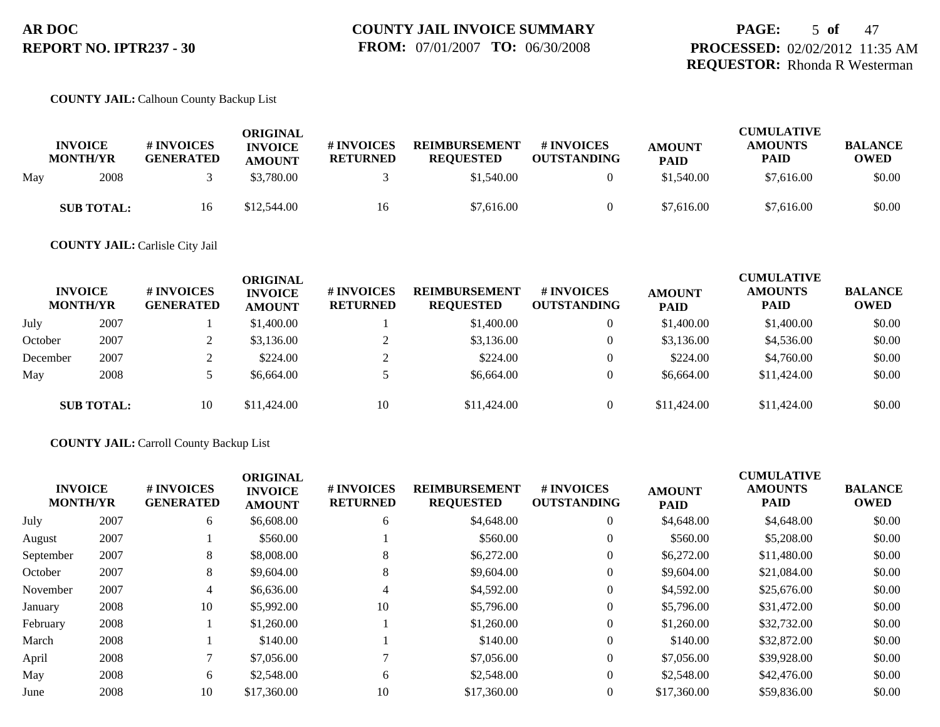### **PAGE:** 5 **of** 47 **PROCESSED:** 02/02/2012 11:35 AM **REQUESTOR:** Rhonda R Westerman

#### **COUNTY JAIL:** Calhoun County Backup List

|     | <b>INVOICE</b><br><b>MONTH/YR</b> | # INVOICES<br><b>GENERATED</b> | ORIGINAL<br><b>INVOICE</b><br><b>AMOUNT</b> | <b>#INVOICES</b><br><b>RETURNED</b> | <b>REIMBURSEMENT</b><br><b>REQUESTED</b> | <b>#INVOICES</b><br><b>OUTSTANDING</b> | <b>AMOUNT</b><br><b>PAID</b> | <b>CUMULATIVE</b><br><b>AMOUNTS</b><br><b>PAID</b> | <b>BALANCE</b><br>OWED |
|-----|-----------------------------------|--------------------------------|---------------------------------------------|-------------------------------------|------------------------------------------|----------------------------------------|------------------------------|----------------------------------------------------|------------------------|
| May | 2008                              |                                | \$3,780.00                                  |                                     | \$1,540.00                               |                                        | \$1,540.00                   | \$7.616.00                                         | \$0.00                 |
|     | <b>SUB TOTAL:</b>                 | 16                             | \$12,544.00                                 | 16                                  | \$7,616.00                               |                                        | \$7,616.00                   | \$7.616.00                                         | \$0.00                 |

#### **COUNTY JAIL:** Carlisle City Jail

|          | <b>INVOICE</b><br><b>MONTH/YR</b> | # INVOICES<br><b>GENERATED</b> | ORIGINAL<br><b>INVOICE</b><br><b>AMOUNT</b> | # INVOICES<br><b>RETURNED</b> | <b>REIMBURSEMENT</b><br><b>REQUESTED</b> | <b>#INVOICES</b><br><b>OUTSTANDING</b> | <b>AMOUNT</b><br><b>PAID</b> | <b>CUMULATIVE</b><br><b>AMOUNTS</b><br><b>PAID</b> | <b>BALANCE</b><br><b>OWED</b> |
|----------|-----------------------------------|--------------------------------|---------------------------------------------|-------------------------------|------------------------------------------|----------------------------------------|------------------------------|----------------------------------------------------|-------------------------------|
| July     | 2007                              |                                | \$1,400.00                                  |                               | \$1,400.00                               | 0                                      | \$1,400.00                   | \$1,400.00                                         | \$0.00                        |
| October  | 2007                              |                                | \$3,136.00                                  |                               | \$3,136.00                               | $\overline{0}$                         | \$3,136.00                   | \$4,536.00                                         | \$0.00                        |
| December | 2007                              |                                | \$224.00                                    |                               | \$224.00                                 | $\theta$                               | \$224.00                     | \$4,760.00                                         | \$0.00                        |
| May      | 2008                              |                                | \$6,664.00                                  |                               | \$6,664.00                               | $\overline{0}$                         | \$6,664.00                   | \$11,424.00                                        | \$0.00                        |
|          | <b>SUB TOTAL:</b>                 | 10                             | \$11,424.00                                 | 10                            | \$11,424.00                              | $\overline{0}$                         | \$11,424.00                  | \$11,424.00                                        | \$0.00                        |

#### **COUNTY JAIL:** Carroll County Backup List

| <b>INVOICE</b><br><b>MONTH/YR</b> | # INVOICES<br><b>GENERATED</b> | <b>ORIGINAL</b><br><b>INVOICE</b><br><b>AMOUNT</b> | # INVOICES<br><b>RETURNED</b> | <b>REIMBURSEMENT</b><br><b>REQUESTED</b> | # INVOICES<br><b>OUTSTANDING</b> | <b>AMOUNT</b><br><b>PAID</b> | <b>CUMULATIVE</b><br><b>AMOUNTS</b><br><b>PAID</b> | <b>BALANCE</b><br><b>OWED</b> |
|-----------------------------------|--------------------------------|----------------------------------------------------|-------------------------------|------------------------------------------|----------------------------------|------------------------------|----------------------------------------------------|-------------------------------|
| 2007                              | 6                              | \$6,608.00                                         | 6                             | \$4,648.00                               | $\overline{0}$                   | \$4,648.00                   | \$4,648.00                                         | \$0.00                        |
| 2007                              |                                | \$560.00                                           |                               | \$560.00                                 | $\overline{0}$                   | \$560.00                     | \$5,208.00                                         | \$0.00                        |
| 2007                              | 8                              | \$8,008.00                                         | 8                             | \$6,272.00                               | $\overline{0}$                   | \$6,272.00                   | \$11,480.00                                        | \$0.00                        |
| 2007                              | 8                              | \$9,604.00                                         | 8                             | \$9,604.00                               | $\overline{0}$                   | \$9,604.00                   | \$21,084.00                                        | \$0.00                        |
| 2007                              | 4                              | \$6,636.00                                         | 4                             | \$4,592.00                               | $\overline{0}$                   | \$4,592.00                   | \$25,676.00                                        | \$0.00                        |
| 2008                              | 10                             | \$5,992.00                                         | 10                            | \$5,796.00                               | $\overline{0}$                   | \$5,796.00                   | \$31,472.00                                        | \$0.00                        |
| 2008                              |                                | \$1,260.00                                         |                               | \$1,260.00                               | $\overline{0}$                   | \$1,260.00                   | \$32,732.00                                        | \$0.00                        |
| 2008                              |                                | \$140.00                                           |                               | \$140.00                                 | $\overline{0}$                   | \$140.00                     | \$32,872.00                                        | \$0.00                        |
| 2008                              |                                | \$7,056.00                                         |                               | \$7,056.00                               | $\overline{0}$                   | \$7,056.00                   | \$39,928.00                                        | \$0.00                        |
| 2008                              | 6                              | \$2,548.00                                         | 6                             | \$2,548.00                               | $\overline{0}$                   | \$2,548.00                   | \$42,476.00                                        | \$0.00                        |
| 2008                              | 10                             | \$17,360.00                                        | 10                            | \$17,360.00                              | $\overline{0}$                   | \$17,360.00                  | \$59,836.00                                        | \$0.00                        |
|                                   |                                |                                                    |                               |                                          |                                  |                              |                                                    |                               |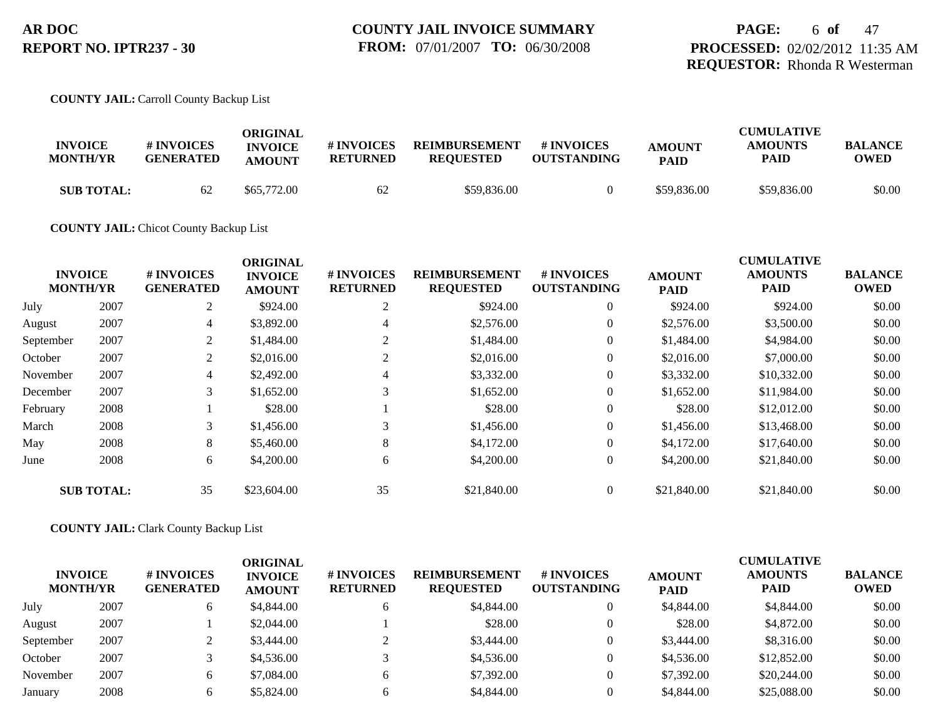### **PAGE:** 6 **of** 47 **PROCESSED:** 02/02/2012 11:35 AM **REQUESTOR:** Rhonda R Westerman

#### **COUNTY JAIL:** Carroll County Backup List

|                                   |                                | ORIGINAL       |                 |                      |                                  |               | <b>CUMULATIVE</b> |                        |
|-----------------------------------|--------------------------------|----------------|-----------------|----------------------|----------------------------------|---------------|-------------------|------------------------|
| <b>INVOICE</b><br><b>MONTH/YR</b> | # INVOICES<br><b>GENERATED</b> | <b>INVOICE</b> | # INVOICES      | <b>REIMBURSEMENT</b> | # INVOICES<br><b>OUTSTANDING</b> | <b>AMOUNT</b> | <b>AMOUNTS</b>    | <b>BALANCE</b><br>OWED |
|                                   |                                | <b>AMOUNT</b>  | <b>RETURNED</b> | <b>REOUESTED</b>     |                                  | <b>PAID</b>   | <b>PAID</b>       |                        |
| <b>SUB TOTAL:</b>                 | 62                             | \$65,772.00    | 62              | \$59,836.00          |                                  | \$59,836.00   | \$59,836.00       | \$0.00                 |

#### **COUNTY JAIL:** Chicot County Backup List

|           |                                   |                                | <b>ORIGINAL</b>                 |                               |                                          |                                  |                              | <b>CUMULATIVE</b>             |                               |
|-----------|-----------------------------------|--------------------------------|---------------------------------|-------------------------------|------------------------------------------|----------------------------------|------------------------------|-------------------------------|-------------------------------|
|           | <b>INVOICE</b><br><b>MONTH/YR</b> | # INVOICES<br><b>GENERATED</b> | <b>INVOICE</b><br><b>AMOUNT</b> | # INVOICES<br><b>RETURNED</b> | <b>REIMBURSEMENT</b><br><b>REQUESTED</b> | # INVOICES<br><b>OUTSTANDING</b> | <b>AMOUNT</b><br><b>PAID</b> | <b>AMOUNTS</b><br><b>PAID</b> | <b>BALANCE</b><br><b>OWED</b> |
| July      | 2007                              | 2                              | \$924.00                        | 2                             | \$924.00                                 | $\overline{0}$                   | \$924.00                     | \$924.00                      | \$0.00                        |
| August    | 2007                              | $\overline{4}$                 | \$3,892.00                      | 4                             | \$2,576.00                               | $\overline{0}$                   | \$2,576.00                   | \$3,500.00                    | \$0.00                        |
| September | 2007                              | $\overline{2}$                 | \$1,484.00                      |                               | \$1,484.00                               | $\overline{0}$                   | \$1,484.00                   | \$4,984.00                    | \$0.00                        |
| October   | 2007                              | 2                              | \$2,016.00                      | 2                             | \$2,016.00                               | $\overline{0}$                   | \$2,016.00                   | \$7,000.00                    | \$0.00                        |
| November  | 2007                              | $\overline{4}$                 | \$2,492.00                      | 4                             | \$3,332.00                               | $\overline{0}$                   | \$3,332.00                   | \$10,332.00                   | \$0.00                        |
| December  | 2007                              | 3                              | \$1,652.00                      | 3                             | \$1,652.00                               | $\overline{0}$                   | \$1,652.00                   | \$11,984.00                   | \$0.00                        |
| February  | 2008                              |                                | \$28.00                         |                               | \$28.00                                  | $\overline{0}$                   | \$28.00                      | \$12,012.00                   | \$0.00                        |
| March     | 2008                              | 3                              | \$1,456.00                      | 3                             | \$1,456.00                               | $\overline{0}$                   | \$1,456.00                   | \$13,468.00                   | \$0.00                        |
| May       | 2008                              | 8                              | \$5,460.00                      | 8                             | \$4,172.00                               | $\overline{0}$                   | \$4,172.00                   | \$17,640.00                   | \$0.00                        |
| June      | 2008                              | 6                              | \$4,200.00                      | 6                             | \$4,200.00                               | $\overline{0}$                   | \$4,200.00                   | \$21,840.00                   | \$0.00                        |
|           | <b>SUB TOTAL:</b>                 | 35                             | \$23,604.00                     | 35                            | \$21,840.00                              | $\overline{0}$                   | \$21,840.00                  | \$21,840.00                   | \$0.00                        |

#### **COUNTY JAIL:** Clark County Backup List

|           | <b>INVOICE</b><br><b>MONTH/YR</b> | # INVOICES<br><b>GENERATED</b> | ORIGINAL<br><b>INVOICE</b><br><b>AMOUNT</b> | # INVOICES<br><b>RETURNED</b> | <b>REIMBURSEMENT</b><br><b>REQUESTED</b> | # INVOICES<br><b>OUTSTANDING</b> | <b>AMOUNT</b><br><b>PAID</b> | <b>CUMULATIVE</b><br><b>AMOUNTS</b><br><b>PAID</b> | <b>BALANCE</b><br><b>OWED</b> |
|-----------|-----------------------------------|--------------------------------|---------------------------------------------|-------------------------------|------------------------------------------|----------------------------------|------------------------------|----------------------------------------------------|-------------------------------|
| July      | 2007                              | <sub>O</sub>                   | \$4,844.00                                  | <sub>0</sub>                  | \$4,844.00                               |                                  | \$4,844.00                   | \$4,844.00                                         | \$0.00                        |
| August    | 2007                              |                                | \$2,044.00                                  |                               | \$28.00                                  |                                  | \$28.00                      | \$4,872.00                                         | \$0.00                        |
| September | 2007                              | ∠                              | \$3,444.00                                  |                               | \$3,444.00                               |                                  | \$3,444.00                   | \$8,316.00                                         | \$0.00                        |
| October   | 2007                              |                                | \$4,536.00                                  |                               | \$4,536.00                               | $\overline{0}$                   | \$4,536.00                   | \$12,852.00                                        | \$0.00                        |
| November  | 2007                              | 6                              | \$7,084.00                                  | 6                             | \$7,392.00                               |                                  | \$7,392.00                   | \$20,244.00                                        | \$0.00                        |
| January   | 2008                              |                                | \$5,824.00                                  | 6                             | \$4,844.00                               |                                  | \$4,844.00                   | \$25,088.00                                        | \$0.00                        |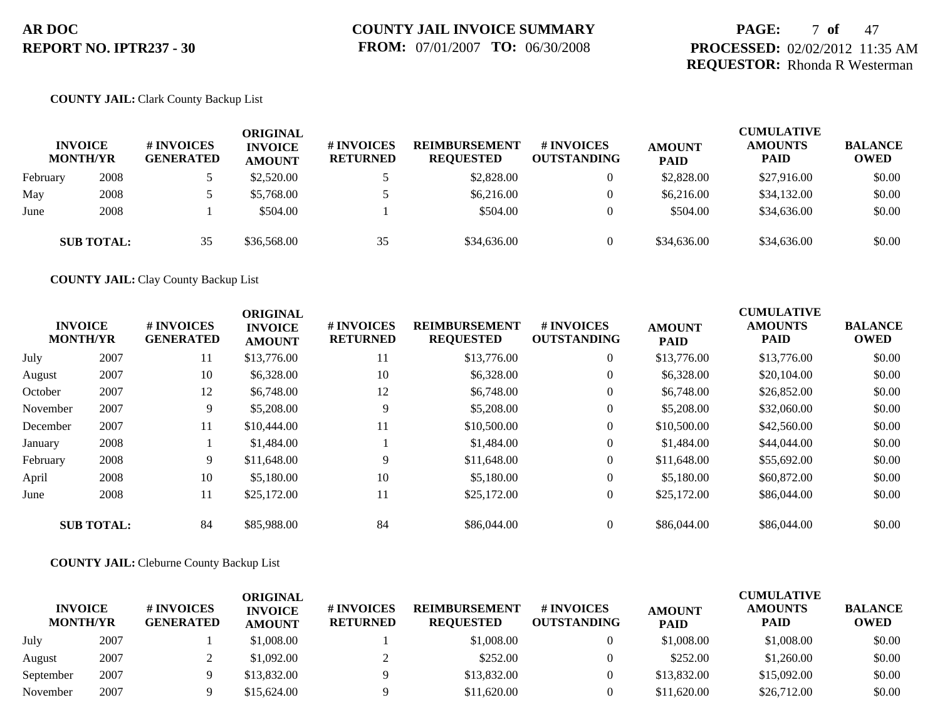### **PAGE:** 7 **of** 47 **PROCESSED:** 02/02/2012 11:35 AM **REQUESTOR:** Rhonda R Westerman

#### **COUNTY JAIL:** Clark County Backup List

|          | <b>INVOICE</b><br><b>MONTH/YR</b> | <b>#INVOICES</b><br><b>GENERATED</b> | ORIGINAL<br><b>INVOICE</b><br><b>AMOUNT</b> | # INVOICES<br><b>RETURNED</b> | <b>REIMBURSEMENT</b><br><b>REQUESTED</b> | # INVOICES<br><b>OUTSTANDING</b> | <b>AMOUNT</b><br><b>PAID</b> | <b>CUMULATIVE</b><br><b>AMOUNTS</b><br><b>PAID</b> | <b>BALANCE</b><br><b>OWED</b> |
|----------|-----------------------------------|--------------------------------------|---------------------------------------------|-------------------------------|------------------------------------------|----------------------------------|------------------------------|----------------------------------------------------|-------------------------------|
| February | 2008                              |                                      | \$2,520.00                                  |                               | \$2,828.00                               |                                  | \$2,828.00                   | \$27,916.00                                        | \$0.00                        |
| May      | 2008                              |                                      | \$5,768.00                                  |                               | \$6,216.00                               |                                  | \$6,216,00                   | \$34,132.00                                        | \$0.00                        |
| June     | 2008                              |                                      | \$504.00                                    |                               | \$504.00                                 |                                  | \$504.00                     | \$34,636.00                                        | \$0.00                        |
|          | <b>SUB TOTAL:</b>                 | 35                                   | \$36,568.00                                 | 35                            | \$34,636.00                              |                                  | \$34,636.00                  | \$34,636.00                                        | \$0.00                        |

**COUNTY JAIL:** Clay County Backup List

|          | <b>INVOICE</b><br><b>MONTH/YR</b> | # INVOICES<br><b>GENERATED</b> | <b>ORIGINAL</b><br><b>INVOICE</b><br><b>AMOUNT</b> | # INVOICES<br><b>RETURNED</b> | <b>REIMBURSEMENT</b><br><b>REQUESTED</b> | <b>#INVOICES</b><br><b>OUTSTANDING</b> | <b>AMOUNT</b><br><b>PAID</b> | <b>CUMULATIVE</b><br><b>AMOUNTS</b><br><b>PAID</b> | <b>BALANCE</b><br><b>OWED</b> |
|----------|-----------------------------------|--------------------------------|----------------------------------------------------|-------------------------------|------------------------------------------|----------------------------------------|------------------------------|----------------------------------------------------|-------------------------------|
| July     | 2007                              | 11                             | \$13,776.00                                        | 11                            | \$13,776.00                              | $\overline{0}$                         | \$13,776.00                  | \$13,776.00                                        | \$0.00                        |
| August   | 2007                              | 10                             | \$6,328.00                                         | 10                            | \$6,328.00                               | $\overline{0}$                         | \$6,328.00                   | \$20,104.00                                        | \$0.00                        |
| October  | 2007                              | 12                             | \$6,748.00                                         | 12                            | \$6,748.00                               | $\overline{0}$                         | \$6,748.00                   | \$26,852.00                                        | \$0.00                        |
| November | 2007                              | 9                              | \$5,208.00                                         | 9                             | \$5,208,00                               | $\overline{0}$                         | \$5,208.00                   | \$32,060.00                                        | \$0.00                        |
| December | 2007                              | 11                             | \$10,444.00                                        | 11                            | \$10,500.00                              | $\theta$                               | \$10,500.00                  | \$42,560.00                                        | \$0.00                        |
| January  | 2008                              |                                | \$1,484.00                                         |                               | \$1,484.00                               | $\overline{0}$                         | \$1,484.00                   | \$44,044.00                                        | \$0.00                        |
| February | 2008                              | 9                              | \$11,648.00                                        | 9                             | \$11,648.00                              | $\mathbf{0}$                           | \$11,648.00                  | \$55,692.00                                        | \$0.00                        |
| April    | 2008                              | 10                             | \$5,180.00                                         | 10                            | \$5,180.00                               | $\overline{0}$                         | \$5,180.00                   | \$60,872.00                                        | \$0.00                        |
| June     | 2008                              | 11                             | \$25,172.00                                        | 11                            | \$25,172.00                              | $\overline{0}$                         | \$25,172.00                  | \$86,044.00                                        | \$0.00                        |
|          | <b>SUB TOTAL:</b>                 | 84                             | \$85,988.00                                        | 84                            | \$86,044.00                              | $\Omega$                               | \$86,044.00                  | \$86,044.00                                        | \$0.00                        |

**COUNTY JAIL:** Cleburne County Backup List

| <b>INVOICE</b><br><b>MONTH/YR</b> |      | # INVOICES<br><b>GENERATED</b> | ORIGINAL<br><b>INVOICE</b><br><b>AMOUNT</b> | <b># INVOICES</b><br><b>RETURNED</b> | <b>REIMBURSEMENT</b><br><b>REQUESTED</b> | # INVOICES<br><b>OUTSTANDING</b> | <b>AMOUNT</b><br><b>PAID</b> | <b>CUMULATIVE</b><br><b>AMOUNTS</b><br><b>PAID</b> | <b>BALANCE</b><br><b>OWED</b> |
|-----------------------------------|------|--------------------------------|---------------------------------------------|--------------------------------------|------------------------------------------|----------------------------------|------------------------------|----------------------------------------------------|-------------------------------|
| July                              | 2007 |                                | \$1,008.00                                  |                                      | \$1,008.00                               |                                  | \$1,008.00                   | \$1,008.00                                         | \$0.00                        |
| August                            | 2007 |                                | \$1,092.00                                  |                                      | \$252.00                                 |                                  | \$252.00                     | \$1,260.00                                         | \$0.00                        |
| September                         | 2007 |                                | \$13,832.00                                 |                                      | \$13,832.00                              |                                  | \$13,832.00                  | \$15,092.00                                        | \$0.00                        |
| November                          | 2007 |                                | \$15,624.00                                 |                                      | \$11,620.00                              |                                  | \$11,620.00                  | \$26,712.00                                        | \$0.00                        |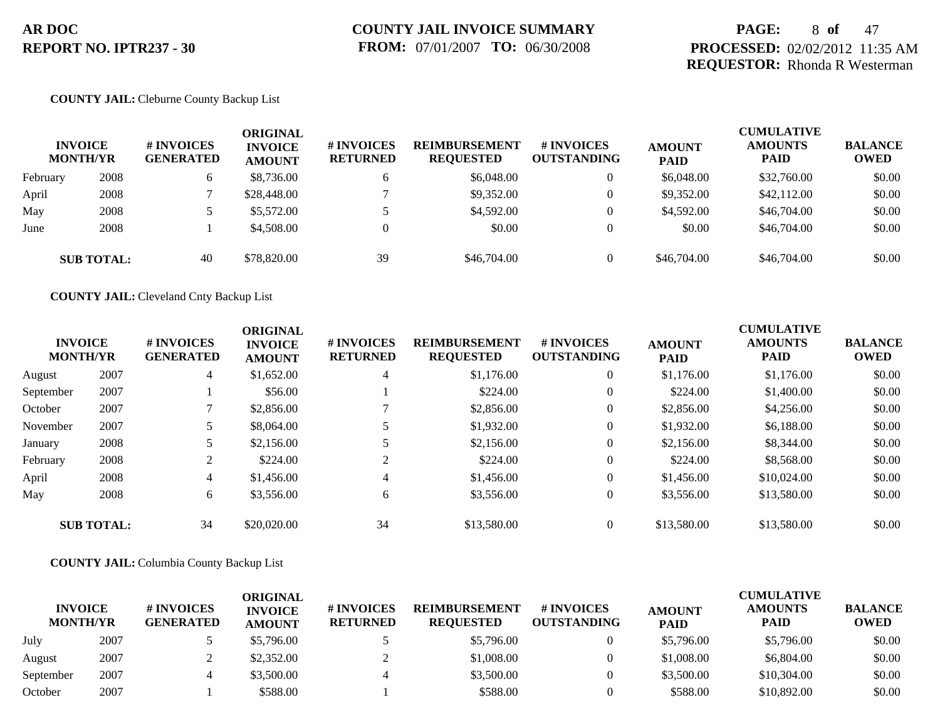### **PAGE:** 8 **of** 47 **PROCESSED:** 02/02/2012 11:35 AM **REQUESTOR:** Rhonda R Westerman

#### **COUNTY JAIL:** Cleburne County Backup List

|          | <b>INVOICE</b><br><b>MONTH/YR</b> | # INVOICES<br><b>GENERATED</b> | ORIGINAL<br><b>INVOICE</b><br><b>AMOUNT</b> | # INVOICES<br><b>RETURNED</b> | <b>REIMBURSEMENT</b><br><b>REQUESTED</b> | # INVOICES<br><b>OUTSTANDING</b> | <b>AMOUNT</b><br><b>PAID</b> | <b>CUMULATIVE</b><br><b>AMOUNTS</b><br><b>PAID</b> | <b>BALANCE</b><br><b>OWED</b> |
|----------|-----------------------------------|--------------------------------|---------------------------------------------|-------------------------------|------------------------------------------|----------------------------------|------------------------------|----------------------------------------------------|-------------------------------|
| February | 2008                              |                                | \$8,736.00                                  | <sub>0</sub>                  | \$6,048.00                               | $\theta$                         | \$6,048.00                   | \$32,760.00                                        | \$0.00                        |
| April    | 2008                              |                                | \$28,448.00                                 |                               | \$9.352.00                               | $\overline{0}$                   | \$9,352.00                   | \$42,112.00                                        | \$0.00                        |
| May      | 2008                              |                                | \$5,572.00                                  |                               | \$4,592.00                               | $\theta$                         | \$4,592.00                   | \$46,704.00                                        | \$0.00                        |
| June     | 2008                              |                                | \$4,508.00                                  | $\Omega$                      | \$0.00                                   | $\overline{0}$                   | \$0.00                       | \$46,704.00                                        | \$0.00                        |
|          | <b>SUB TOTAL:</b>                 | 40                             | \$78,820.00                                 | 39                            | \$46,704.00                              | $\Omega$                         | \$46,704.00                  | \$46,704.00                                        | \$0.00                        |

**COUNTY JAIL:** Cleveland Cnty Backup List

|           | <b>INVOICE</b><br><b>MONTH/YR</b> | # INVOICES<br><b>GENERATED</b> | <b>ORIGINAL</b><br><b>INVOICE</b><br><b>AMOUNT</b> | # INVOICES<br><b>RETURNED</b> | <b>REIMBURSEMENT</b><br><b>REQUESTED</b> | # INVOICES<br><b>OUTSTANDING</b> | <b>AMOUNT</b><br><b>PAID</b> | <b>CUMULATIVE</b><br><b>AMOUNTS</b><br><b>PAID</b> | <b>BALANCE</b><br><b>OWED</b> |
|-----------|-----------------------------------|--------------------------------|----------------------------------------------------|-------------------------------|------------------------------------------|----------------------------------|------------------------------|----------------------------------------------------|-------------------------------|
| August    | 2007                              | 4                              | \$1,652.00                                         | $\overline{4}$                | \$1,176.00                               | $\overline{0}$                   | \$1,176.00                   | \$1,176.00                                         | \$0.00                        |
| September | 2007                              |                                | \$56.00                                            |                               | \$224.00                                 | $\theta$                         | \$224.00                     | \$1,400.00                                         | \$0.00                        |
| October   | 2007                              |                                | \$2,856.00                                         |                               | \$2,856.00                               | $\theta$                         | \$2,856.00                   | \$4,256.00                                         | \$0.00                        |
| November  | 2007                              |                                | \$8,064.00                                         |                               | \$1,932.00                               | $\theta$                         | \$1,932.00                   | \$6,188.00                                         | \$0.00                        |
| January   | 2008                              |                                | \$2,156.00                                         |                               | \$2,156.00                               | $\theta$                         | \$2,156.00                   | \$8,344.00                                         | \$0.00                        |
| February  | 2008                              |                                | \$224.00                                           | 2                             | \$224.00                                 | $\theta$                         | \$224.00                     | \$8,568.00                                         | \$0.00                        |
| April     | 2008                              | 4                              | \$1,456.00                                         | $\overline{4}$                | \$1,456.00                               | $\overline{0}$                   | \$1,456.00                   | \$10,024.00                                        | \$0.00                        |
| May       | 2008                              | 6                              | \$3,556.00                                         | 6                             | \$3,556.00                               | $\theta$                         | \$3,556.00                   | \$13,580.00                                        | \$0.00                        |
|           | <b>SUB TOTAL:</b>                 | 34                             | \$20,020.00                                        | 34                            | \$13,580.00                              | $\overline{0}$                   | \$13,580.00                  | \$13,580.00                                        | \$0.00                        |

**COUNTY JAIL:** Columbia County Backup List

| <b>INVOICE</b><br><b>MONTH/YR</b> |      | # INVOICES<br><b>GENERATED</b> | ORIGINAL<br><b>INVOICE</b><br><b>AMOUNT</b> | # INVOICES<br><b>RETURNED</b> | <b>REIMBURSEMENT</b><br><b>REQUESTED</b> | # INVOICES<br><b>OUTSTANDING</b> | <b>AMOUNT</b><br><b>PAID</b> | <b>CUMULATIVE</b><br><b>AMOUNTS</b><br>PAID | <b>BALANCE</b><br><b>OWED</b> |
|-----------------------------------|------|--------------------------------|---------------------------------------------|-------------------------------|------------------------------------------|----------------------------------|------------------------------|---------------------------------------------|-------------------------------|
| July                              | 2007 |                                | \$5,796.00                                  |                               | \$5,796.00                               |                                  | \$5,796.00                   | \$5,796.00                                  | \$0.00                        |
| August                            | 2007 |                                | \$2,352.00                                  |                               | \$1,008.00                               |                                  | \$1,008.00                   | \$6,804.00                                  | \$0.00                        |
| September                         | 2007 |                                | \$3,500.00                                  |                               | \$3,500.00                               |                                  | \$3,500.00                   | \$10,304.00                                 | \$0.00                        |
| October                           | 2007 |                                | \$588.00                                    |                               | \$588.00                                 |                                  | \$588.00                     | \$10,892.00                                 | \$0.00                        |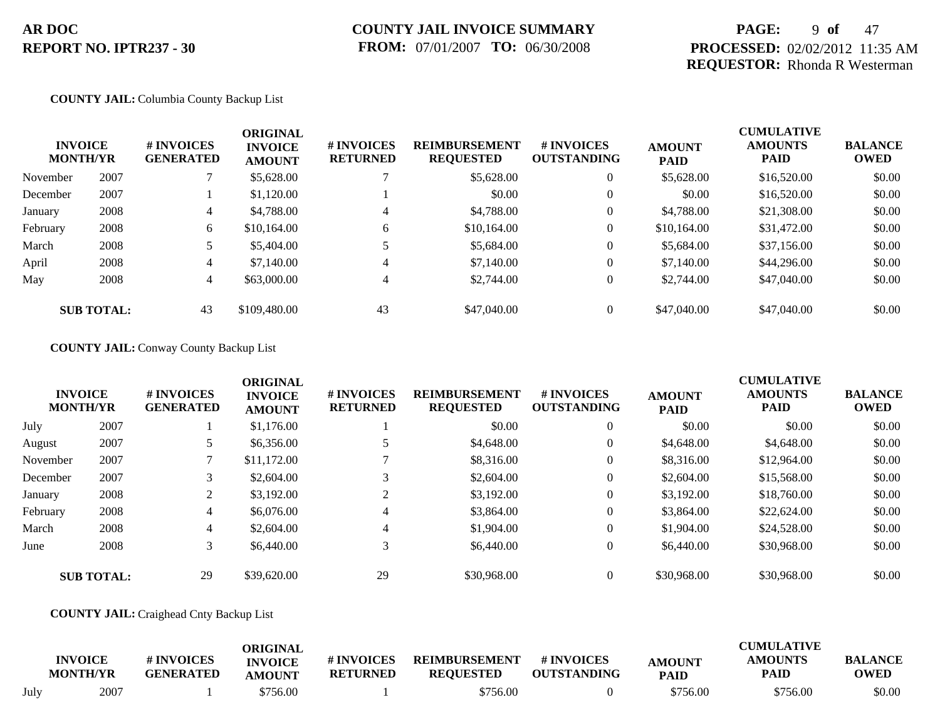### **PAGE:** 9 **of** 47 **PROCESSED:** 02/02/2012 11:35 AM **REQUESTOR:** Rhonda R Westerman

#### **COUNTY JAIL:** Columbia County Backup List

|          | <b>INVOICE</b><br><b>MONTH/YR</b> | # INVOICES<br><b>GENERATED</b> | <b>ORIGINAL</b><br><b>INVOICE</b><br><b>AMOUNT</b> | # INVOICES<br><b>RETURNED</b> | <b>REIMBURSEMENT</b><br><b>REQUESTED</b> | # INVOICES<br><b>OUTSTANDING</b> | <b>AMOUNT</b><br><b>PAID</b> | <b>CUMULATIVE</b><br><b>AMOUNTS</b><br><b>PAID</b> | <b>BALANCE</b><br><b>OWED</b> |
|----------|-----------------------------------|--------------------------------|----------------------------------------------------|-------------------------------|------------------------------------------|----------------------------------|------------------------------|----------------------------------------------------|-------------------------------|
| November | 2007                              |                                | \$5,628.00                                         |                               | \$5,628.00                               | $\theta$                         | \$5,628.00                   | \$16,520.00                                        | \$0.00                        |
| December | 2007                              |                                | \$1,120.00                                         |                               | \$0.00                                   | $\theta$                         | \$0.00                       | \$16,520.00                                        | \$0.00                        |
| January  | 2008                              | 4                              | \$4,788.00                                         | 4                             | \$4,788.00                               | $\theta$                         | \$4,788.00                   | \$21,308.00                                        | \$0.00                        |
| February | 2008                              | 6                              | \$10,164.00                                        | 6                             | \$10,164.00                              | $\boldsymbol{0}$                 | \$10,164.00                  | \$31,472.00                                        | \$0.00                        |
| March    | 2008                              |                                | \$5,404.00                                         |                               | \$5,684.00                               | $\theta$                         | \$5,684.00                   | \$37,156.00                                        | \$0.00                        |
| April    | 2008                              | 4                              | \$7,140.00                                         | 4                             | \$7,140.00                               | $\theta$                         | \$7,140.00                   | \$44,296.00                                        | \$0.00                        |
| May      | 2008                              | 4                              | \$63,000.00                                        | 4                             | \$2,744.00                               | $\theta$                         | \$2,744.00                   | \$47,040.00                                        | \$0.00                        |
|          | <b>SUB TOTAL:</b>                 | 43                             | \$109,480.00                                       | 43                            | \$47,040.00                              | $\theta$                         | \$47,040.00                  | \$47,040.00                                        | \$0.00                        |

#### **COUNTY JAIL:** Conway County Backup List

|          | <b>INVOICE</b><br><b>MONTH/YR</b> | # INVOICES<br><b>GENERATED</b> | <b>ORIGINAL</b><br><b>INVOICE</b><br><b>AMOUNT</b> | # INVOICES<br><b>RETURNED</b> | <b>REIMBURSEMENT</b><br><b>REQUESTED</b> | <b>#INVOICES</b><br><b>OUTSTANDING</b> | <b>AMOUNT</b><br><b>PAID</b> | <b>CUMULATIVE</b><br><b>AMOUNTS</b><br><b>PAID</b> | <b>BALANCE</b><br><b>OWED</b> |
|----------|-----------------------------------|--------------------------------|----------------------------------------------------|-------------------------------|------------------------------------------|----------------------------------------|------------------------------|----------------------------------------------------|-------------------------------|
| July     | 2007                              |                                | \$1,176.00                                         |                               | \$0.00                                   | $\theta$                               | \$0.00                       | \$0.00                                             | \$0.00                        |
| August   | 2007                              |                                | \$6,356.00                                         |                               | \$4,648.00                               | $\theta$                               | \$4,648.00                   | \$4,648.00                                         | \$0.00                        |
| November | 2007                              |                                | \$11,172.00                                        |                               | \$8,316.00                               | $\theta$                               | \$8,316.00                   | \$12,964.00                                        | \$0.00                        |
| December | 2007                              |                                | \$2,604.00                                         |                               | \$2,604.00                               | $\theta$                               | \$2,604.00                   | \$15,568.00                                        | \$0.00                        |
| January  | 2008                              | 2                              | \$3,192.00                                         | ◠                             | \$3,192.00                               | $\overline{0}$                         | \$3,192.00                   | \$18,760.00                                        | \$0.00                        |
| February | 2008                              | $\overline{4}$                 | \$6,076.00                                         | 4                             | \$3,864.00                               | $\overline{0}$                         | \$3,864.00                   | \$22,624.00                                        | \$0.00                        |
| March    | 2008                              | $\overline{4}$                 | \$2,604.00                                         | 4                             | \$1,904.00                               | $\theta$                               | \$1,904.00                   | \$24,528.00                                        | \$0.00                        |
| June     | 2008                              | $\mathfrak{Z}$                 | \$6,440.00                                         | 3                             | \$6,440.00                               | $\boldsymbol{0}$                       | \$6,440.00                   | \$30,968.00                                        | \$0.00                        |
|          | <b>SUB TOTAL:</b>                 | 29                             | \$39,620.00                                        | 29                            | \$30,968,00                              | $\theta$                               | \$30,968.00                  | \$30,968.00                                        | \$0.00                        |

#### **COUNTY JAIL:** Craighead Cnty Backup List

|      | <b>INVOICE</b><br><b>MONTH/YR</b> | # INVOICES<br><b>GENERATED</b> | ORIGINAL<br><b>INVOICE</b><br>AMOUNT | # INVOICES<br><b>RETURNED</b> | <b>REIMBURSEMENT</b><br><b>REOUESTED</b> | # INVOICES<br><b>OUTSTANDING</b> | <b>AMOUNT</b><br><b>PAID</b> | <b>CUMULATIVE</b><br><b>AMOUNTS</b><br>PAID | <b>BALANCE</b><br><b>OWED</b> |
|------|-----------------------------------|--------------------------------|--------------------------------------|-------------------------------|------------------------------------------|----------------------------------|------------------------------|---------------------------------------------|-------------------------------|
| July | 2007                              |                                | \$756.00                             |                               | \$756.00                                 |                                  | \$756.00                     | \$756.00                                    | \$0.00                        |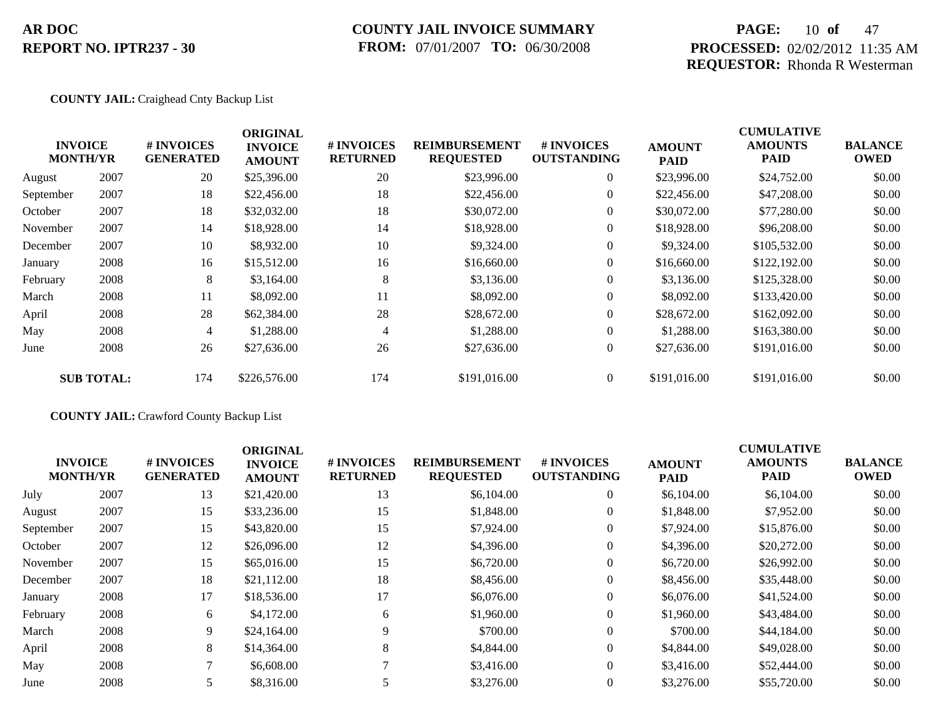### **COUNTY JAIL INVOICE SUMMARY FROM:** 07/01/2007 **TO:** 06/30/2008

### **PAGE:** 10 **of** 47 **PROCESSED:** 02/02/2012 11:35 AM **REQUESTOR:** Rhonda R Westerman

#### **COUNTY JAIL:** Craighead Cnty Backup List

|           |                                   |                                | <b>ORIGINAL</b>                 |                               |                                          |                                  |                              | <b>CUMULATIVE</b>             |                               |
|-----------|-----------------------------------|--------------------------------|---------------------------------|-------------------------------|------------------------------------------|----------------------------------|------------------------------|-------------------------------|-------------------------------|
|           | <b>INVOICE</b><br><b>MONTH/YR</b> | # INVOICES<br><b>GENERATED</b> | <b>INVOICE</b><br><b>AMOUNT</b> | # INVOICES<br><b>RETURNED</b> | <b>REIMBURSEMENT</b><br><b>REQUESTED</b> | # INVOICES<br><b>OUTSTANDING</b> | <b>AMOUNT</b><br><b>PAID</b> | <b>AMOUNTS</b><br><b>PAID</b> | <b>BALANCE</b><br><b>OWED</b> |
| August    | 2007                              | 20                             | \$25,396.00                     | 20                            | \$23,996.00                              | $\overline{0}$                   | \$23,996.00                  | \$24,752.00                   | \$0.00                        |
| September | 2007                              | 18                             | \$22,456.00                     | 18                            | \$22,456.00                              | $\overline{0}$                   | \$22,456.00                  | \$47,208.00                   | \$0.00                        |
| October   | 2007                              | 18                             | \$32,032.00                     | 18                            | \$30,072.00                              | $\overline{0}$                   | \$30,072.00                  | \$77,280.00                   | \$0.00                        |
| November  | 2007                              | 14                             | \$18,928.00                     | 14                            | \$18,928.00                              | $\overline{0}$                   | \$18,928.00                  | \$96,208.00                   | \$0.00                        |
| December  | 2007                              | 10                             | \$8,932.00                      | 10                            | \$9,324.00                               | $\overline{0}$                   | \$9,324.00                   | \$105,532.00                  | \$0.00                        |
| January   | 2008                              | 16                             | \$15,512.00                     | 16                            | \$16,660.00                              | $\overline{0}$                   | \$16,660.00                  | \$122,192.00                  | \$0.00                        |
| February  | 2008                              | 8                              | \$3,164.00                      | 8                             | \$3,136.00                               | $\overline{0}$                   | \$3,136.00                   | \$125,328.00                  | \$0.00                        |
| March     | 2008                              | 11                             | \$8,092.00                      | 11                            | \$8,092.00                               | $\overline{0}$                   | \$8,092.00                   | \$133,420.00                  | \$0.00                        |
| April     | 2008                              | 28                             | \$62,384.00                     | 28                            | \$28,672.00                              | $\overline{0}$                   | \$28,672.00                  | \$162,092.00                  | \$0.00                        |
| May       | 2008                              | 4                              | \$1,288.00                      | $\overline{4}$                | \$1,288.00                               | $\overline{0}$                   | \$1,288.00                   | \$163,380.00                  | \$0.00                        |
| June      | 2008                              | 26                             | \$27,636.00                     | 26                            | \$27,636.00                              | $\overline{0}$                   | \$27,636.00                  | \$191,016.00                  | \$0.00                        |
|           | <b>SUB TOTAL:</b>                 | 174                            | \$226,576.00                    | 174                           | \$191,016.00                             | $\overline{0}$                   | \$191,016.00                 | \$191,016.00                  | \$0.00                        |

### **COUNTY JAIL:** Crawford County Backup List

| <b>INVOICE</b><br><b>MONTH/YR</b> |      | <b>#INVOICES</b><br><b>GENERATED</b> | <b>ORIGINAL</b><br><b>INVOICE</b><br><b>AMOUNT</b> | # INVOICES<br><b>RETURNED</b> | <b>REIMBURSEMENT</b><br><b>REQUESTED</b> | <b># INVOICES</b><br><b>OUTSTANDING</b> | <b>AMOUNT</b><br><b>PAID</b> | <b>CUMULATIVE</b><br><b>AMOUNTS</b><br><b>PAID</b> | <b>BALANCE</b><br><b>OWED</b> |
|-----------------------------------|------|--------------------------------------|----------------------------------------------------|-------------------------------|------------------------------------------|-----------------------------------------|------------------------------|----------------------------------------------------|-------------------------------|
| July                              | 2007 | 13                                   | \$21,420.00                                        | 13                            | \$6,104.00                               | $\overline{0}$                          | \$6,104.00                   | \$6,104.00                                         | \$0.00                        |
| August                            | 2007 | 15                                   | \$33,236.00                                        | 15                            | \$1,848.00                               | $\mathbf{0}$                            | \$1,848.00                   | \$7,952.00                                         | \$0.00                        |
| September                         | 2007 | 15                                   | \$43,820.00                                        | 15                            | \$7,924.00                               | $\mathbf{0}$                            | \$7,924.00                   | \$15,876.00                                        | \$0.00                        |
| October                           | 2007 | 12                                   | \$26,096.00                                        | 12                            | \$4,396.00                               | $\Omega$                                | \$4,396.00                   | \$20,272.00                                        | \$0.00                        |
| November                          | 2007 | 15                                   | \$65,016.00                                        | 15                            | \$6,720.00                               | $\mathbf{0}$                            | \$6,720.00                   | \$26,992.00                                        | \$0.00                        |
| December                          | 2007 | 18                                   | \$21,112.00                                        | 18                            | \$8,456.00                               | $\mathbf{0}$                            | \$8,456.00                   | \$35,448.00                                        | \$0.00                        |
| January                           | 2008 | 17                                   | \$18,536.00                                        | 17                            | \$6,076.00                               | $\Omega$                                | \$6,076.00                   | \$41,524.00                                        | \$0.00                        |
| February                          | 2008 | 6                                    | \$4,172.00                                         | 6                             | \$1,960.00                               | $\overline{0}$                          | \$1,960.00                   | \$43,484.00                                        | \$0.00                        |
| March                             | 2008 | 9                                    | \$24,164.00                                        | 9                             | \$700.00                                 | $\Omega$                                | \$700.00                     | \$44,184.00                                        | \$0.00                        |
| April                             | 2008 | 8                                    | \$14,364.00                                        | 8                             | \$4,844.00                               | $\mathbf{0}$                            | \$4,844.00                   | \$49,028.00                                        | \$0.00                        |
| May                               | 2008 |                                      | \$6,608.00                                         |                               | \$3,416.00                               | $\Omega$                                | \$3,416.00                   | \$52,444.00                                        | \$0.00                        |
| June                              | 2008 |                                      | \$8,316.00                                         |                               | \$3,276.00                               | $\mathbf{0}$                            | \$3,276.00                   | \$55,720.00                                        | \$0.00                        |
|                                   |      |                                      |                                                    |                               |                                          |                                         |                              |                                                    |                               |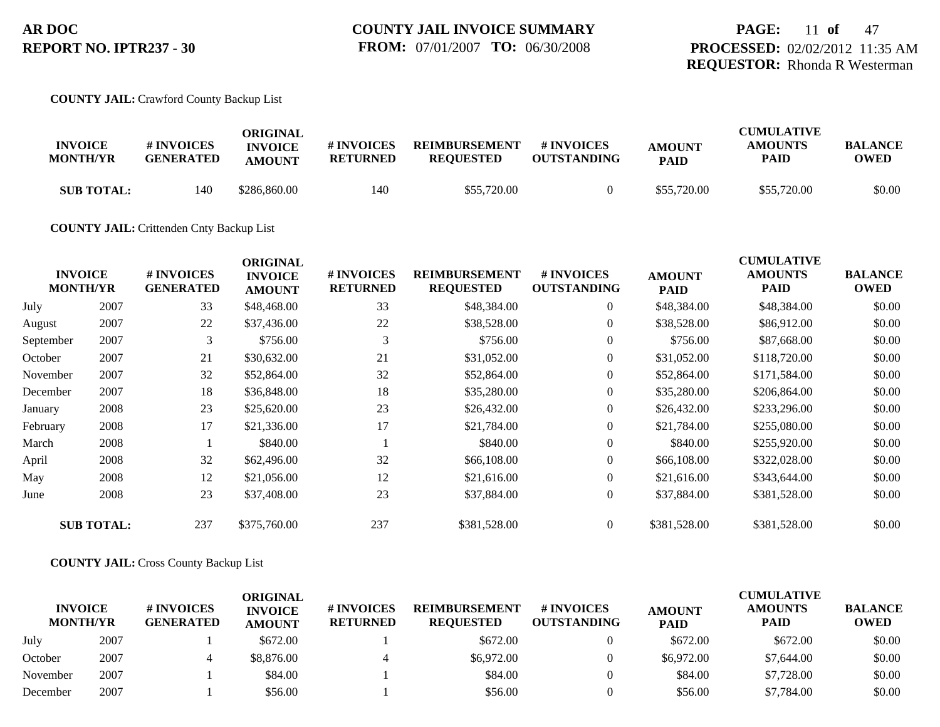#### **COUNTY JAIL:** Crawford County Backup List

| <b>INVOICE</b><br><b>MONTH/YR</b> | <b>#INVOICES</b><br><b>GENERATED</b> | ORIGINAL<br><b>INVOICE</b><br><b>AMOUNT</b> | # INVOICES<br><b>RETURNED</b> | <b>REIMBURSEMENT</b><br><b>REQUESTED</b> | # INVOICES<br><b>OUTSTANDING</b> | <b>AMOUNT</b><br><b>PAID</b> | <b>CUMULATIVE</b><br><b>AMOUNTS</b><br><b>PAID</b> | <b>BALANCE</b><br>OWED |
|-----------------------------------|--------------------------------------|---------------------------------------------|-------------------------------|------------------------------------------|----------------------------------|------------------------------|----------------------------------------------------|------------------------|
| <b>SUB TOTAL:</b>                 | 140                                  | \$286,860.00                                | 140                           | \$55,720.00                              |                                  | \$55,720.00                  | \$55,720.00                                        | \$0.00                 |

#### **COUNTY JAIL:** Crittenden Cnty Backup List

|           | <b>INVOICE</b><br><b>MONTH/YR</b> | # INVOICES<br><b>GENERATED</b> | <b>ORIGINAL</b><br><b>INVOICE</b><br><b>AMOUNT</b> | # INVOICES<br><b>RETURNED</b> | <b>REIMBURSEMENT</b><br><b>REQUESTED</b> | <b># INVOICES</b><br><b>OUTSTANDING</b> | <b>AMOUNT</b><br><b>PAID</b> | <b>CUMULATIVE</b><br><b>AMOUNTS</b><br>PAID | <b>BALANCE</b><br><b>OWED</b> |
|-----------|-----------------------------------|--------------------------------|----------------------------------------------------|-------------------------------|------------------------------------------|-----------------------------------------|------------------------------|---------------------------------------------|-------------------------------|
| July      | 2007                              | 33                             | \$48,468.00                                        | 33                            | \$48,384.00                              | $\overline{0}$                          | \$48,384.00                  | \$48,384.00                                 | \$0.00                        |
| August    | 2007                              | 22                             | \$37,436.00                                        | 22                            | \$38,528.00                              | $\overline{0}$                          | \$38,528.00                  | \$86,912.00                                 | \$0.00                        |
| September | 2007                              | 3                              | \$756.00                                           | 3                             | \$756.00                                 | $\overline{0}$                          | \$756.00                     | \$87,668.00                                 | \$0.00                        |
| October   | 2007                              | 21                             | \$30,632.00                                        | 21                            | \$31,052.00                              | $\overline{0}$                          | \$31,052.00                  | \$118,720.00                                | \$0.00                        |
| November  | 2007                              | 32                             | \$52,864.00                                        | 32                            | \$52,864.00                              | $\overline{0}$                          | \$52,864.00                  | \$171,584.00                                | \$0.00                        |
| December  | 2007                              | 18                             | \$36,848.00                                        | 18                            | \$35,280.00                              | $\overline{0}$                          | \$35,280.00                  | \$206,864.00                                | \$0.00                        |
| January   | 2008                              | 23                             | \$25,620.00                                        | 23                            | \$26,432.00                              | $\overline{0}$                          | \$26,432.00                  | \$233,296.00                                | \$0.00                        |
| February  | 2008                              | 17                             | \$21,336.00                                        | 17                            | \$21,784.00                              | $\overline{0}$                          | \$21,784.00                  | \$255,080.00                                | \$0.00                        |
| March     | 2008                              |                                | \$840.00                                           |                               | \$840.00                                 | $\overline{0}$                          | \$840.00                     | \$255,920.00                                | \$0.00                        |
| April     | 2008                              | 32                             | \$62,496.00                                        | 32                            | \$66,108.00                              | $\Omega$                                | \$66,108.00                  | \$322,028.00                                | \$0.00                        |
| May       | 2008                              | 12                             | \$21,056.00                                        | 12                            | \$21,616.00                              | $\overline{0}$                          | \$21,616.00                  | \$343,644.00                                | \$0.00                        |
| June      | 2008                              | 23                             | \$37,408.00                                        | 23                            | \$37,884.00                              | $\overline{0}$                          | \$37,884.00                  | \$381,528.00                                | \$0.00                        |
|           | <b>SUB TOTAL:</b>                 | 237                            | \$375,760.00                                       | 237                           | \$381,528.00                             | $\overline{0}$                          | \$381,528.00                 | \$381,528.00                                | \$0.00                        |

#### **COUNTY JAIL:** Cross County Backup List

| <b>INVOICE</b><br><b>MONTH/YR</b> |      | # INVOICES<br><b>GENERATED</b> | ORIGINAL<br><b>INVOICE</b><br><b>AMOUNT</b> | <b># INVOICES</b><br><b>RETURNED</b> | <b>REIMBURSEMENT</b><br><b>REOUESTED</b> | <b># INVOICES</b><br><b>OUTSTANDING</b> | <b>AMOUNT</b><br><b>PAID</b> | <b>CUMULATIVE</b><br><b>AMOUNTS</b><br>PAID | <b>BALANCE</b><br><b>OWED</b> |
|-----------------------------------|------|--------------------------------|---------------------------------------------|--------------------------------------|------------------------------------------|-----------------------------------------|------------------------------|---------------------------------------------|-------------------------------|
| July                              | 2007 |                                | \$672.00                                    |                                      | \$672.00                                 |                                         | \$672.00                     | \$672.00                                    | \$0.00                        |
| October                           | 2007 |                                | \$8,876.00                                  |                                      | \$6,972.00                               |                                         | \$6,972.00                   | \$7,644.00                                  | \$0.00                        |
| November                          | 2007 |                                | \$84.00                                     |                                      | \$84.00                                  |                                         | \$84.00                      | \$7,728.00                                  | \$0.00                        |
| December                          | 2007 |                                | \$56.00                                     |                                      | \$56.00                                  |                                         | \$56.00                      | \$7,784.00                                  | \$0.00                        |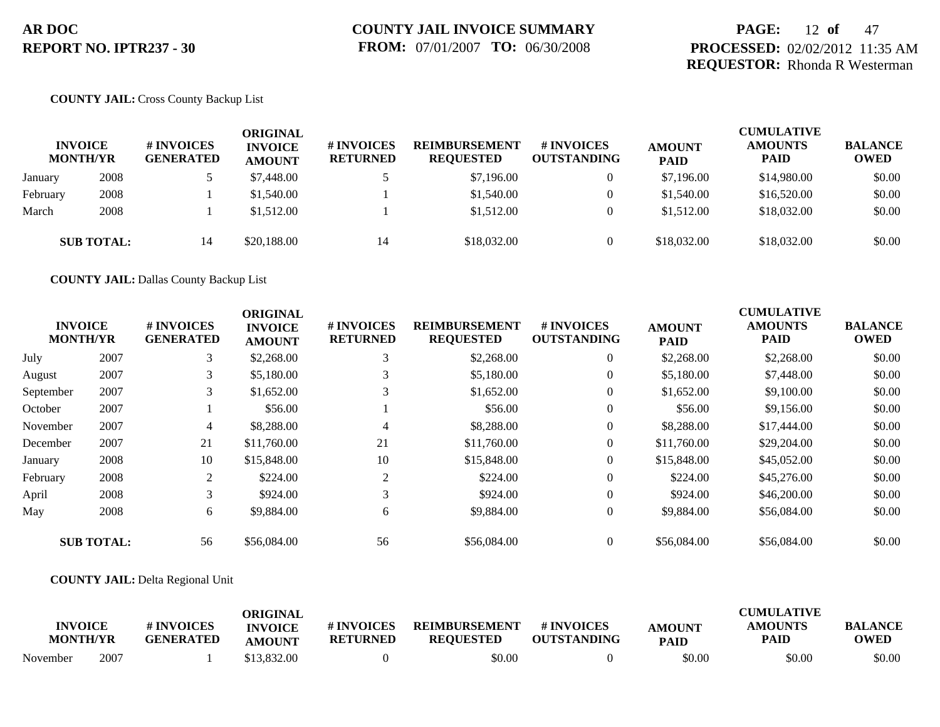### **PAGE:** 12 **of** 47 **PROCESSED:** 02/02/2012 11:35 AM **REQUESTOR:** Rhonda R Westerman

#### **COUNTY JAIL:** Cross County Backup List

|          | <b>INVOICE</b><br><b>MONTH/YR</b> | # INVOICES<br><b>GENERATED</b> | <b>ORIGINAL</b><br><b>INVOICE</b><br><b>AMOUNT</b> | # INVOICES<br><b>RETURNED</b> | <b>REIMBURSEMENT</b><br><b>REQUESTED</b> | # INVOICES<br><b>OUTSTANDING</b> | <b>AMOUNT</b><br><b>PAID</b> | <b>CUMULATIVE</b><br><b>AMOUNTS</b><br><b>PAID</b> | <b>BALANCE</b><br><b>OWED</b> |
|----------|-----------------------------------|--------------------------------|----------------------------------------------------|-------------------------------|------------------------------------------|----------------------------------|------------------------------|----------------------------------------------------|-------------------------------|
| January  | 2008                              |                                | \$7,448.00                                         |                               | \$7,196.00                               | $\overline{0}$                   | \$7,196.00                   | \$14,980.00                                        | \$0.00                        |
| February | 2008                              |                                | \$1,540.00                                         |                               | \$1,540.00                               | $\overline{0}$                   | \$1,540.00                   | \$16,520.00                                        | \$0.00                        |
| March    | 2008                              |                                | \$1,512.00                                         |                               | \$1,512.00                               | $\overline{0}$                   | \$1,512.00                   | \$18,032.00                                        | \$0.00                        |
|          | <b>SUB TOTAL:</b>                 | 14                             | \$20,188.00                                        | 14                            | \$18,032.00                              | $\Omega$                         | \$18,032.00                  | \$18,032.00                                        | \$0.00                        |

**COUNTY JAIL:** Dallas County Backup List

|           | <b>INVOICE</b><br><b>MONTH/YR</b> | # INVOICES<br><b>GENERATED</b> | <b>ORIGINAL</b><br><b>INVOICE</b><br><b>AMOUNT</b> | # INVOICES<br><b>RETURNED</b> | <b>REIMBURSEMENT</b><br><b>REQUESTED</b> | <b>#INVOICES</b><br><b>OUTSTANDING</b> | <b>AMOUNT</b><br><b>PAID</b> | <b>CUMULATIVE</b><br><b>AMOUNTS</b><br><b>PAID</b> | <b>BALANCE</b><br><b>OWED</b> |
|-----------|-----------------------------------|--------------------------------|----------------------------------------------------|-------------------------------|------------------------------------------|----------------------------------------|------------------------------|----------------------------------------------------|-------------------------------|
| July      | 2007                              | 3                              | \$2,268.00                                         | 3                             | \$2,268.00                               | $\overline{0}$                         | \$2,268.00                   | \$2,268.00                                         | \$0.00                        |
| August    | 2007                              | 3                              | \$5,180.00                                         | 3                             | \$5,180.00                               | $\overline{0}$                         | \$5,180.00                   | \$7,448.00                                         | \$0.00                        |
| September | 2007                              | 3                              | \$1,652.00                                         | 3                             | \$1,652.00                               | $\overline{0}$                         | \$1,652.00                   | \$9,100.00                                         | \$0.00                        |
| October   | 2007                              |                                | \$56.00                                            |                               | \$56.00                                  | $\overline{0}$                         | \$56.00                      | \$9,156.00                                         | \$0.00                        |
| November  | 2007                              | 4                              | \$8,288.00                                         | 4                             | \$8,288.00                               | $\overline{0}$                         | \$8,288.00                   | \$17,444.00                                        | \$0.00                        |
| December  | 2007                              | 21                             | \$11,760.00                                        | 21                            | \$11,760.00                              | $\overline{0}$                         | \$11,760.00                  | \$29,204.00                                        | \$0.00                        |
| January   | 2008                              | 10                             | \$15,848.00                                        | 10                            | \$15,848.00                              | $\overline{0}$                         | \$15,848.00                  | \$45,052.00                                        | \$0.00                        |
| February  | 2008                              | 2                              | \$224.00                                           | 2                             | \$224.00                                 | $\overline{0}$                         | \$224.00                     | \$45,276.00                                        | \$0.00                        |
| April     | 2008                              | 3                              | \$924.00                                           | 3                             | \$924.00                                 | $\overline{0}$                         | \$924.00                     | \$46,200.00                                        | \$0.00                        |
| May       | 2008                              | 6                              | \$9,884.00                                         | 6                             | \$9,884.00                               | $\overline{0}$                         | \$9,884.00                   | \$56,084.00                                        | \$0.00                        |
|           | <b>SUB TOTAL:</b>                 | 56                             | \$56,084.00                                        | 56                            | \$56,084.00                              | $\Omega$                               | \$56,084.00                  | \$56,084.00                                        | \$0.00                        |

**COUNTY JAIL:** Delta Regional Unit

| <b>INVOICE</b><br><b>MONTH/YR</b> |      | <b># INVOICES</b><br><b>GENERATED</b> | ORIGINAL<br><b>INVOICE</b><br><b>AMOUNT</b> | <b>#INVOICES</b><br><b>RETURNED</b> | <b>REIMBURSEMENT</b><br><b>REQUESTED</b> | # INVOICES<br><b>OUTSTANDING</b> | <b>AMOUNT</b><br><b>PAID</b> | <b>CUMULATIVE</b><br><b>AMOUNTS</b><br>PAID | <b>BALANCE</b><br><b>OWED</b> |
|-----------------------------------|------|---------------------------------------|---------------------------------------------|-------------------------------------|------------------------------------------|----------------------------------|------------------------------|---------------------------------------------|-------------------------------|
| November                          | 2007 |                                       | \$13,832.00                                 |                                     | \$0.00                                   |                                  | \$0.00                       | \$0.00                                      | \$0.00                        |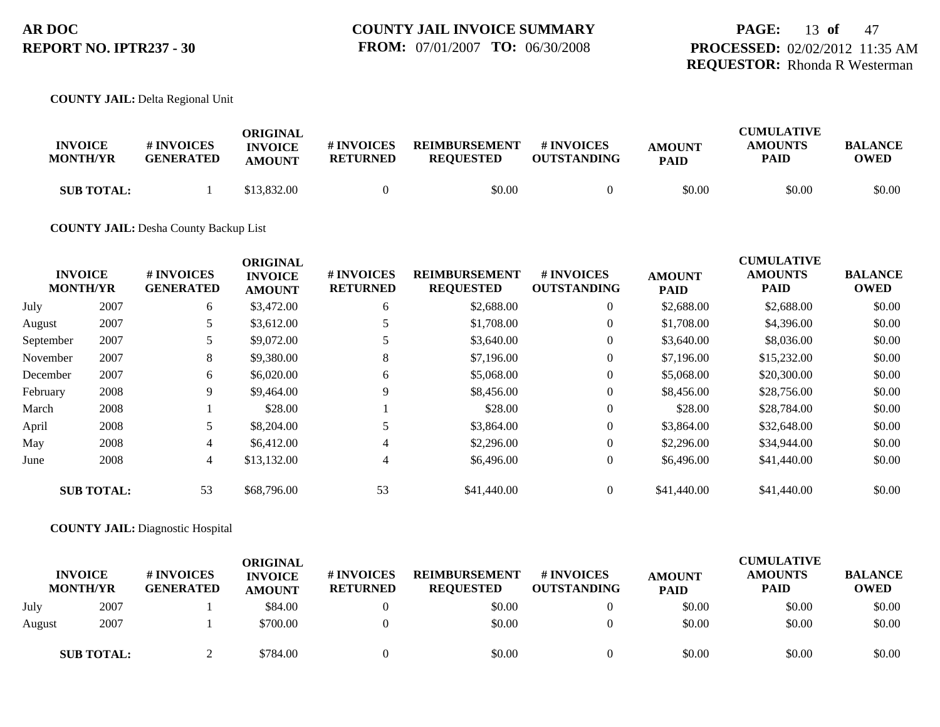### **PAGE:** 13 **of** 47 **PROCESSED:** 02/02/2012 11:35 AM **REQUESTOR:** Rhonda R Westerman

#### **COUNTY JAIL:** Delta Regional Unit

| <b>INVOICE</b><br><b>MONTH/YR</b> | <b>#INVOICES</b><br><b>GENERATED</b> | ORIGINAL<br><b>INVOICE</b><br><b>AMOUNT</b> | # INVOICES<br><b>RETURNED</b> | <b>REIMBURSEMENT</b><br><b>REOUESTED</b> | # INVOICES<br><b>OUTSTANDING</b> | <b>AMOUNT</b><br><b>PAID</b> | <b>CUMULATIVE</b><br><b>AMOUNTS</b><br><b>PAID</b> | <b>BALANCE</b><br><b>OWED</b> |
|-----------------------------------|--------------------------------------|---------------------------------------------|-------------------------------|------------------------------------------|----------------------------------|------------------------------|----------------------------------------------------|-------------------------------|
| <b>SUB TOTAL:</b>                 |                                      | \$13,832.00                                 |                               | \$0.00                                   |                                  | \$0.00                       | \$0.00                                             | \$0.00                        |

#### **COUNTY JAIL:** Desha County Backup List

|           | <b>INVOICE</b><br><b>MONTH/YR</b> | # INVOICES<br><b>GENERATED</b> | <b>ORIGINAL</b><br><b>INVOICE</b><br><b>AMOUNT</b> | # INVOICES<br><b>RETURNED</b> | <b>REIMBURSEMENT</b><br><b>REQUESTED</b> | # INVOICES<br><b>OUTSTANDING</b> | <b>AMOUNT</b><br><b>PAID</b> | <b>CUMULATIVE</b><br><b>AMOUNTS</b><br>PAID | <b>BALANCE</b><br><b>OWED</b> |
|-----------|-----------------------------------|--------------------------------|----------------------------------------------------|-------------------------------|------------------------------------------|----------------------------------|------------------------------|---------------------------------------------|-------------------------------|
| July      | 2007                              | 6                              | \$3,472.00                                         | 6                             | \$2,688.00                               | $\overline{0}$                   | \$2,688.00                   | \$2,688.00                                  | \$0.00                        |
| August    | 2007                              |                                | \$3,612.00                                         |                               | \$1,708.00                               | $\overline{0}$                   | \$1,708.00                   | \$4,396.00                                  | \$0.00                        |
| September | 2007                              |                                | \$9,072.00                                         |                               | \$3,640.00                               | $\overline{0}$                   | \$3,640.00                   | \$8,036.00                                  | \$0.00                        |
| November  | 2007                              | 8                              | \$9,380.00                                         | 8                             | \$7,196.00                               | $\overline{0}$                   | \$7,196.00                   | \$15,232.00                                 | \$0.00                        |
| December  | 2007                              | 6                              | \$6,020.00                                         | 6                             | \$5,068.00                               | $\overline{0}$                   | \$5,068,00                   | \$20,300.00                                 | \$0.00                        |
| February  | 2008                              | 9                              | \$9,464.00                                         | 9                             | \$8,456.00                               | $\overline{0}$                   | \$8,456.00                   | \$28,756.00                                 | \$0.00                        |
| March     | 2008                              |                                | \$28.00                                            |                               | \$28.00                                  | $\overline{0}$                   | \$28.00                      | \$28,784.00                                 | \$0.00                        |
| April     | 2008                              | 5                              | \$8,204.00                                         |                               | \$3,864.00                               | $\overline{0}$                   | \$3,864.00                   | \$32,648.00                                 | \$0.00                        |
| May       | 2008                              | $\overline{4}$                 | \$6,412.00                                         | 4                             | \$2,296.00                               | $\overline{0}$                   | \$2,296.00                   | \$34,944.00                                 | \$0.00                        |
| June      | 2008                              | 4                              | \$13,132.00                                        | 4                             | \$6,496.00                               | $\overline{0}$                   | \$6,496.00                   | \$41,440.00                                 | \$0.00                        |
|           | <b>SUB TOTAL:</b>                 | 53                             | \$68,796.00                                        | 53                            | \$41,440.00                              | $\overline{0}$                   | \$41,440.00                  | \$41,440.00                                 | \$0.00                        |

#### **COUNTY JAIL:** Diagnostic Hospital

|        | <b>INVOICE</b><br><b>MONTH/YR</b> | <b># INVOICES</b><br><b>GENERATED</b> | ORIGINAL<br><b>INVOICE</b><br><b>AMOUNT</b> | <b># INVOICES</b><br><b>RETURNED</b> | <b>REIMBURSEMENT</b><br><b>REQUESTED</b> | # INVOICES<br><b>OUTSTANDING</b> | <b>AMOUNT</b><br><b>PAID</b> | <b>CUMULATIVE</b><br><b>AMOUNTS</b><br><b>PAID</b> | <b>BALANCE</b><br><b>OWED</b> |
|--------|-----------------------------------|---------------------------------------|---------------------------------------------|--------------------------------------|------------------------------------------|----------------------------------|------------------------------|----------------------------------------------------|-------------------------------|
| July   | 2007                              |                                       | \$84.00                                     |                                      | \$0.00                                   |                                  | \$0.00                       | \$0.00                                             | \$0.00                        |
| August | 2007                              |                                       | \$700.00                                    |                                      | \$0.00                                   |                                  | \$0.00                       | \$0.00                                             | \$0.00                        |
|        | <b>SUB TOTAL:</b>                 |                                       | \$784.00                                    |                                      | \$0.00                                   |                                  | \$0.00                       | \$0.00                                             | \$0.00                        |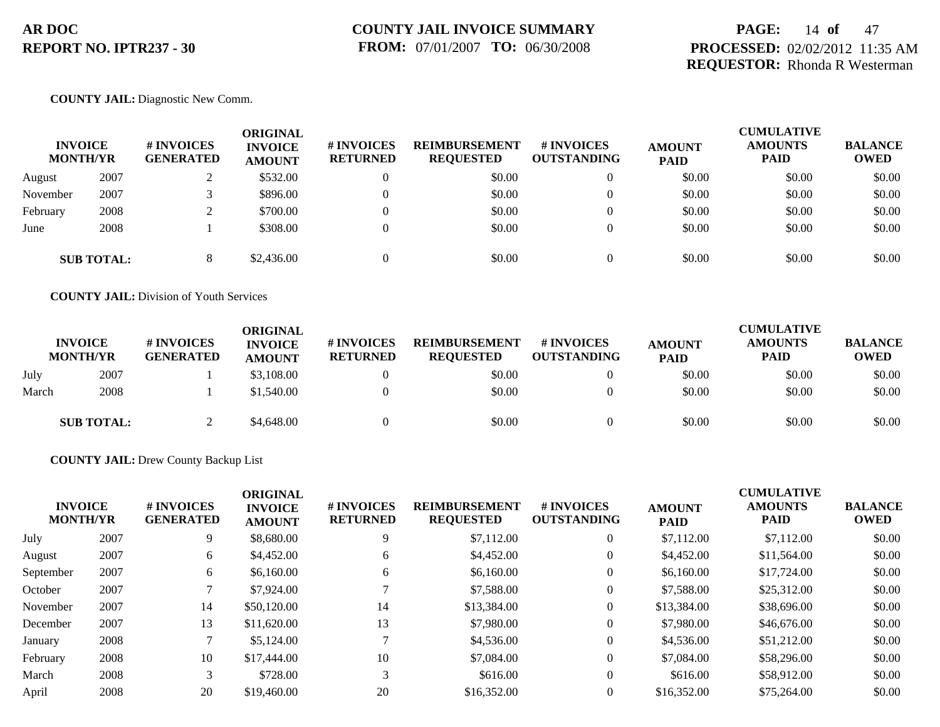### **PAGE:** 14 **of** 47 **PROCESSED:** 02/02/2012 11:35 AM **REQUESTOR:** Rhonda R Westerman

#### **COUNTY JAIL:** Diagnostic New Comm.

| <b>INVOICE</b><br><b>MONTH/YR</b> |                   | # INVOICES<br><b>GENERATED</b> | ORIGINAL<br><b>INVOICE</b><br><b>AMOUNT</b> | # INVOICES<br><b>RETURNED</b> | <b>REIMBURSEMENT</b><br><b>REQUESTED</b> | # INVOICES<br><b>OUTSTANDING</b> | <b>AMOUNT</b><br><b>PAID</b> | <b>CUMULATIVE</b><br><b>AMOUNTS</b><br><b>PAID</b> | <b>BALANCE</b><br><b>OWED</b> |
|-----------------------------------|-------------------|--------------------------------|---------------------------------------------|-------------------------------|------------------------------------------|----------------------------------|------------------------------|----------------------------------------------------|-------------------------------|
| August                            | 2007              |                                | \$532.00                                    |                               | \$0.00                                   |                                  | \$0.00                       | \$0.00                                             | \$0.00                        |
| November                          | 2007              |                                | \$896.00                                    |                               | \$0.00                                   |                                  | \$0.00                       | \$0.00                                             | \$0.00                        |
| February                          | 2008              |                                | \$700.00                                    |                               | \$0.00                                   |                                  | \$0.00                       | \$0.00                                             | \$0.00                        |
| June                              | 2008              |                                | \$308.00                                    |                               | \$0.00                                   |                                  | \$0.00                       | \$0.00                                             | \$0.00                        |
|                                   | <b>SUB TOTAL:</b> |                                | \$2,436.00                                  |                               | \$0.00                                   |                                  | \$0.00                       | \$0.00                                             | \$0.00                        |

**COUNTY JAIL:** Division of Youth Services

|       | <b>INVOICE</b><br><b>MONTH/YR</b> | # INVOICES<br><b>GENERATED</b> | ORIGINAL<br><b>INVOICE</b><br><b>AMOUNT</b> | <b>#INVOICES</b><br><b>RETURNED</b> | <b>REIMBURSEMENT</b><br><b>REQUESTED</b> | # INVOICES<br><b>OUTSTANDING</b> | <b>AMOUNT</b><br><b>PAID</b> | <b>CUMULATIVE</b><br><b>AMOUNTS</b><br><b>PAID</b> | <b>BALANCE</b><br><b>OWED</b> |
|-------|-----------------------------------|--------------------------------|---------------------------------------------|-------------------------------------|------------------------------------------|----------------------------------|------------------------------|----------------------------------------------------|-------------------------------|
| July  | 2007                              |                                | \$3,108.00                                  |                                     | \$0.00                                   |                                  | \$0.00                       | \$0.00                                             | \$0.00                        |
| March | 2008                              |                                | \$1,540.00                                  |                                     | \$0.00                                   |                                  | \$0.00                       | \$0.00                                             | \$0.00                        |
|       | <b>SUB TOTAL:</b>                 |                                | \$4,648.00                                  |                                     | \$0.00                                   |                                  | \$0.00                       | \$0.00                                             | \$0.00                        |

**COUNTY JAIL:** Drew County Backup List

| <b>INVOICE</b><br><b>MONTH/YR</b> |      | <b>#INVOICES</b><br><b>GENERATED</b> | <b>ORIGINAL</b><br><b>INVOICE</b><br><b>AMOUNT</b> | # INVOICES<br><b>RETURNED</b> | <b>REIMBURSEMENT</b><br><b>REQUESTED</b> | <b>#INVOICES</b><br><b>OUTSTANDING</b> | <b>AMOUNT</b><br><b>PAID</b> | <b>CUMULATIVE</b><br><b>AMOUNTS</b><br><b>PAID</b> | <b>BALANCE</b><br><b>OWED</b> |
|-----------------------------------|------|--------------------------------------|----------------------------------------------------|-------------------------------|------------------------------------------|----------------------------------------|------------------------------|----------------------------------------------------|-------------------------------|
| July                              | 2007 | 9                                    | \$8,680.00                                         | 9                             | \$7,112.00                               | $\theta$                               | \$7,112.00                   | \$7,112.00                                         | \$0.00                        |
| August                            | 2007 | 6                                    | \$4,452.00                                         | 6                             | \$4,452.00                               | $\theta$                               | \$4,452.00                   | \$11,564.00                                        | \$0.00                        |
| September                         | 2007 | 6                                    | \$6,160.00                                         | 6                             | \$6,160.00                               | $\theta$                               | \$6,160.00                   | \$17,724.00                                        | \$0.00                        |
| October                           | 2007 |                                      | \$7,924.00                                         |                               | \$7,588.00                               | $\theta$                               | \$7,588.00                   | \$25,312.00                                        | \$0.00                        |
| November                          | 2007 | 14                                   | \$50,120.00                                        | 14                            | \$13,384.00                              | $\overline{0}$                         | \$13,384.00                  | \$38,696.00                                        | \$0.00                        |
| December                          | 2007 | 13                                   | \$11,620.00                                        | 13                            | \$7,980.00                               | $\theta$                               | \$7,980.00                   | \$46,676.00                                        | \$0.00                        |
| January                           | 2008 |                                      | \$5,124.00                                         |                               | \$4,536.00                               | $\Omega$                               | \$4,536.00                   | \$51,212.00                                        | \$0.00                        |
| February                          | 2008 | 10                                   | \$17,444.00                                        | 10                            | \$7,084.00                               | $\theta$                               | \$7,084.00                   | \$58,296.00                                        | \$0.00                        |
| March                             | 2008 | 3                                    | \$728.00                                           | 3                             | \$616.00                                 | $\overline{0}$                         | \$616.00                     | \$58,912.00                                        | \$0.00                        |
| April                             | 2008 | 20                                   | \$19,460.00                                        | 20                            | \$16,352.00                              | $\Omega$                               | \$16,352.00                  | \$75,264.00                                        | \$0.00                        |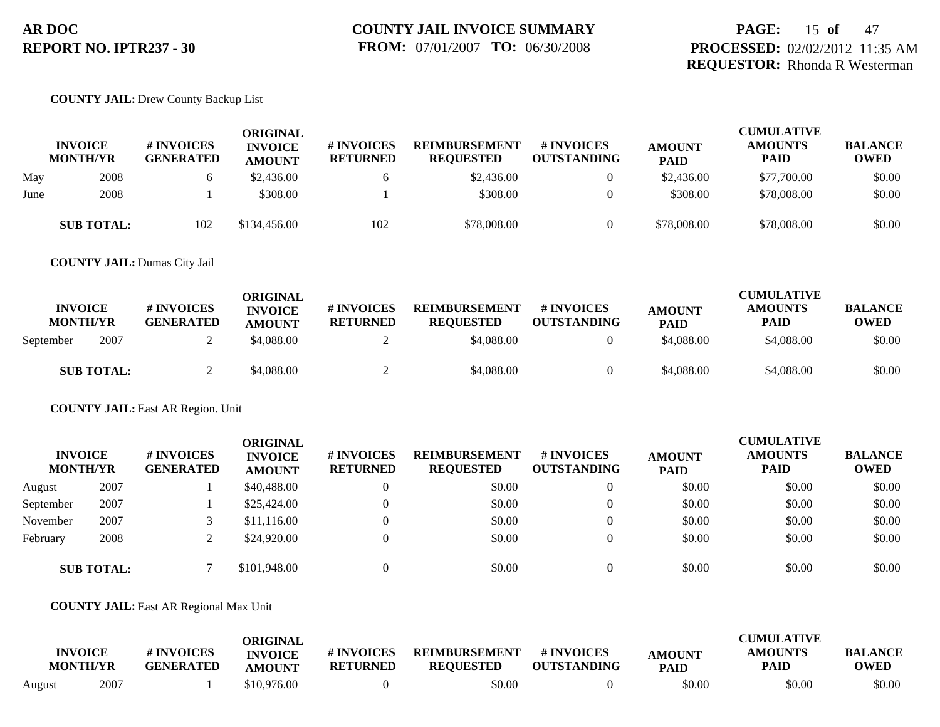### **PAGE:** 15 **of** 47 **PROCESSED:** 02/02/2012 11:35 AM **REQUESTOR:** Rhonda R Westerman

#### **COUNTY JAIL:** Drew County Backup List

|      | <b>INVOICE</b><br><b>MONTH/YR</b> | # INVOICES<br><b>GENERATED</b> | <b>ORIGINAL</b><br><b>INVOICE</b><br><b>AMOUNT</b> | # INVOICES<br><b>RETURNED</b> | <b>REIMBURSEMENT</b><br><b>REQUESTED</b> | # INVOICES<br><b>OUTSTANDING</b> | <b>AMOUNT</b><br><b>PAID</b> | <b>CUMULATIVE</b><br><b>AMOUNTS</b><br><b>PAID</b> | <b>BALANCE</b><br><b>OWED</b> |
|------|-----------------------------------|--------------------------------|----------------------------------------------------|-------------------------------|------------------------------------------|----------------------------------|------------------------------|----------------------------------------------------|-------------------------------|
| May  | 2008                              |                                | \$2,436.00                                         |                               | \$2,436.00                               | $\theta$                         | \$2,436.00                   | \$77,700.00                                        | \$0.00                        |
| June | 2008                              |                                | \$308.00                                           |                               | \$308.00                                 |                                  | \$308.00                     | \$78,008.00                                        | \$0.00                        |
|      | <b>SUB TOTAL:</b>                 | 102                            | \$134,456.00                                       | 102                           | \$78,008.00                              |                                  | \$78,008.00                  | \$78,008.00                                        | \$0.00                        |

**COUNTY JAIL:** Dumas City Jail

| <b>INVOICE</b><br><b>MONTH/YR</b> | # INVOICES<br><b>GENERATED</b> | ORIGINAL<br><b>INVOICE</b><br><b>AMOUNT</b> | <b># INVOICES</b><br><b>RETURNED</b> | <b>REIMBURSEMENT</b><br><b>REOUESTED</b> | # INVOICES<br><b>OUTSTANDING</b> | <b>AMOUNT</b><br><b>PAID</b> | <b>CUMULATIVE</b><br><b>AMOUNTS</b><br>PAID | <b>BALANCE</b><br><b>OWED</b> |
|-----------------------------------|--------------------------------|---------------------------------------------|--------------------------------------|------------------------------------------|----------------------------------|------------------------------|---------------------------------------------|-------------------------------|
| 2007<br>September                 |                                | \$4,088.00                                  |                                      | \$4,088.00                               |                                  | \$4,088.00                   | \$4,088,00                                  | \$0.00                        |
| <b>SUB TOTAL:</b>                 |                                | \$4,088.00                                  |                                      | \$4,088.00                               |                                  | \$4,088.00                   | \$4,088,00                                  | \$0.00                        |

**COUNTY JAIL:** East AR Region. Unit

| <b>INVOICE</b><br><b>MONTH/YR</b> |                   | # INVOICES<br><b>GENERATED</b> | ORIGINAL<br><b>INVOICE</b><br><b>AMOUNT</b> | # INVOICES<br><b>RETURNED</b> | <b>REIMBURSEMENT</b><br><b>REQUESTED</b> | # INVOICES<br><b>OUTSTANDING</b> | <b>AMOUNT</b><br><b>PAID</b> | <b>CUMULATIVE</b><br><b>AMOUNTS</b><br><b>PAID</b> | <b>BALANCE</b><br><b>OWED</b> |
|-----------------------------------|-------------------|--------------------------------|---------------------------------------------|-------------------------------|------------------------------------------|----------------------------------|------------------------------|----------------------------------------------------|-------------------------------|
| August                            | 2007              |                                | \$40,488.00                                 |                               | \$0.00                                   | $\theta$                         | \$0.00                       | \$0.00                                             | \$0.00                        |
| September                         | 2007              |                                | \$25,424.00                                 |                               | \$0.00                                   | $\Omega$                         | \$0.00                       | \$0.00                                             | \$0.00                        |
| November                          | 2007              |                                | \$11,116.00                                 |                               | \$0.00                                   | $\theta$                         | \$0.00                       | \$0.00                                             | \$0.00                        |
| February                          | 2008              |                                | \$24,920.00                                 |                               | \$0.00                                   | $\theta$                         | \$0.00                       | \$0.00                                             | \$0.00                        |
|                                   | <b>SUB TOTAL:</b> |                                | \$101.948.00                                |                               | \$0.00                                   | $\Omega$                         | \$0.00                       | \$0.00                                             | \$0.00                        |

#### **COUNTY JAIL:** East AR Regional Max Unit

|        |                                   |                                | ORIGINAL                        |                               |                                          |                                  |                              | <b>CUMULATIVE</b>      |                               |
|--------|-----------------------------------|--------------------------------|---------------------------------|-------------------------------|------------------------------------------|----------------------------------|------------------------------|------------------------|-------------------------------|
|        | <b>INVOICE</b><br><b>MONTH/YR</b> | # INVOICES<br><b>GENERATED</b> | <b>INVOICE</b><br><b>AMOUNT</b> | # INVOICES<br><b>RETURNED</b> | <b>REIMBURSEMENT</b><br><b>REQUESTED</b> | # INVOICES<br><b>OUTSTANDING</b> | <b>AMOUNT</b><br><b>PAID</b> | <b>AMOUNTS</b><br>PAID | <b>BALANCE</b><br><b>OWED</b> |
| August | 2007                              |                                | \$10.976.00                     |                               | \$0.00                                   |                                  | \$0.00                       | \$0.00                 | \$0.00                        |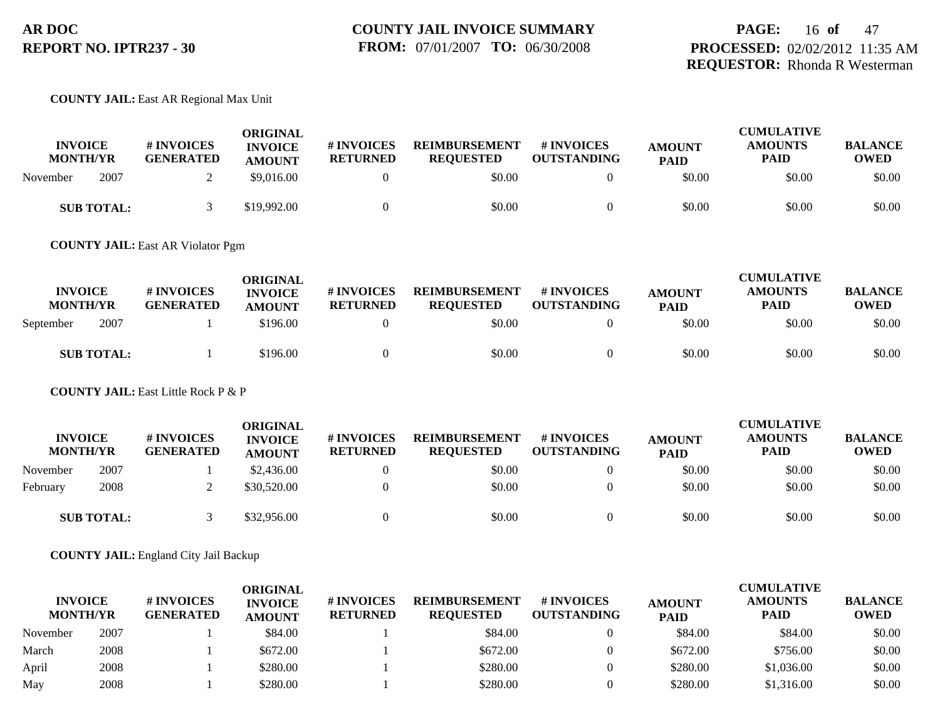#### **COUNTY JAIL:** East AR Regional Max Unit

| <b>INVOICE</b><br><b>MONTH/YR</b> | <b>#INVOICES</b><br><b>GENERATED</b> | ORIGINAL<br><b>INVOICE</b><br><b>AMOUNT</b> | <b># INVOICES</b><br><b>RETURNED</b> | <b>REIMBURSEMENT</b><br><b>REOUESTED</b> | # INVOICES<br><b>OUTSTANDING</b> | <b>AMOUNT</b><br><b>PAID</b> | <b>CUMULATIVE</b><br><b>AMOUNTS</b><br>PAID | <b>BALANCE</b><br><b>OWED</b> |
|-----------------------------------|--------------------------------------|---------------------------------------------|--------------------------------------|------------------------------------------|----------------------------------|------------------------------|---------------------------------------------|-------------------------------|
| 2007<br>November                  |                                      | \$9,016.00                                  |                                      | \$0.00                                   |                                  | \$0.00                       | \$0.00                                      | \$0.00                        |
| <b>SUB TOTAL:</b>                 |                                      | \$19,992.00                                 |                                      | \$0.00                                   |                                  | \$0.00                       | \$0.00                                      | \$0.00                        |

**COUNTY JAIL:** East AR Violator Pgm

| <b>INVOICE</b><br><b>MONTH/YR</b> | <b>#INVOICES</b><br><b>GENERATED</b> | ORIGINAL<br><b>INVOICE</b><br><b>AMOUNT</b> | # INVOICES<br><b>RETURNED</b> | <b>REIMBURSEMENT</b><br><b>REQUESTED</b> | # INVOICES<br><b>OUTSTANDING</b> | <b>AMOUNT</b><br><b>PAID</b> | <b>CUMULATIVE</b><br><b>AMOUNTS</b><br><b>PAID</b> | <b>BALANCE</b><br><b>OWED</b> |
|-----------------------------------|--------------------------------------|---------------------------------------------|-------------------------------|------------------------------------------|----------------------------------|------------------------------|----------------------------------------------------|-------------------------------|
| 2007<br>September                 |                                      | \$196.00                                    |                               | \$0.00                                   |                                  | \$0.00                       | \$0.00                                             | \$0.00                        |
| <b>SUB TOTAL:</b>                 |                                      | \$196.00                                    |                               | \$0.00                                   |                                  | \$0.00                       | \$0.00                                             | \$0.00                        |

**COUNTY JAIL:** East Little Rock P & P

| <b>INVOICE</b><br><b>MONTH/YR</b> |                   | # INVOICES<br><b>GENERATED</b> | ORIGINAL<br><b>INVOICE</b><br><b>AMOUNT</b> | <b>#INVOICES</b><br><b>RETURNED</b> | <b>REIMBURSEMENT</b><br><b>REOUESTED</b> | <b># INVOICES</b><br><b>OUTSTANDING</b> | <b>AMOUNT</b><br><b>PAID</b> | <b>CUMULATIVE</b><br><b>AMOUNTS</b><br><b>PAID</b> | <b>BALANCE</b><br><b>OWED</b> |
|-----------------------------------|-------------------|--------------------------------|---------------------------------------------|-------------------------------------|------------------------------------------|-----------------------------------------|------------------------------|----------------------------------------------------|-------------------------------|
| November                          | 2007              |                                | \$2,436.00                                  |                                     | \$0.00                                   |                                         | \$0.00                       | \$0.00                                             | \$0.00                        |
| February                          | 2008              |                                | \$30,520.00                                 |                                     | \$0.00                                   |                                         | \$0.00                       | \$0.00                                             | \$0.00                        |
|                                   | <b>SUB TOTAL:</b> |                                | \$32,956.00                                 |                                     | \$0.00                                   |                                         | \$0.00                       | \$0.00                                             | \$0.00                        |

**COUNTY JAIL:** England City Jail Backup

| <b>INVOICE</b><br><b>MONTH/YR</b> |      | # INVOICES<br><b>GENERATED</b> | ORIGINAL<br><b>INVOICE</b><br><b>AMOUNT</b> | # INVOICES<br><b>RETURNED</b> | <b>REIMBURSEMENT</b><br><b>REQUESTED</b> | # INVOICES<br><b>OUTSTANDING</b> | <b>AMOUNT</b><br><b>PAID</b> | <b>CUMULATIVE</b><br><b>AMOUNTS</b><br><b>PAID</b> | <b>BALANCE</b><br><b>OWED</b> |
|-----------------------------------|------|--------------------------------|---------------------------------------------|-------------------------------|------------------------------------------|----------------------------------|------------------------------|----------------------------------------------------|-------------------------------|
| November                          | 2007 |                                | \$84.00                                     |                               | \$84.00                                  |                                  | \$84.00                      | \$84.00                                            | \$0.00                        |
| March                             | 2008 |                                | \$672.00                                    |                               | \$672.00                                 |                                  | \$672.00                     | \$756.00                                           | \$0.00                        |
| April                             | 2008 |                                | \$280.00                                    |                               | \$280.00                                 |                                  | \$280.00                     | \$1.036.00                                         | \$0.00                        |
| May                               | 2008 |                                | \$280.00                                    |                               | \$280.00                                 |                                  | \$280.00                     | \$1,316.00                                         | \$0.00                        |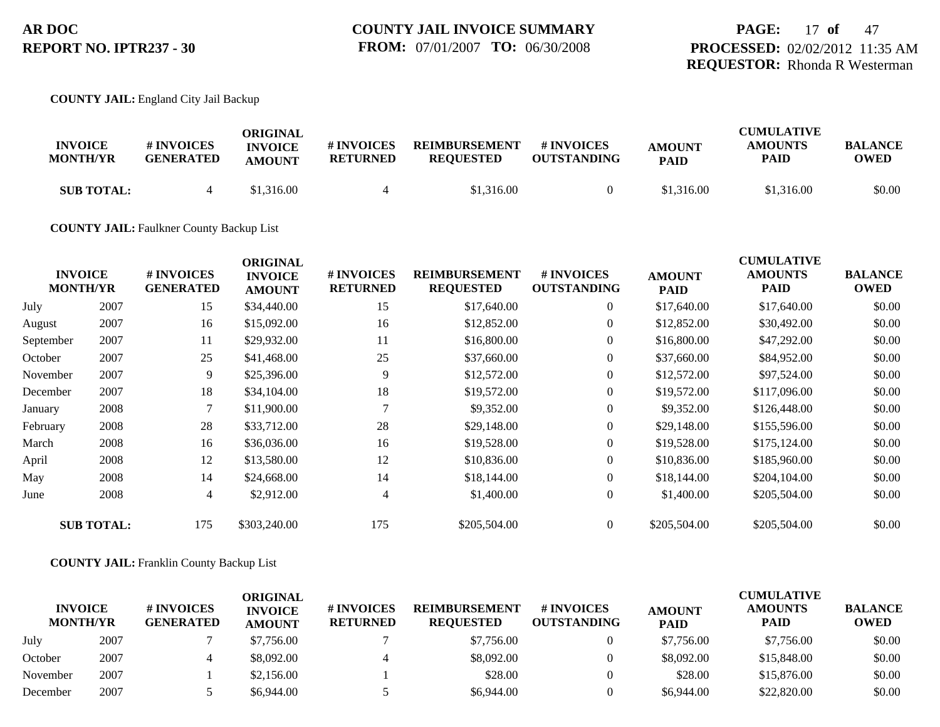### **PAGE:** 17 **of** 47 **PROCESSED:** 02/02/2012 11:35 AM **REQUESTOR:** Rhonda R Westerman

#### **COUNTY JAIL:** England City Jail Backup

| <b>INVOICE</b><br><b>MONTH/YR</b> | # INVOICES<br><b>GENERATED</b> | ORIGINAL<br><b>INVOICE</b><br><b>AMOUNT</b> | # INVOICES<br><b>RETURNED</b> | <b>REIMBURSEMENT</b><br><b>REOUESTED</b> | # INVOICES<br><b>OUTSTANDING</b> | <b>AMOUNT</b><br><b>PAID</b> | <b>CUMULATIVE</b><br><b>AMOUNTS</b><br><b>PAID</b> | <b>BALANCE</b><br>OWED |
|-----------------------------------|--------------------------------|---------------------------------------------|-------------------------------|------------------------------------------|----------------------------------|------------------------------|----------------------------------------------------|------------------------|
| <b>SUB TOTAL:</b>                 | 4                              | \$1,316.00                                  |                               | \$1,316.00                               |                                  | \$1,316.00                   | \$1,316.00                                         | \$0.00                 |

### **COUNTY JAIL:** Faulkner County Backup List

|           | <b>INVOICE</b><br><b>MONTH/YR</b> | # INVOICES<br><b>GENERATED</b> | <b>ORIGINAL</b><br><b>INVOICE</b><br><b>AMOUNT</b> | # INVOICES<br><b>RETURNED</b> | <b>REIMBURSEMENT</b><br><b>REQUESTED</b> | # INVOICES<br><b>OUTSTANDING</b> | <b>AMOUNT</b><br><b>PAID</b> | <b>CUMULATIVE</b><br><b>AMOUNTS</b><br><b>PAID</b> | <b>BALANCE</b><br><b>OWED</b> |
|-----------|-----------------------------------|--------------------------------|----------------------------------------------------|-------------------------------|------------------------------------------|----------------------------------|------------------------------|----------------------------------------------------|-------------------------------|
| July      | 2007                              | 15                             | \$34,440.00                                        | 15                            | \$17,640.00                              | $\overline{0}$                   | \$17,640.00                  | \$17,640.00                                        | \$0.00                        |
| August    | 2007                              | 16                             | \$15,092.00                                        | 16                            | \$12,852.00                              | $\overline{0}$                   | \$12,852.00                  | \$30,492.00                                        | \$0.00                        |
| September | 2007                              | 11                             | \$29,932.00                                        | 11                            | \$16,800.00                              | $\overline{0}$                   | \$16,800.00                  | \$47,292.00                                        | \$0.00                        |
| October   | 2007                              | 25                             | \$41,468.00                                        | 25                            | \$37,660.00                              | $\overline{0}$                   | \$37,660.00                  | \$84,952.00                                        | \$0.00                        |
| November  | 2007                              | 9                              | \$25,396.00                                        | 9                             | \$12,572.00                              | $\overline{0}$                   | \$12,572.00                  | \$97,524.00                                        | \$0.00                        |
| December  | 2007                              | 18                             | \$34,104.00                                        | 18                            | \$19,572.00                              | $\overline{0}$                   | \$19,572.00                  | \$117,096.00                                       | \$0.00                        |
| January   | 2008                              | $\mathcal{I}$                  | \$11,900.00                                        |                               | \$9,352.00                               | $\overline{0}$                   | \$9,352.00                   | \$126,448.00                                       | \$0.00                        |
| February  | 2008                              | 28                             | \$33,712.00                                        | 28                            | \$29,148.00                              | $\overline{0}$                   | \$29,148.00                  | \$155,596.00                                       | \$0.00                        |
| March     | 2008                              | 16                             | \$36,036.00                                        | 16                            | \$19,528.00                              | $\overline{0}$                   | \$19,528.00                  | \$175,124.00                                       | \$0.00                        |
| April     | 2008                              | 12                             | \$13,580.00                                        | 12                            | \$10,836.00                              | $\overline{0}$                   | \$10,836.00                  | \$185,960.00                                       | \$0.00                        |
| May       | 2008                              | 14                             | \$24,668.00                                        | 14                            | \$18,144.00                              | $\overline{0}$                   | \$18,144.00                  | \$204,104.00                                       | \$0.00                        |
| June      | 2008                              | 4                              | \$2,912.00                                         | 4                             | \$1,400.00                               | $\overline{0}$                   | \$1,400.00                   | \$205,504.00                                       | \$0.00                        |
|           | <b>SUB TOTAL:</b>                 | 175                            | \$303,240.00                                       | 175                           | \$205,504.00                             | $\overline{0}$                   | \$205,504.00                 | \$205,504.00                                       | \$0.00                        |
|           |                                   |                                |                                                    |                               |                                          |                                  |                              |                                                    |                               |

#### **COUNTY JAIL:** Franklin County Backup List

| <b>INVOICE</b><br><b>MONTH/YR</b> |      | # INVOICES<br><b>GENERATED</b> | ORIGINAL<br><b>INVOICE</b><br><b>AMOUNT</b> | # INVOICES<br><b>RETURNED</b> | <b>REIMBURSEMENT</b><br><b>REOUESTED</b> | <b>#INVOICES</b><br><b>OUTSTANDING</b> | <b>AMOUNT</b><br><b>PAID</b> | <b>CUMULATIVE</b><br><b>AMOUNTS</b><br><b>PAID</b> | <b>BALANCE</b><br><b>OWED</b> |
|-----------------------------------|------|--------------------------------|---------------------------------------------|-------------------------------|------------------------------------------|----------------------------------------|------------------------------|----------------------------------------------------|-------------------------------|
| July                              | 2007 |                                | \$7,756.00                                  |                               | \$7,756.00                               |                                        | \$7,756.00                   | \$7,756.00                                         | \$0.00                        |
| October                           | 2007 |                                | \$8,092.00                                  |                               | \$8,092.00                               |                                        | \$8,092.00                   | \$15,848.00                                        | \$0.00                        |
| November                          | 2007 |                                | \$2,156.00                                  |                               | \$28.00                                  |                                        | \$28.00                      | \$15,876.00                                        | \$0.00                        |
| December                          | 2007 |                                | \$6.944.00                                  |                               | \$6,944.00                               |                                        | \$6,944.00                   | \$22,820.00                                        | \$0.00                        |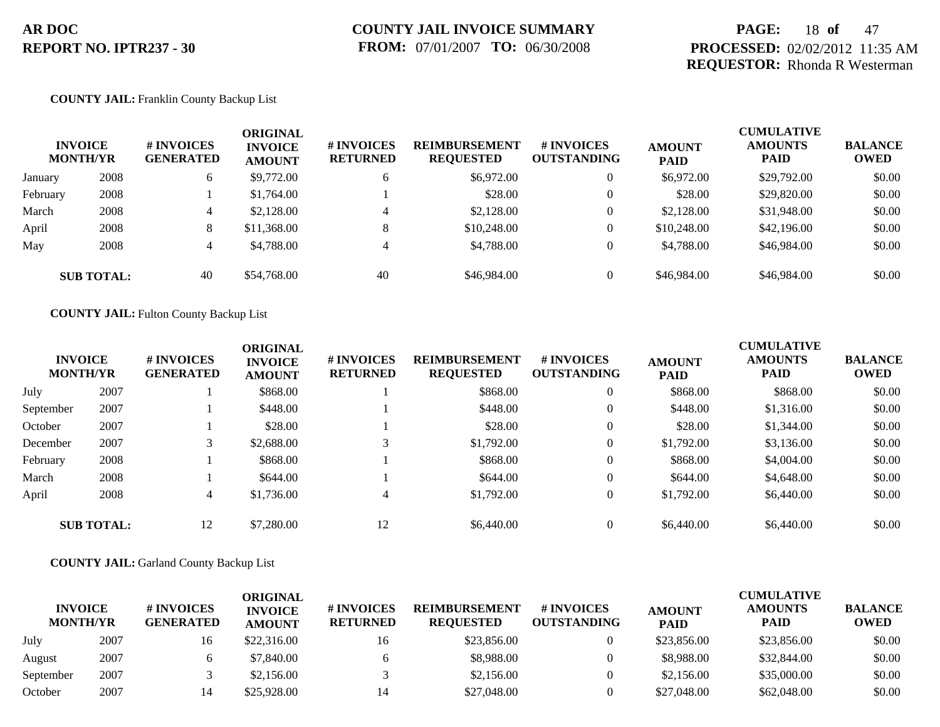### **PAGE:** 18 **of** 47 **PROCESSED:** 02/02/2012 11:35 AM **REQUESTOR:** Rhonda R Westerman

#### **COUNTY JAIL:** Franklin County Backup List

|          | <b>INVOICE</b><br><b>MONTH/YR</b> | # INVOICES<br><b>GENERATED</b> | ORIGINAL<br><b>INVOICE</b><br><b>AMOUNT</b> | # INVOICES<br><b>RETURNED</b> | <b>REIMBURSEMENT</b><br><b>REQUESTED</b> | # INVOICES<br><b>OUTSTANDING</b> | <b>AMOUNT</b><br><b>PAID</b> | <b>CUMULATIVE</b><br><b>AMOUNTS</b><br><b>PAID</b> | <b>BALANCE</b><br><b>OWED</b> |
|----------|-----------------------------------|--------------------------------|---------------------------------------------|-------------------------------|------------------------------------------|----------------------------------|------------------------------|----------------------------------------------------|-------------------------------|
| January  | 2008                              | 6                              | \$9,772.00                                  | 6                             | \$6,972.00                               | $\overline{0}$                   | \$6,972.00                   | \$29,792.00                                        | \$0.00                        |
| February | 2008                              |                                | \$1,764.00                                  |                               | \$28.00                                  | $\overline{0}$                   | \$28.00                      | \$29,820.00                                        | \$0.00                        |
| March    | 2008                              | 4                              | \$2,128,00                                  | 4                             | \$2,128.00                               | $\overline{0}$                   | \$2,128.00                   | \$31,948.00                                        | \$0.00                        |
| April    | 2008                              | 8                              | \$11,368.00                                 | 8                             | \$10,248.00                              | $\overline{0}$                   | \$10,248.00                  | \$42,196.00                                        | \$0.00                        |
| May      | 2008                              | 4                              | \$4,788.00                                  | $\overline{4}$                | \$4,788.00                               | $\overline{0}$                   | \$4,788.00                   | \$46,984.00                                        | \$0.00                        |
|          | <b>SUB TOTAL:</b>                 | 40                             | \$54,768.00                                 | 40                            | \$46,984.00                              | $\overline{0}$                   | \$46,984.00                  | \$46,984.00                                        | \$0.00                        |

**COUNTY JAIL:** Fulton County Backup List

| <b>INVOICE</b><br><b>MONTH/YR</b> |                   | # INVOICES<br><b>GENERATED</b> | <b>ORIGINAL</b><br><b>INVOICE</b><br><b>AMOUNT</b> | # INVOICES<br><b>RETURNED</b> | <b>REIMBURSEMENT</b><br><b>REQUESTED</b> | <b>#INVOICES</b><br><b>OUTSTANDING</b> | <b>AMOUNT</b><br><b>PAID</b> | <b>CUMULATIVE</b><br><b>AMOUNTS</b><br><b>PAID</b> | <b>BALANCE</b><br><b>OWED</b> |
|-----------------------------------|-------------------|--------------------------------|----------------------------------------------------|-------------------------------|------------------------------------------|----------------------------------------|------------------------------|----------------------------------------------------|-------------------------------|
| July                              | 2007              |                                | \$868.00                                           |                               | \$868.00                                 | $\overline{0}$                         | \$868.00                     | \$868.00                                           | \$0.00                        |
| September                         | 2007              |                                | \$448.00                                           |                               | \$448.00                                 | $\overline{0}$                         | \$448.00                     | \$1,316.00                                         | \$0.00                        |
| October                           | 2007              |                                | \$28.00                                            |                               | \$28.00                                  | $\overline{0}$                         | \$28.00                      | \$1,344.00                                         | \$0.00                        |
| December                          | 2007              | 3                              | \$2,688.00                                         | 3                             | \$1,792.00                               | $\theta$                               | \$1,792.00                   | \$3,136.00                                         | \$0.00                        |
| February                          | 2008              |                                | \$868.00                                           |                               | \$868.00                                 | $\overline{0}$                         | \$868.00                     | \$4,004.00                                         | \$0.00                        |
| March                             | 2008              |                                | \$644.00                                           |                               | \$644.00                                 | $\overline{0}$                         | \$644.00                     | \$4,648.00                                         | \$0.00                        |
| April                             | 2008              | 4                              | \$1,736.00                                         | $\overline{4}$                | \$1,792.00                               | $\overline{0}$                         | \$1,792.00                   | \$6,440.00                                         | \$0.00                        |
|                                   | <b>SUB TOTAL:</b> | 12                             | \$7,280.00                                         | 12                            | \$6,440.00                               | $\theta$                               | \$6,440.00                   | \$6,440.00                                         | \$0.00                        |

**COUNTY JAIL:** Garland County Backup List

| <b>INVOICE</b><br><b>MONTH/YR</b> |      | # INVOICES<br><b>GENERATED</b> | ORIGINAL<br><b>INVOICE</b><br><b>AMOUNT</b> | <b># INVOICES</b><br><b>RETURNED</b> | <b>REIMBURSEMENT</b><br><b>REOUESTED</b> | # INVOICES<br><b>OUTSTANDING</b> | <b>AMOUNT</b><br><b>PAID</b> | <b>CUMULATIVE</b><br><b>AMOUNTS</b><br><b>PAID</b> | <b>BALANCE</b><br><b>OWED</b> |
|-----------------------------------|------|--------------------------------|---------------------------------------------|--------------------------------------|------------------------------------------|----------------------------------|------------------------------|----------------------------------------------------|-------------------------------|
| July                              | 2007 | 16                             | \$22,316.00                                 | 16                                   | \$23,856.00                              |                                  | \$23,856.00                  | \$23,856.00                                        | \$0.00                        |
| August                            | 2007 |                                | \$7,840.00                                  |                                      | \$8,988.00                               |                                  | \$8,988.00                   | \$32,844.00                                        | \$0.00                        |
| September                         | 2007 |                                | \$2,156.00                                  |                                      | \$2,156.00                               |                                  | \$2,156.00                   | \$35,000.00                                        | \$0.00                        |
| October                           | 2007 |                                | \$25,928.00                                 | 14                                   | \$27,048.00                              |                                  | \$27,048.00                  | \$62,048.00                                        | \$0.00                        |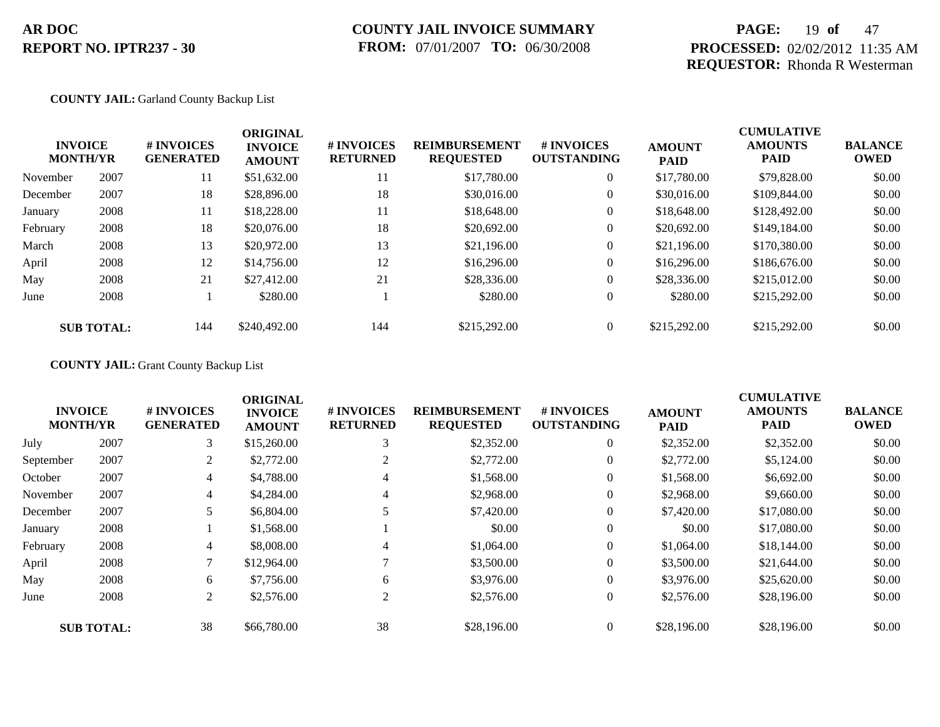### **PAGE:** 19 **of** 47 **PROCESSED:** 02/02/2012 11:35 AM **REQUESTOR:** Rhonda R Westerman

#### **COUNTY JAIL:** Garland County Backup List

|          | <b>INVOICE</b><br><b>MONTH/YR</b> | # INVOICES<br><b>GENERATED</b> | <b>ORIGINAL</b><br><b>INVOICE</b><br><b>AMOUNT</b> | # INVOICES<br><b>RETURNED</b> | <b>REIMBURSEMENT</b><br><b>REQUESTED</b> | <b>#INVOICES</b><br><b>OUTSTANDING</b> | <b>AMOUNT</b><br><b>PAID</b> | <b>CUMULATIVE</b><br><b>AMOUNTS</b><br><b>PAID</b> | <b>BALANCE</b><br><b>OWED</b> |
|----------|-----------------------------------|--------------------------------|----------------------------------------------------|-------------------------------|------------------------------------------|----------------------------------------|------------------------------|----------------------------------------------------|-------------------------------|
| November | 2007                              | 11                             | \$51,632.00                                        | 11                            | \$17,780.00                              | $\overline{0}$                         | \$17,780.00                  | \$79,828.00                                        | \$0.00                        |
| December | 2007                              | 18                             | \$28,896.00                                        | 18                            | \$30,016.00                              | $\overline{0}$                         | \$30,016.00                  | \$109,844.00                                       | \$0.00                        |
| January  | 2008                              | 11                             | \$18,228.00                                        | 11                            | \$18,648.00                              | $\overline{0}$                         | \$18,648.00                  | \$128,492.00                                       | \$0.00                        |
| February | 2008                              | 18                             | \$20,076.00                                        | 18                            | \$20,692.00                              | $\overline{0}$                         | \$20,692.00                  | \$149,184.00                                       | \$0.00                        |
| March    | 2008                              | 13                             | \$20,972.00                                        | 13                            | \$21,196.00                              | $\overline{0}$                         | \$21,196.00                  | \$170,380,00                                       | \$0.00                        |
| April    | 2008                              | 12                             | \$14,756.00                                        | 12                            | \$16,296.00                              | $\overline{0}$                         | \$16,296.00                  | \$186,676.00                                       | \$0.00                        |
| May      | 2008                              | 21                             | \$27,412.00                                        | 21                            | \$28,336.00                              | $\overline{0}$                         | \$28,336.00                  | \$215,012.00                                       | \$0.00                        |
| June     | 2008                              |                                | \$280.00                                           |                               | \$280.00                                 | $\overline{0}$                         | \$280.00                     | \$215,292.00                                       | \$0.00                        |
|          | <b>SUB TOTAL:</b>                 | 144                            | \$240,492.00                                       | 144                           | \$215,292.00                             | $\theta$                               | \$215,292.00                 | \$215,292.00                                       | \$0.00                        |

### **COUNTY JAIL:** Grant County Backup List

|           |                                   |                                      | <b>ORIGINAL</b>                 |                               |                                          |                                        |                              | <b>CUMULATIVE</b>             |                               |
|-----------|-----------------------------------|--------------------------------------|---------------------------------|-------------------------------|------------------------------------------|----------------------------------------|------------------------------|-------------------------------|-------------------------------|
|           | <b>INVOICE</b><br><b>MONTH/YR</b> | <b>#INVOICES</b><br><b>GENERATED</b> | <b>INVOICE</b><br><b>AMOUNT</b> | # INVOICES<br><b>RETURNED</b> | <b>REIMBURSEMENT</b><br><b>REQUESTED</b> | <b>#INVOICES</b><br><b>OUTSTANDING</b> | <b>AMOUNT</b><br><b>PAID</b> | <b>AMOUNTS</b><br><b>PAID</b> | <b>BALANCE</b><br><b>OWED</b> |
| July      | 2007                              | 3                                    | \$15,260.00                     | 3                             | \$2,352.00                               | $\overline{0}$                         | \$2,352.00                   | \$2,352.00                    | \$0.00                        |
| September | 2007                              | 2                                    | \$2,772.00                      | 2                             | \$2,772.00                               | $\overline{0}$                         | \$2,772.00                   | \$5,124.00                    | \$0.00                        |
| October   | 2007                              | 4                                    | \$4,788.00                      | 4                             | \$1,568.00                               | $\theta$                               | \$1,568.00                   | \$6,692.00                    | \$0.00                        |
| November  | 2007                              | 4                                    | \$4,284.00                      | 4                             | \$2,968.00                               | $\theta$                               | \$2,968.00                   | \$9,660.00                    | \$0.00                        |
| December  | 2007                              |                                      | \$6,804.00                      |                               | \$7,420.00                               | $\mathbf{0}$                           | \$7,420.00                   | \$17,080.00                   | \$0.00                        |
| January   | 2008                              |                                      | \$1,568.00                      |                               | \$0.00                                   | $\theta$                               | \$0.00                       | \$17,080.00                   | \$0.00                        |
| February  | 2008                              | 4                                    | \$8,008.00                      | 4                             | \$1,064.00                               | $\mathbf{0}$                           | \$1,064.00                   | \$18,144.00                   | \$0.00                        |
| April     | 2008                              | 7                                    | \$12,964.00                     |                               | \$3,500.00                               | $\theta$                               | \$3,500.00                   | \$21,644.00                   | \$0.00                        |
| May       | 2008                              | 6                                    | \$7,756.00                      | 6                             | \$3,976.00                               | $\theta$                               | \$3,976.00                   | \$25,620.00                   | \$0.00                        |
| June      | 2008                              | 2                                    | \$2,576.00                      | 2                             | \$2,576.00                               | $\overline{0}$                         | \$2,576.00                   | \$28,196.00                   | \$0.00                        |
|           | <b>SUB TOTAL:</b>                 | 38                                   | \$66,780.00                     | 38                            | \$28,196.00                              | $\overline{0}$                         | \$28,196.00                  | \$28,196.00                   | \$0.00                        |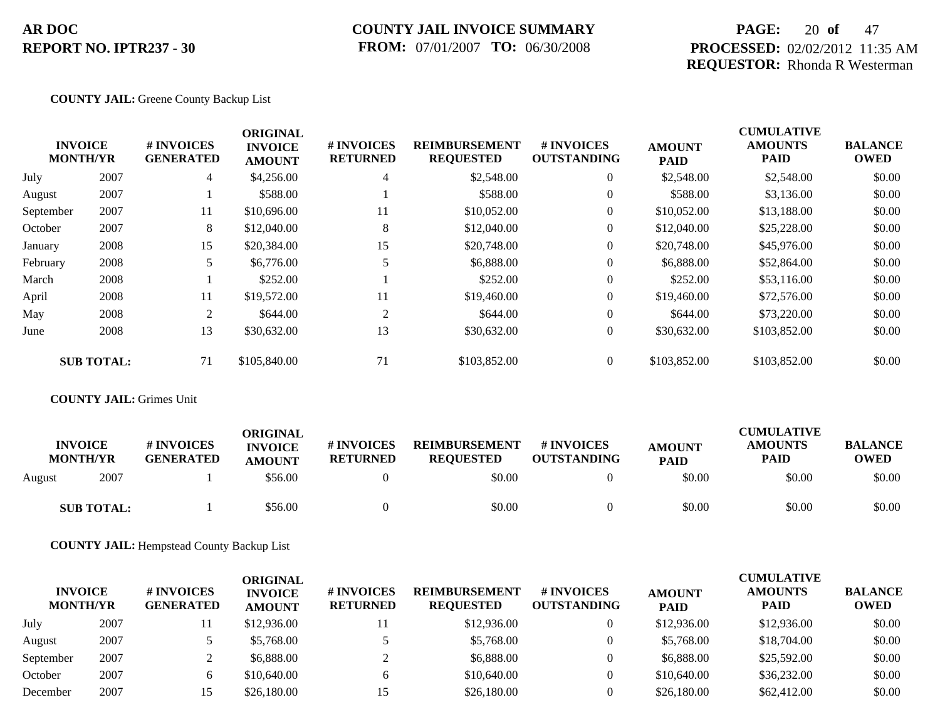### **COUNTY JAIL INVOICE SUMMARY FROM:** 07/01/2007 **TO:** 06/30/2008

### **PAGE:** 20 **of** 47 **PROCESSED:** 02/02/2012 11:35 AM **REQUESTOR:** Rhonda R Westerman

#### **COUNTY JAIL:** Greene County Backup List

|           |                                   |                                | <b>ORIGINAL</b>                 |                               |                                          |                                  |                              | <b>CUMULATIVE</b>             |                               |
|-----------|-----------------------------------|--------------------------------|---------------------------------|-------------------------------|------------------------------------------|----------------------------------|------------------------------|-------------------------------|-------------------------------|
|           | <b>INVOICE</b><br><b>MONTH/YR</b> | # INVOICES<br><b>GENERATED</b> | <b>INVOICE</b><br><b>AMOUNT</b> | # INVOICES<br><b>RETURNED</b> | <b>REIMBURSEMENT</b><br><b>REQUESTED</b> | # INVOICES<br><b>OUTSTANDING</b> | <b>AMOUNT</b><br><b>PAID</b> | <b>AMOUNTS</b><br><b>PAID</b> | <b>BALANCE</b><br><b>OWED</b> |
| July      | 2007                              | $\overline{4}$                 | \$4,256.00                      | 4                             | \$2,548.00                               | $\overline{0}$                   | \$2,548.00                   | \$2,548.00                    | \$0.00                        |
| August    | 2007                              |                                | \$588.00                        |                               | \$588.00                                 | $\overline{0}$                   | \$588.00                     | \$3,136.00                    | \$0.00                        |
| September | 2007                              | 11                             | \$10,696.00                     | 11                            | \$10,052.00                              | $\overline{0}$                   | \$10,052.00                  | \$13,188.00                   | \$0.00                        |
| October   | 2007                              | 8                              | \$12,040.00                     | 8                             | \$12,040.00                              | $\overline{0}$                   | \$12,040.00                  | \$25,228.00                   | \$0.00                        |
| January   | 2008                              | 15                             | \$20,384.00                     | 15                            | \$20,748.00                              | $\overline{0}$                   | \$20,748.00                  | \$45,976.00                   | \$0.00                        |
| February  | 2008                              |                                | \$6,776.00                      |                               | \$6,888.00                               | $\overline{0}$                   | \$6,888.00                   | \$52,864.00                   | \$0.00                        |
| March     | 2008                              |                                | \$252.00                        |                               | \$252.00                                 | $\overline{0}$                   | \$252.00                     | \$53,116.00                   | \$0.00                        |
| April     | 2008                              | 11                             | \$19,572.00                     | 11                            | \$19,460.00                              | $\overline{0}$                   | \$19,460.00                  | \$72,576.00                   | \$0.00                        |
| May       | 2008                              | 2                              | \$644.00                        | $\overline{2}$                | \$644.00                                 | $\overline{0}$                   | \$644.00                     | \$73,220.00                   | \$0.00                        |
| June      | 2008                              | 13                             | \$30,632.00                     | 13                            | \$30,632.00                              | $\overline{0}$                   | \$30,632.00                  | \$103,852.00                  | \$0.00                        |
|           | <b>SUB TOTAL:</b>                 | 71                             | \$105,840.00                    | 71                            | \$103,852.00                             | $\overline{0}$                   | \$103,852.00                 | \$103,852.00                  | \$0.00                        |

### **COUNTY JAIL:** Grimes Unit

| <b>INVOICE</b><br><b>MONTH/YR</b> |                   | # INVOICES<br><b>GENERATED</b> | ORIGINAL<br><b>INVOICE</b><br><b>AMOUNT</b> | <b># INVOICES</b><br><b>RETURNED</b> | <b>REIMBURSEMENT</b><br><b>REQUESTED</b> | # INVOICES<br><b>OUTSTANDING</b> | <b>AMOUNT</b><br><b>PAID</b> | <b>CUMULATIVE</b><br><b>AMOUNTS</b><br><b>PAID</b> | <b>BALANCE</b><br><b>OWED</b> |
|-----------------------------------|-------------------|--------------------------------|---------------------------------------------|--------------------------------------|------------------------------------------|----------------------------------|------------------------------|----------------------------------------------------|-------------------------------|
| August                            | 2007              |                                | \$56.00                                     |                                      | \$0.00                                   |                                  | \$0.00                       | \$0.00                                             | \$0.00                        |
|                                   | <b>SUB TOTAL:</b> |                                | \$56.00                                     |                                      | \$0.00                                   |                                  | \$0.00                       | \$0.00                                             | \$0.00                        |

**COUNTY JAIL:** Hempstead County Backup List

| <b>INVOICE</b><br><b>MONTH/YR</b> |      | # INVOICES<br><b>GENERATED</b> | ORIGINAL<br><b>INVOICE</b><br><b>AMOUNT</b> | <b># INVOICES</b><br><b>RETURNED</b> | <b>REIMBURSEMENT</b><br><b>REQUESTED</b> | <b>#INVOICES</b><br><b>OUTSTANDING</b> | <b>AMOUNT</b><br><b>PAID</b> | <b>CUMULATIVE</b><br><b>AMOUNTS</b><br><b>PAID</b> | <b>BALANCE</b><br><b>OWED</b> |
|-----------------------------------|------|--------------------------------|---------------------------------------------|--------------------------------------|------------------------------------------|----------------------------------------|------------------------------|----------------------------------------------------|-------------------------------|
| July                              | 2007 |                                | \$12,936.00                                 |                                      | \$12,936.00                              |                                        | \$12,936.00                  | \$12,936.00                                        | \$0.00                        |
| August                            | 2007 |                                | \$5,768.00                                  |                                      | \$5,768.00                               |                                        | \$5,768.00                   | \$18,704.00                                        | \$0.00                        |
| September                         | 2007 |                                | \$6,888.00                                  |                                      | \$6,888.00                               |                                        | \$6,888.00                   | \$25,592.00                                        | \$0.00                        |
| October                           | 2007 |                                | \$10,640.00                                 |                                      | \$10,640.00                              |                                        | \$10,640.00                  | \$36,232.00                                        | \$0.00                        |
| December                          | 2007 |                                | \$26,180.00                                 | 15                                   | \$26,180.00                              |                                        | \$26,180.00                  | \$62,412.00                                        | \$0.00                        |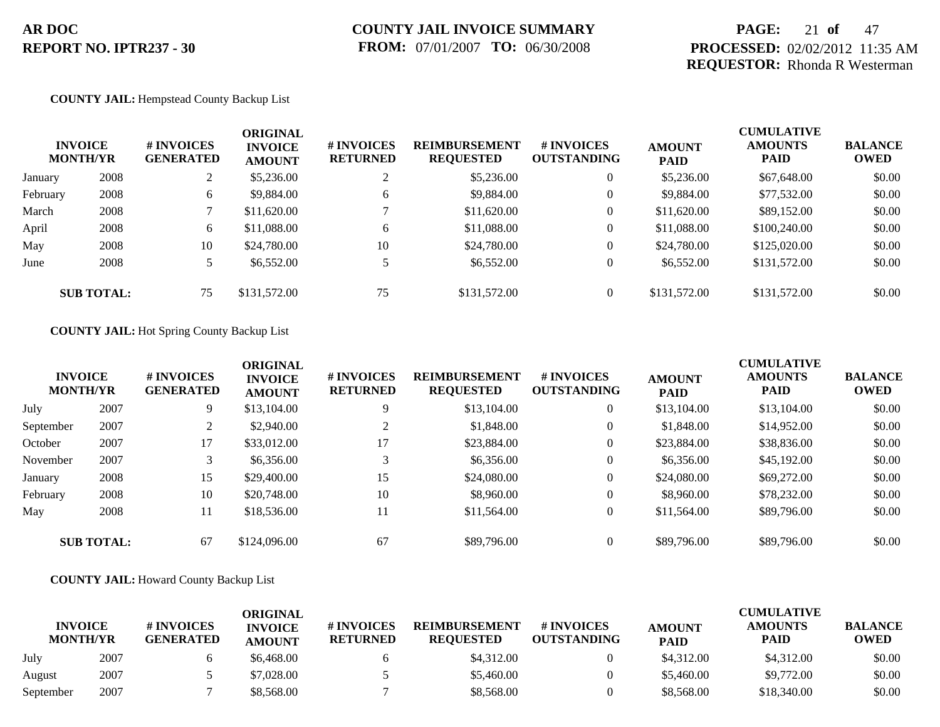### **PAGE:** 21 **of** 47 **PROCESSED:** 02/02/2012 11:35 AM **REQUESTOR:** Rhonda R Westerman

#### **COUNTY JAIL:** Hempstead County Backup List

|          | <b>INVOICE</b><br><b>MONTH/YR</b> | # INVOICES<br><b>GENERATED</b> | <b>ORIGINAL</b><br><b>INVOICE</b><br><b>AMOUNT</b> | # INVOICES<br><b>RETURNED</b> | <b>REIMBURSEMENT</b><br><b>REQUESTED</b> | <b># INVOICES</b><br><b>OUTSTANDING</b> | <b>AMOUNT</b><br><b>PAID</b> | <b>CUMULATIVE</b><br><b>AMOUNTS</b><br><b>PAID</b> | <b>BALANCE</b><br><b>OWED</b> |
|----------|-----------------------------------|--------------------------------|----------------------------------------------------|-------------------------------|------------------------------------------|-----------------------------------------|------------------------------|----------------------------------------------------|-------------------------------|
| January  | 2008                              | $\overline{L}$                 | \$5,236.00                                         |                               | \$5,236.00                               | $\overline{0}$                          | \$5,236.00                   | \$67,648.00                                        | \$0.00                        |
| February | 2008                              | 6                              | \$9,884.00                                         | 6                             | \$9,884.00                               | $\overline{0}$                          | \$9,884.00                   | \$77,532.00                                        | \$0.00                        |
| March    | 2008                              |                                | \$11,620.00                                        |                               | \$11,620.00                              | $\overline{0}$                          | \$11,620.00                  | \$89,152.00                                        | \$0.00                        |
| April    | 2008                              | 6                              | \$11,088.00                                        | 6                             | \$11,088.00                              | $\overline{0}$                          | \$11,088.00                  | \$100,240.00                                       | \$0.00                        |
| May      | 2008                              | 10                             | \$24,780.00                                        | 10                            | \$24,780.00                              | $\overline{0}$                          | \$24,780.00                  | \$125,020.00                                       | \$0.00                        |
| June     | 2008                              | 5                              | \$6,552.00                                         |                               | \$6,552.00                               | $\overline{0}$                          | \$6,552.00                   | \$131,572.00                                       | \$0.00                        |
|          | <b>SUB TOTAL:</b>                 | 75                             | \$131,572.00                                       | 75                            | \$131,572.00                             | $\Omega$                                | \$131,572.00                 | \$131,572.00                                       | \$0.00                        |

#### **COUNTY JAIL:** Hot Spring County Backup List

| <b>INVOICE</b><br><b>MONTH/YR</b> |                   | # INVOICES<br><b>GENERATED</b> | <b>ORIGINAL</b><br><b>INVOICE</b><br><b>AMOUNT</b> | # INVOICES<br><b>RETURNED</b> | <b>REIMBURSEMENT</b><br><b>REQUESTED</b> | # INVOICES<br><b>OUTSTANDING</b> | <b>AMOUNT</b><br><b>PAID</b> | <b>CUMULATIVE</b><br><b>AMOUNTS</b><br><b>PAID</b> | <b>BALANCE</b><br><b>OWED</b> |
|-----------------------------------|-------------------|--------------------------------|----------------------------------------------------|-------------------------------|------------------------------------------|----------------------------------|------------------------------|----------------------------------------------------|-------------------------------|
| July                              | 2007              | 9                              | \$13,104.00                                        | 9                             | \$13,104.00                              | $\overline{0}$                   | \$13,104.00                  | \$13,104.00                                        | \$0.00                        |
| September                         | 2007              |                                | \$2,940.00                                         | ∠                             | \$1,848.00                               | $\overline{0}$                   | \$1,848.00                   | \$14,952.00                                        | \$0.00                        |
| October                           | 2007              | 17                             | \$33,012.00                                        | 17                            | \$23,884.00                              | $\theta$                         | \$23,884.00                  | \$38,836.00                                        | \$0.00                        |
| November                          | 2007              | 3                              | \$6,356.00                                         | 3                             | \$6,356.00                               | $\overline{0}$                   | \$6,356.00                   | \$45,192.00                                        | \$0.00                        |
| January                           | 2008              | 15                             | \$29,400.00                                        | 15                            | \$24,080.00                              | $\overline{0}$                   | \$24,080.00                  | \$69,272.00                                        | \$0.00                        |
| February                          | 2008              | 10                             | \$20,748.00                                        | 10                            | \$8,960.00                               | $\theta$                         | \$8,960.00                   | \$78,232.00                                        | \$0.00                        |
| May                               | 2008              | 11                             | \$18,536.00                                        | 11                            | \$11,564.00                              | $\overline{0}$                   | \$11,564.00                  | \$89,796.00                                        | \$0.00                        |
|                                   | <b>SUB TOTAL:</b> | 67                             | \$124,096.00                                       | 67                            | \$89,796.00                              | $\overline{0}$                   | \$89,796.00                  | \$89,796.00                                        | \$0.00                        |

#### **COUNTY JAIL:** Howard County Backup List

| <b>INVOICE</b><br><b>MONTH/YR</b> |      | # INVOICES<br><b>GENERATED</b> | ORIGINAL<br><b>INVOICE</b><br><b>AMOUNT</b> | # INVOICES<br><b>RETURNED</b> | <b>REIMBURSEMENT</b><br><b>REOUESTED</b> | <b>#INVOICES</b><br><b>OUTSTANDING</b> | <b>AMOUNT</b><br><b>PAID</b> | <b>CUMULATIVE</b><br><b>AMOUNTS</b><br>PAID | <b>BALANCE</b><br><b>OWED</b> |
|-----------------------------------|------|--------------------------------|---------------------------------------------|-------------------------------|------------------------------------------|----------------------------------------|------------------------------|---------------------------------------------|-------------------------------|
| July                              | 2007 |                                | \$6,468.00                                  |                               | \$4,312.00                               |                                        | \$4,312.00                   | \$4,312.00                                  | \$0.00                        |
| August                            | 2007 |                                | \$7,028.00                                  |                               | \$5,460.00                               |                                        | \$5,460.00                   | \$9,772.00                                  | \$0.00                        |
| September                         | 2007 |                                | \$8,568.00                                  |                               | \$8,568.00                               |                                        | \$8,568.00                   | \$18,340.00                                 | \$0.00                        |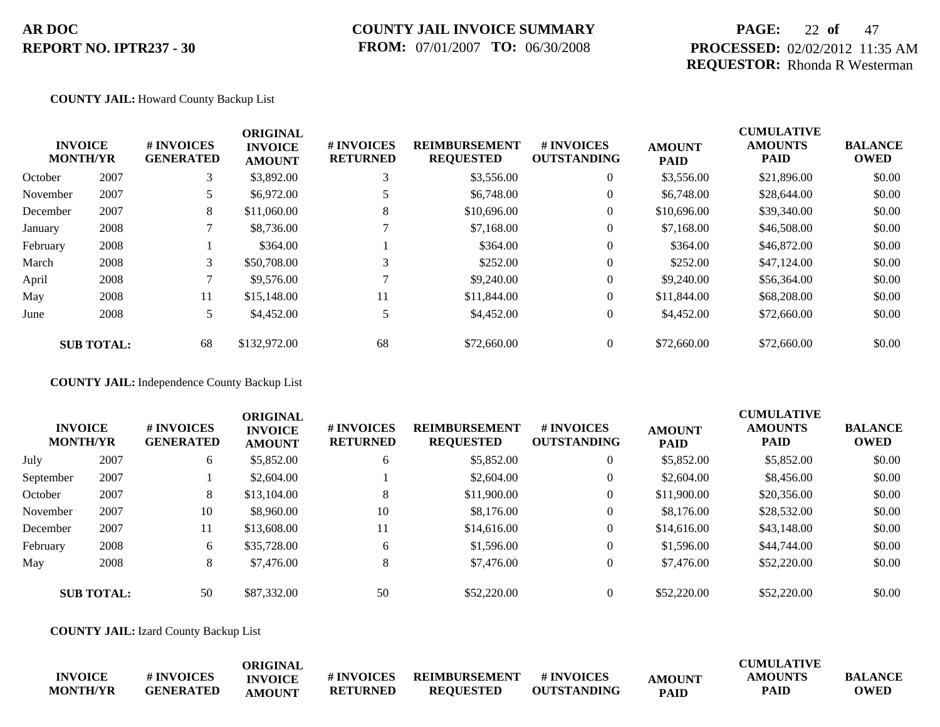### **COUNTY JAIL INVOICE SUMMARY FROM:** 07/01/2007 **TO:** 06/30/2008

### **PAGE:** 22 **of** 47 **PROCESSED:** 02/02/2012 11:35 AM **REQUESTOR:** Rhonda R Westerman

#### **COUNTY JAIL:** Howard County Backup List

|          | <b>INVOICE</b><br><b>MONTH/YR</b> | <b>#INVOICES</b><br><b>GENERATED</b> | <b>ORIGINAL</b><br><b>INVOICE</b><br><b>AMOUNT</b> | # INVOICES<br><b>RETURNED</b> | <b>REIMBURSEMENT</b><br><b>REQUESTED</b> | <b>#INVOICES</b><br><b>OUTSTANDING</b> | <b>AMOUNT</b><br><b>PAID</b> | <b>CUMULATIVE</b><br><b>AMOUNTS</b><br><b>PAID</b> | <b>BALANCE</b><br><b>OWED</b> |
|----------|-----------------------------------|--------------------------------------|----------------------------------------------------|-------------------------------|------------------------------------------|----------------------------------------|------------------------------|----------------------------------------------------|-------------------------------|
| October  | 2007                              | 3                                    | \$3,892.00                                         |                               | \$3,556.00                               | $\overline{0}$                         | \$3,556.00                   | \$21,896.00                                        | \$0.00                        |
| November | 2007                              |                                      | \$6,972.00                                         |                               | \$6,748.00                               | $\overline{0}$                         | \$6,748.00                   | \$28,644.00                                        | \$0.00                        |
| December | 2007                              | 8                                    | \$11,060.00                                        | 8                             | \$10,696.00                              | $\overline{0}$                         | \$10,696.00                  | \$39,340.00                                        | \$0.00                        |
| January  | 2008                              |                                      | \$8,736.00                                         |                               | \$7,168.00                               | $\overline{0}$                         | \$7,168.00                   | \$46,508.00                                        | \$0.00                        |
| February | 2008                              |                                      | \$364.00                                           |                               | \$364.00                                 | $\overline{0}$                         | \$364.00                     | \$46,872.00                                        | \$0.00                        |
| March    | 2008                              | 3                                    | \$50,708.00                                        | 3                             | \$252.00                                 | $\overline{0}$                         | \$252.00                     | \$47,124,00                                        | \$0.00                        |
| April    | 2008                              |                                      | \$9,576.00                                         |                               | \$9,240.00                               | $\overline{0}$                         | \$9,240.00                   | \$56,364.00                                        | \$0.00                        |
| May      | 2008                              | 11                                   | \$15,148.00                                        | 11                            | \$11,844.00                              | $\overline{0}$                         | \$11,844.00                  | \$68,208.00                                        | \$0.00                        |
| June     | 2008                              | 5                                    | \$4,452.00                                         |                               | \$4,452.00                               | $\overline{0}$                         | \$4,452.00                   | \$72,660.00                                        | \$0.00                        |
|          | <b>SUB TOTAL:</b>                 | 68                                   | \$132,972.00                                       | 68                            | \$72,660.00                              | $\overline{0}$                         | \$72,660.00                  | \$72,660.00                                        | \$0.00                        |

**COUNTY JAIL:** Independence County Backup List

| <b>MONTH/YR</b> | <b>INVOICE</b>    | # INVOICES<br><b>GENERATED</b> | <b>ORIGINAL</b><br><b>INVOICE</b><br><b>AMOUNT</b> | # INVOICES<br><b>RETURNED</b> | <b>REIMBURSEMENT</b><br><b>REQUESTED</b> | <b># INVOICES</b><br><b>OUTSTANDING</b> | <b>AMOUNT</b><br><b>PAID</b> | <b>CUMULATIVE</b><br><b>AMOUNTS</b><br>PAID | <b>BALANCE</b><br><b>OWED</b> |
|-----------------|-------------------|--------------------------------|----------------------------------------------------|-------------------------------|------------------------------------------|-----------------------------------------|------------------------------|---------------------------------------------|-------------------------------|
| July            | 2007              | 6                              | \$5,852.00                                         | 6                             | \$5,852.00                               | $\overline{0}$                          | \$5,852.00                   | \$5,852.00                                  | \$0.00                        |
| September       | 2007              |                                | \$2,604.00                                         |                               | \$2,604.00                               | 0                                       | \$2,604.00                   | \$8,456.00                                  | \$0.00                        |
| October         | 2007              | 8                              | \$13,104.00                                        | 8                             | \$11,900.00                              | $\overline{0}$                          | \$11,900.00                  | \$20,356.00                                 | \$0.00                        |
| November        | 2007              | 10                             | \$8,960.00                                         | 10                            | \$8,176.00                               | $\overline{0}$                          | \$8,176.00                   | \$28,532.00                                 | \$0.00                        |
| December        | 2007              | 11                             | \$13,608.00                                        | 11                            | \$14,616.00                              | $\overline{0}$                          | \$14,616.00                  | \$43,148,00                                 | \$0.00                        |
| February        | 2008              | 6                              | \$35,728.00                                        | 6                             | \$1,596.00                               | $\overline{0}$                          | \$1,596.00                   | \$44,744.00                                 | \$0.00                        |
| May             | 2008              | 8                              | \$7,476.00                                         | 8                             | \$7,476.00                               | $\overline{0}$                          | \$7,476.00                   | \$52,220.00                                 | \$0.00                        |
|                 | <b>SUB TOTAL:</b> | 50                             | \$87,332.00                                        | 50                            | \$52,220.00                              | $\Omega$                                | \$52,220.00                  | \$52,220.00                                 | \$0.00                        |

**COUNTY JAIL:** Izard County Backup List

|                 |                  | ORIGINAL       |                  |                      |                    |               | <b>CUMULATIVE</b> |                |
|-----------------|------------------|----------------|------------------|----------------------|--------------------|---------------|-------------------|----------------|
| <b>INVOICE</b>  | # INVOICES       | <b>INVOICE</b> | <b>#INVOICES</b> | <b>REIMBURSEMENT</b> | # INVOICES         | <b>AMOUNT</b> | AMOUNTS           | <b>BALANCE</b> |
| <b>MONTH/YR</b> | <b>GENERATED</b> | <b>AMOUNT</b>  | <b>RETURNED</b>  | <b>REOUESTED</b>     | <b>OUTSTANDING</b> | <b>PAID</b>   | <b>PAID</b>       | <b>OWED</b>    |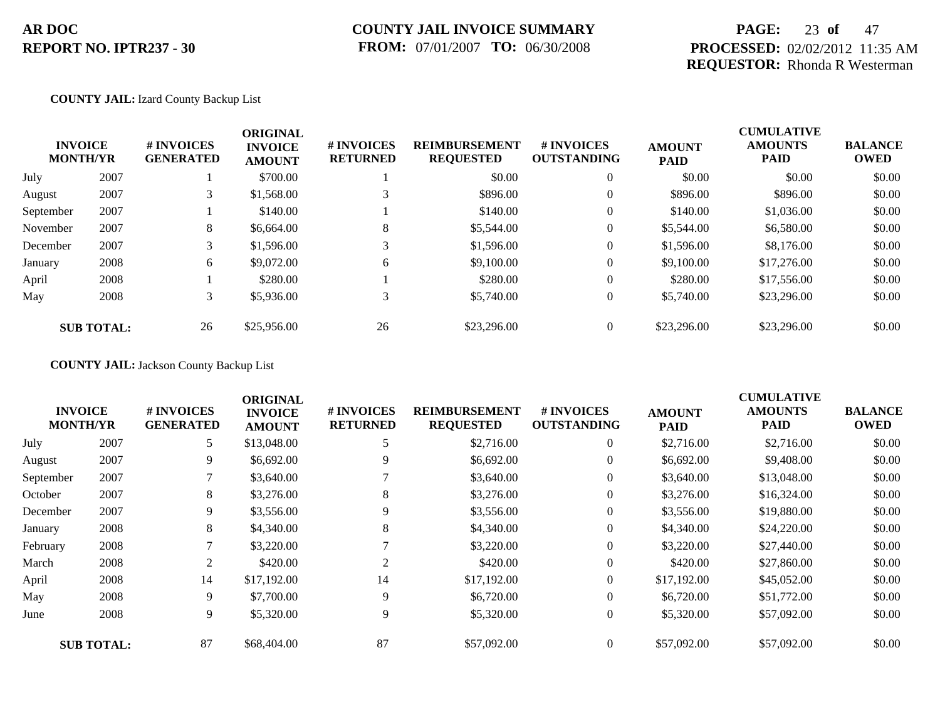### **PAGE:** 23 **of** 47 **PROCESSED:** 02/02/2012 11:35 AM **REQUESTOR:** Rhonda R Westerman

#### **COUNTY JAIL:** Izard County Backup List

|           | <b>INVOICE</b><br><b>MONTH/YR</b> | # INVOICES<br><b>GENERATED</b> | <b>ORIGINAL</b><br><b>INVOICE</b><br><b>AMOUNT</b> | # INVOICES<br><b>RETURNED</b> | <b>REIMBURSEMENT</b><br><b>REQUESTED</b> | # INVOICES<br><b>OUTSTANDING</b> | <b>AMOUNT</b><br><b>PAID</b> | <b>CUMULATIVE</b><br><b>AMOUNTS</b><br>PAID | <b>BALANCE</b><br><b>OWED</b> |
|-----------|-----------------------------------|--------------------------------|----------------------------------------------------|-------------------------------|------------------------------------------|----------------------------------|------------------------------|---------------------------------------------|-------------------------------|
| July      | 2007                              |                                | \$700.00                                           |                               | \$0.00                                   | $\overline{0}$                   | \$0.00                       | \$0.00                                      | \$0.00                        |
| August    | 2007                              | 3                              | \$1,568.00                                         |                               | \$896.00                                 | $\overline{0}$                   | \$896.00                     | \$896.00                                    | \$0.00                        |
| September | 2007                              |                                | \$140.00                                           |                               | \$140.00                                 | $\overline{0}$                   | \$140.00                     | \$1,036.00                                  | \$0.00                        |
| November  | 2007                              | 8                              | \$6,664.00                                         | 8                             | \$5,544.00                               | $\theta$                         | \$5,544.00                   | \$6,580.00                                  | \$0.00                        |
| December  | 2007                              | 3                              | \$1,596.00                                         |                               | \$1,596.00                               | $\overline{0}$                   | \$1,596.00                   | \$8,176.00                                  | \$0.00                        |
| January   | 2008                              | 6                              | \$9,072.00                                         | 6                             | \$9,100.00                               | $\overline{0}$                   | \$9,100.00                   | \$17,276.00                                 | \$0.00                        |
| April     | 2008                              |                                | \$280.00                                           |                               | \$280.00                                 | $\overline{0}$                   | \$280.00                     | \$17,556.00                                 | \$0.00                        |
| May       | 2008                              | 3                              | \$5,936.00                                         | 3                             | \$5,740.00                               | $\overline{0}$                   | \$5,740.00                   | \$23,296.00                                 | \$0.00                        |
|           | <b>SUB TOTAL:</b>                 | 26                             | \$25,956.00                                        | 26                            | \$23,296.00                              | $\overline{0}$                   | \$23,296.00                  | \$23,296.00                                 | \$0.00                        |

### **COUNTY JAIL:** Jackson County Backup List

|           |                                   |                                | <b>ORIGINAL</b>                 |                               |                                          |                                  |                              | <b>CUMULATIVE</b>             |                               |
|-----------|-----------------------------------|--------------------------------|---------------------------------|-------------------------------|------------------------------------------|----------------------------------|------------------------------|-------------------------------|-------------------------------|
|           | <b>INVOICE</b><br><b>MONTH/YR</b> | # INVOICES<br><b>GENERATED</b> | <b>INVOICE</b><br><b>AMOUNT</b> | # INVOICES<br><b>RETURNED</b> | <b>REIMBURSEMENT</b><br><b>REQUESTED</b> | # INVOICES<br><b>OUTSTANDING</b> | <b>AMOUNT</b><br><b>PAID</b> | <b>AMOUNTS</b><br><b>PAID</b> | <b>BALANCE</b><br><b>OWED</b> |
| July      | 2007                              | 5                              | \$13,048.00                     |                               | \$2,716.00                               | $\overline{0}$                   | \$2,716.00                   | \$2,716.00                    | \$0.00                        |
| August    | 2007                              | 9                              | \$6,692.00                      | 9                             | \$6,692.00                               | $\overline{0}$                   | \$6,692.00                   | \$9,408.00                    | \$0.00                        |
| September | 2007                              |                                | \$3,640.00                      |                               | \$3,640.00                               | $\overline{0}$                   | \$3,640.00                   | \$13,048.00                   | \$0.00                        |
| October   | 2007                              | 8                              | \$3,276.00                      | 8                             | \$3,276.00                               | 0                                | \$3,276.00                   | \$16,324.00                   | \$0.00                        |
| December  | 2007                              | 9                              | \$3,556.00                      | 9                             | \$3,556.00                               | $\overline{0}$                   | \$3,556.00                   | \$19,880.00                   | \$0.00                        |
| January   | 2008                              | 8                              | \$4,340.00                      | 8                             | \$4,340.00                               | $\overline{0}$                   | \$4,340.00                   | \$24,220.00                   | \$0.00                        |
| February  | 2008                              |                                | \$3,220.00                      |                               | \$3,220.00                               | $\overline{0}$                   | \$3,220.00                   | \$27,440.00                   | \$0.00                        |
| March     | 2008                              | 2                              | \$420.00                        | 2                             | \$420.00                                 | $\overline{0}$                   | \$420.00                     | \$27,860.00                   | \$0.00                        |
| April     | 2008                              | 14                             | \$17,192.00                     | 14                            | \$17,192.00                              | $\overline{0}$                   | \$17,192.00                  | \$45,052.00                   | \$0.00                        |
| May       | 2008                              | 9                              | \$7,700.00                      | 9                             | \$6,720.00                               | $\overline{0}$                   | \$6,720.00                   | \$51,772.00                   | \$0.00                        |
| June      | 2008                              | 9                              | \$5,320.00                      | 9                             | \$5,320.00                               | $\overline{0}$                   | \$5,320.00                   | \$57,092.00                   | \$0.00                        |
|           | <b>SUB TOTAL:</b>                 | 87                             | \$68,404.00                     | 87                            | \$57,092.00                              | $\overline{0}$                   | \$57,092.00                  | \$57,092.00                   | \$0.00                        |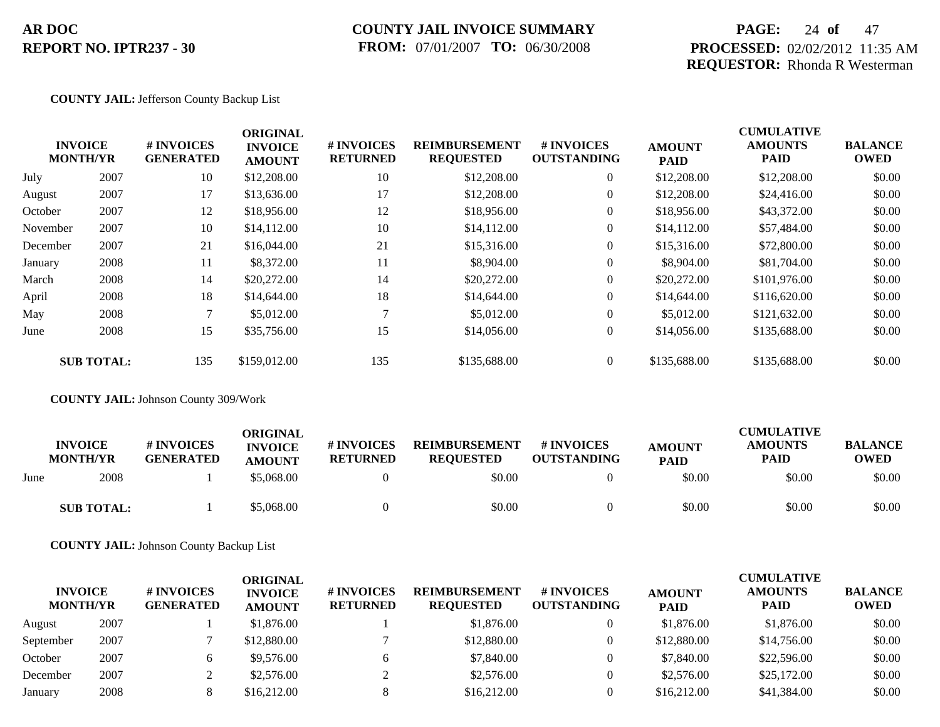### **COUNTY JAIL INVOICE SUMMARY FROM:** 07/01/2007 **TO:** 06/30/2008

### **PAGE:** 24 **of** 47 **PROCESSED:** 02/02/2012 11:35 AM **REQUESTOR:** Rhonda R Westerman

#### **COUNTY JAIL:** Jefferson County Backup List

|          |                                   |                                | <b>ORIGINAL</b>                 |                               |                                          |                                  |                              | <b>CUMULATIVE</b>             |                               |
|----------|-----------------------------------|--------------------------------|---------------------------------|-------------------------------|------------------------------------------|----------------------------------|------------------------------|-------------------------------|-------------------------------|
|          | <b>INVOICE</b><br><b>MONTH/YR</b> | # INVOICES<br><b>GENERATED</b> | <b>INVOICE</b><br><b>AMOUNT</b> | # INVOICES<br><b>RETURNED</b> | <b>REIMBURSEMENT</b><br><b>REQUESTED</b> | # INVOICES<br><b>OUTSTANDING</b> | <b>AMOUNT</b><br><b>PAID</b> | <b>AMOUNTS</b><br><b>PAID</b> | <b>BALANCE</b><br><b>OWED</b> |
| July     | 2007                              | 10                             | \$12,208.00                     | 10                            | \$12,208.00                              | $\overline{0}$                   | \$12,208.00                  | \$12,208.00                   | \$0.00                        |
| August   | 2007                              | 17                             | \$13,636.00                     | 17                            | \$12,208.00                              | $\overline{0}$                   | \$12,208.00                  | \$24,416.00                   | \$0.00                        |
| October  | 2007                              | 12                             | \$18,956.00                     | 12                            | \$18,956.00                              | $\overline{0}$                   | \$18,956.00                  | \$43,372.00                   | \$0.00                        |
| November | 2007                              | 10                             | \$14,112.00                     | 10                            | \$14,112.00                              | $\overline{0}$                   | \$14,112.00                  | \$57,484.00                   | \$0.00                        |
| December | 2007                              | 21                             | \$16,044.00                     | 21                            | \$15,316.00                              | $\overline{0}$                   | \$15,316.00                  | \$72,800.00                   | \$0.00                        |
| January  | 2008                              | 11                             | \$8,372.00                      | 11                            | \$8,904.00                               | $\overline{0}$                   | \$8,904.00                   | \$81,704.00                   | \$0.00                        |
| March    | 2008                              | 14                             | \$20,272.00                     | 14                            | \$20,272.00                              | $\overline{0}$                   | \$20,272.00                  | \$101,976.00                  | \$0.00                        |
| April    | 2008                              | 18                             | \$14,644.00                     | 18                            | \$14,644.00                              | $\overline{0}$                   | \$14,644.00                  | \$116,620.00                  | \$0.00                        |
| May      | 2008                              |                                | \$5,012.00                      |                               | \$5,012.00                               | $\overline{0}$                   | \$5,012.00                   | \$121,632.00                  | \$0.00                        |
| June     | 2008                              | 15                             | \$35,756.00                     | 15                            | \$14,056.00                              | $\overline{0}$                   | \$14,056.00                  | \$135,688.00                  | \$0.00                        |
|          | <b>SUB TOTAL:</b>                 | 135                            | \$159,012.00                    | 135                           | \$135,688.00                             | $\overline{0}$                   | \$135,688.00                 | \$135,688.00                  | \$0.00                        |

**COUNTY JAIL:** Johnson County 309/Work

|      | <b>INVOICE</b><br><b>MONTH/YR</b> | # INVOICES<br><b>GENERATED</b> | ORIGINAL<br><b>INVOICE</b>  | <b># INVOICES</b> | <b>REIMBURSEMENT</b>       | # INVOICES<br><b>OUTSTANDING</b> | <b>AMOUNT</b>         | CUMULATIVE<br><b>AMOUNTS</b> | <b>BALANCE</b> |
|------|-----------------------------------|--------------------------------|-----------------------------|-------------------|----------------------------|----------------------------------|-----------------------|------------------------------|----------------|
| June | 2008                              |                                | <b>AMOUNT</b><br>\$5,068.00 | <b>RETURNED</b>   | <b>REQUESTED</b><br>\$0.00 |                                  | <b>PAID</b><br>\$0.00 | PAID<br>\$0.00               | OWED<br>\$0.00 |
|      | <b>SUB TOTAL:</b>                 |                                | \$5,068.00                  |                   | \$0.00                     |                                  | \$0.00                | \$0.00                       | \$0.00         |

**COUNTY JAIL:** Johnson County Backup List

| <b>INVOICE</b><br><b>MONTH/YR</b> |      | # INVOICES<br><b>GENERATED</b> | ORIGINAL<br><b>INVOICE</b><br><b>AMOUNT</b> | # INVOICES<br><b>RETURNED</b> | <b>REIMBURSEMENT</b><br><b>REQUESTED</b> | # INVOICES<br><b>OUTSTANDING</b> | <b>AMOUNT</b><br><b>PAID</b> | <b>CUMULATIVE</b><br><b>AMOUNTS</b><br><b>PAID</b> | <b>BALANCE</b><br><b>OWED</b> |
|-----------------------------------|------|--------------------------------|---------------------------------------------|-------------------------------|------------------------------------------|----------------------------------|------------------------------|----------------------------------------------------|-------------------------------|
| August                            | 2007 |                                | \$1,876.00                                  |                               | \$1,876.00                               |                                  | \$1,876.00                   | \$1,876.00                                         | \$0.00                        |
| September                         | 2007 |                                | \$12,880.00                                 |                               | \$12,880.00                              |                                  | \$12,880.00                  | \$14,756.00                                        | \$0.00                        |
| October                           | 2007 |                                | \$9,576.00                                  | h.                            | \$7,840.00                               |                                  | \$7,840.00                   | \$22,596.00                                        | \$0.00                        |
| December                          | 2007 |                                | \$2,576.00                                  |                               | \$2,576.00                               |                                  | \$2,576.00                   | \$25,172.00                                        | \$0.00                        |
| January                           | 2008 |                                | \$16,212.00                                 |                               | \$16,212.00                              |                                  | \$16,212.00                  | \$41,384.00                                        | \$0.00                        |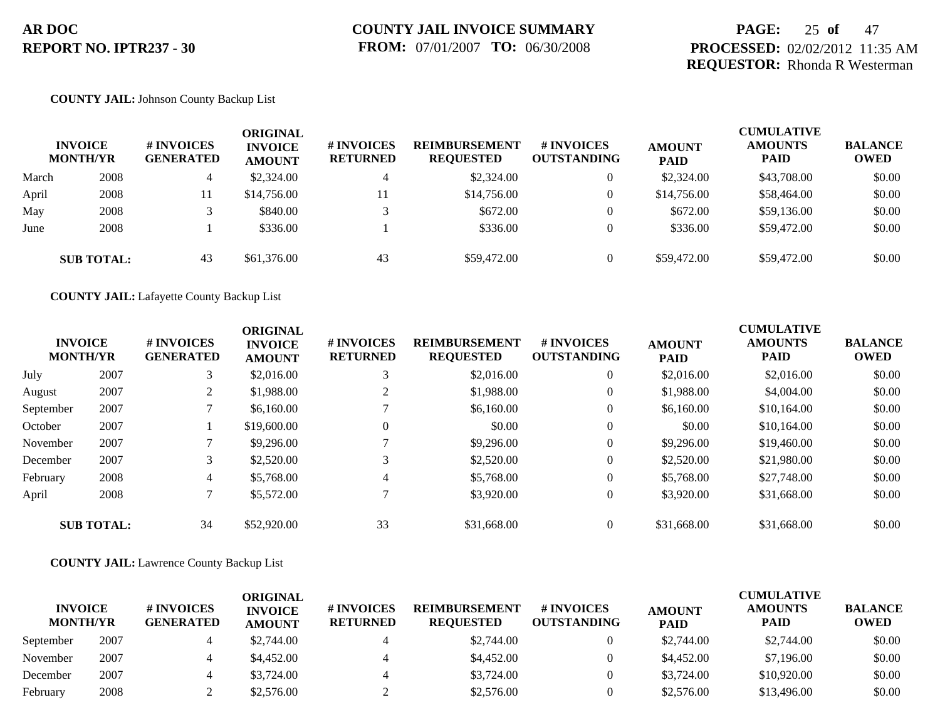### **PAGE:** 25 **of** 47 **PROCESSED:** 02/02/2012 11:35 AM **REQUESTOR:** Rhonda R Westerman

#### **COUNTY JAIL:** Johnson County Backup List

|       | <b>INVOICE</b><br><b>MONTH/YR</b> | <b>#INVOICES</b><br><b>GENERATED</b> | ORIGINAL<br><b>INVOICE</b><br><b>AMOUNT</b> | <b># INVOICES</b><br><b>RETURNED</b> | <b>REIMBURSEMENT</b><br><b>REQUESTED</b> | # INVOICES<br><b>OUTSTANDING</b> | <b>AMOUNT</b><br><b>PAID</b> | <b>CUMULATIVE</b><br><b>AMOUNTS</b><br><b>PAID</b> | <b>BALANCE</b><br><b>OWED</b> |
|-------|-----------------------------------|--------------------------------------|---------------------------------------------|--------------------------------------|------------------------------------------|----------------------------------|------------------------------|----------------------------------------------------|-------------------------------|
| March | 2008                              | 4                                    | \$2,324.00                                  |                                      | \$2,324.00                               | 0                                | \$2,324.00                   | \$43,708.00                                        | \$0.00                        |
| April | 2008                              | 11                                   | \$14,756.00                                 | 11                                   | \$14,756.00                              | $\overline{0}$                   | \$14,756.00                  | \$58,464.00                                        | \$0.00                        |
| May   | 2008                              |                                      | \$840.00                                    |                                      | \$672.00                                 | $\overline{0}$                   | \$672.00                     | \$59,136.00                                        | \$0.00                        |
| June  | 2008                              |                                      | \$336.00                                    |                                      | \$336.00                                 | $\theta$                         | \$336.00                     | \$59,472.00                                        | \$0.00                        |
|       | <b>SUB TOTAL:</b>                 | 43                                   | \$61,376.00                                 | 43                                   | \$59,472.00                              | $\Omega$                         | \$59,472.00                  | \$59,472.00                                        | \$0.00                        |

**COUNTY JAIL:** Lafayette County Backup List

| <b>INVOICE</b><br><b>MONTH/YR</b> |                   | # INVOICES<br><b>GENERATED</b> | <b>ORIGINAL</b><br><b>INVOICE</b><br><b>AMOUNT</b> | # INVOICES<br><b>RETURNED</b> | <b>REIMBURSEMENT</b><br><b>REQUESTED</b> | <b>#INVOICES</b><br><b>OUTSTANDING</b> | <b>AMOUNT</b><br><b>PAID</b> | <b>CUMULATIVE</b><br><b>AMOUNTS</b><br><b>PAID</b> | <b>BALANCE</b><br><b>OWED</b> |
|-----------------------------------|-------------------|--------------------------------|----------------------------------------------------|-------------------------------|------------------------------------------|----------------------------------------|------------------------------|----------------------------------------------------|-------------------------------|
| July                              | 2007              | 3                              | \$2,016.00                                         | 3                             | \$2,016.00                               | $\overline{0}$                         | \$2,016.00                   | \$2,016.00                                         | \$0.00                        |
| August                            | 2007              |                                | \$1,988.00                                         | $\overline{2}$                | \$1,988.00                               | $\theta$                               | \$1,988.00                   | \$4,004.00                                         | \$0.00                        |
| September                         | 2007              |                                | \$6,160.00                                         |                               | \$6,160.00                               | $\overline{0}$                         | \$6,160.00                   | \$10,164.00                                        | \$0.00                        |
| October                           | 2007              |                                | \$19,600.00                                        | $\overline{0}$                | \$0.00                                   | $\theta$                               | \$0.00                       | \$10,164.00                                        | \$0.00                        |
| November                          | 2007              |                                | \$9,296.00                                         |                               | \$9,296.00                               | $\overline{0}$                         | \$9,296.00                   | \$19,460.00                                        | \$0.00                        |
| December                          | 2007              | 3                              | \$2,520.00                                         | 3                             | \$2,520.00                               | $\overline{0}$                         | \$2,520.00                   | \$21,980.00                                        | \$0.00                        |
| February                          | 2008              | 4                              | \$5,768.00                                         | $\overline{4}$                | \$5,768.00                               | $\overline{0}$                         | \$5,768.00                   | \$27,748.00                                        | \$0.00                        |
| April                             | 2008              |                                | \$5,572.00                                         |                               | \$3,920.00                               | $\overline{0}$                         | \$3,920.00                   | \$31,668.00                                        | \$0.00                        |
|                                   | <b>SUB TOTAL:</b> | 34                             | \$52,920.00                                        | 33                            | \$31,668.00                              | $\overline{0}$                         | \$31,668.00                  | \$31,668.00                                        | \$0.00                        |

**COUNTY JAIL:** Lawrence County Backup List

|                                   |      |                                       | ORIGINAL                        |                               |                                          |                                         |                              | <b>CUMULATIVE</b>             |                               |
|-----------------------------------|------|---------------------------------------|---------------------------------|-------------------------------|------------------------------------------|-----------------------------------------|------------------------------|-------------------------------|-------------------------------|
| <b>INVOICE</b><br><b>MONTH/YR</b> |      | <b># INVOICES</b><br><b>GENERATED</b> | <b>INVOICE</b><br><b>AMOUNT</b> | # INVOICES<br><b>RETURNED</b> | <b>REIMBURSEMENT</b><br><b>REQUESTED</b> | <b># INVOICES</b><br><b>OUTSTANDING</b> | <b>AMOUNT</b><br><b>PAID</b> | <b>AMOUNTS</b><br><b>PAID</b> | <b>BALANCE</b><br><b>OWED</b> |
| September                         | 2007 | 4                                     | \$2,744.00                      |                               | \$2,744.00                               |                                         | \$2,744.00                   | \$2,744.00                    | \$0.00                        |
| November                          | 2007 | 4                                     | \$4,452.00                      |                               | \$4,452.00                               |                                         | \$4,452.00                   | \$7,196.00                    | \$0.00                        |
| December                          | 2007 | 4                                     | \$3,724.00                      |                               | \$3,724.00                               |                                         | \$3,724.00                   | \$10,920.00                   | \$0.00                        |
| February                          | 2008 |                                       | \$2,576.00                      |                               | \$2,576.00                               |                                         | \$2,576.00                   | \$13,496.00                   | \$0.00                        |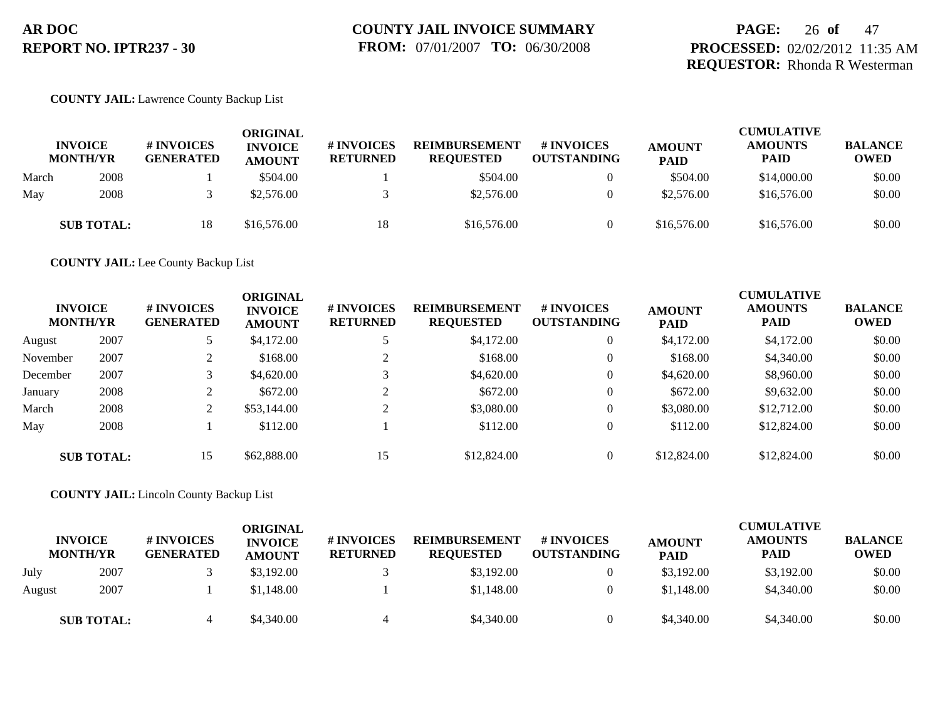### **PAGE:** 26 **of** 47 **PROCESSED:** 02/02/2012 11:35 AM **REQUESTOR:** Rhonda R Westerman

#### **COUNTY JAIL:** Lawrence County Backup List

|       | <b>INVOICE</b><br><b>MONTH/YR</b> | <b># INVOICES</b><br><b>GENERATED</b> | ORIGINAL<br><b>INVOICE</b><br><b>AMOUNT</b> | <b>#INVOICES</b><br><b>RETURNED</b> | <b>REIMBURSEMENT</b><br><b>REOUESTED</b> | <b># INVOICES</b><br><b>OUTSTANDING</b> | <b>AMOUNT</b><br><b>PAID</b> | <b>CUMULATIVE</b><br><b>AMOUNTS</b><br><b>PAID</b> | <b>BALANCE</b><br><b>OWED</b> |
|-------|-----------------------------------|---------------------------------------|---------------------------------------------|-------------------------------------|------------------------------------------|-----------------------------------------|------------------------------|----------------------------------------------------|-------------------------------|
| March | 2008                              |                                       | \$504.00                                    |                                     | \$504.00                                 |                                         | \$504.00                     | \$14,000.00                                        | \$0.00                        |
| May   | 2008                              |                                       | \$2,576.00                                  |                                     | \$2,576.00                               |                                         | \$2,576.00                   | \$16,576.00                                        | \$0.00                        |
|       | <b>SUB TOTAL:</b>                 | 18                                    | \$16,576.00                                 | 18                                  | \$16,576.00                              |                                         | \$16,576.00                  | \$16,576.00                                        | \$0.00                        |

**COUNTY JAIL:** Lee County Backup List

| <b>INVOICE</b><br><b>MONTH/YR</b> |                   | # INVOICES<br><b>GENERATED</b> | <b>ORIGINAL</b><br><b>INVOICE</b><br><b>AMOUNT</b> | # INVOICES<br><b>RETURNED</b> | <b>REIMBURSEMENT</b><br><b>REQUESTED</b> | <b># INVOICES</b><br><b>OUTSTANDING</b> | <b>AMOUNT</b><br><b>PAID</b> | <b>CUMULATIVE</b><br><b>AMOUNTS</b><br><b>PAID</b> | <b>BALANCE</b><br><b>OWED</b> |
|-----------------------------------|-------------------|--------------------------------|----------------------------------------------------|-------------------------------|------------------------------------------|-----------------------------------------|------------------------------|----------------------------------------------------|-------------------------------|
| August                            | 2007              |                                | \$4,172.00                                         |                               | \$4,172.00                               |                                         | \$4,172.00                   | \$4,172.00                                         | \$0.00                        |
| November                          | 2007              | ◠<br>∠                         | \$168.00                                           |                               | \$168.00                                 |                                         | \$168.00                     | \$4,340.00                                         | \$0.00                        |
| December                          | 2007              |                                | \$4,620.00                                         |                               | \$4,620.00                               |                                         | \$4,620.00                   | \$8,960.00                                         | \$0.00                        |
| January                           | 2008              | ◠                              | \$672.00                                           |                               | \$672.00                                 | $\theta$                                | \$672.00                     | \$9,632.00                                         | \$0.00                        |
| March                             | 2008              | C.                             | \$53,144.00                                        |                               | \$3,080.00                               |                                         | \$3,080.00                   | \$12,712.00                                        | \$0.00                        |
| May                               | 2008              |                                | \$112.00                                           |                               | \$112.00                                 |                                         | \$112.00                     | \$12,824.00                                        | \$0.00                        |
|                                   | <b>SUB TOTAL:</b> | 15                             | \$62,888.00                                        | 15                            | \$12,824.00                              |                                         | \$12,824.00                  | \$12,824.00                                        | \$0.00                        |

**COUNTY JAIL:** Lincoln County Backup List

|        | <b>INVOICE</b><br><b>MONTH/YR</b> | # INVOICES<br><b>GENERATED</b> | <b>ORIGINAL</b><br><b>INVOICE</b><br><b>AMOUNT</b> | <b># INVOICES</b><br><b>RETURNED</b> | <b>REIMBURSEMENT</b><br><b>REQUESTED</b> | # INVOICES<br><b>OUTSTANDING</b> | <b>AMOUNT</b><br><b>PAID</b> | <b>CUMULATIVE</b><br><b>AMOUNTS</b><br><b>PAID</b> | <b>BALANCE</b><br><b>OWED</b> |
|--------|-----------------------------------|--------------------------------|----------------------------------------------------|--------------------------------------|------------------------------------------|----------------------------------|------------------------------|----------------------------------------------------|-------------------------------|
| July   | 2007                              |                                | \$3,192.00                                         |                                      | \$3,192.00                               |                                  | \$3,192.00                   | \$3,192.00                                         | \$0.00                        |
| August | 2007                              |                                | \$1,148.00                                         |                                      | \$1,148.00                               |                                  | \$1,148.00                   | \$4,340.00                                         | \$0.00                        |
|        | <b>SUB TOTAL:</b>                 |                                | \$4,340.00                                         |                                      | \$4,340.00                               |                                  | \$4,340.00                   | \$4,340.00                                         | \$0.00                        |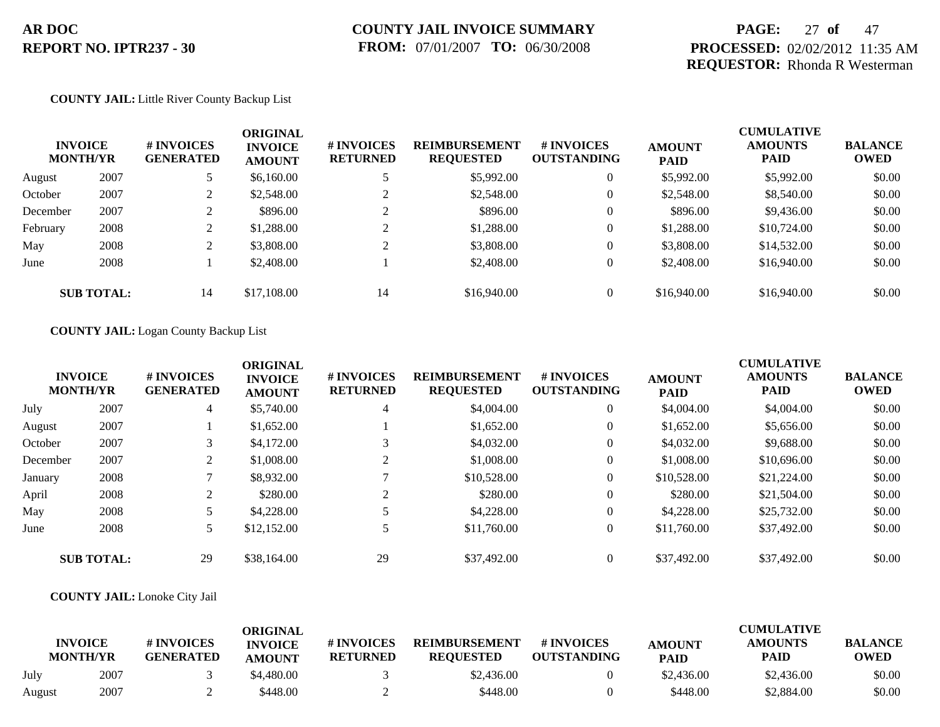### **PAGE:** 27 **of** 47 **PROCESSED:** 02/02/2012 11:35 AM **REQUESTOR:** Rhonda R Westerman

#### **COUNTY JAIL:** Little River County Backup List

| <b>INVOICE</b><br><b>MONTH/YR</b> |                   | # INVOICES<br><b>GENERATED</b> | <b>ORIGINAL</b><br><b>INVOICE</b><br><b>AMOUNT</b> | # INVOICES<br><b>RETURNED</b> | <b>REIMBURSEMENT</b><br><b>REQUESTED</b> | # INVOICES<br><b>OUTSTANDING</b> | <b>AMOUNT</b><br><b>PAID</b> | <b>CUMULATIVE</b><br><b>AMOUNTS</b><br><b>PAID</b> | <b>BALANCE</b><br><b>OWED</b> |
|-----------------------------------|-------------------|--------------------------------|----------------------------------------------------|-------------------------------|------------------------------------------|----------------------------------|------------------------------|----------------------------------------------------|-------------------------------|
| August                            | 2007              |                                | \$6,160.00                                         |                               | \$5,992.00                               | $\theta$                         | \$5,992.00                   | \$5,992.00                                         | \$0.00                        |
| October                           | 2007              |                                | \$2,548.00                                         |                               | \$2,548.00                               | $\overline{0}$                   | \$2,548.00                   | \$8,540.00                                         | \$0.00                        |
| December                          | 2007              |                                | \$896.00                                           | ◠                             | \$896.00                                 | $\theta$                         | \$896.00                     | \$9,436.00                                         | \$0.00                        |
| February                          | 2008              | ∠                              | \$1,288.00                                         | ◠                             | \$1,288.00                               | $\theta$                         | \$1,288.00                   | \$10,724.00                                        | \$0.00                        |
| May                               | 2008              |                                | \$3,808.00                                         |                               | \$3,808.00                               | $\theta$                         | \$3,808.00                   | \$14,532.00                                        | \$0.00                        |
| June                              | 2008              |                                | \$2,408.00                                         |                               | \$2,408.00                               | $\overline{0}$                   | \$2,408.00                   | \$16,940.00                                        | \$0.00                        |
|                                   | <b>SUB TOTAL:</b> | 14                             | \$17,108.00                                        | 14                            | \$16,940.00                              | $\theta$                         | \$16,940.00                  | \$16,940.00                                        | \$0.00                        |

#### **COUNTY JAIL:** Logan County Backup List

|          | <b>INVOICE</b><br><b>MONTH/YR</b> | # INVOICES<br><b>GENERATED</b> | <b>ORIGINAL</b><br><b>INVOICE</b><br><b>AMOUNT</b> | # INVOICES<br><b>RETURNED</b> | <b>REIMBURSEMENT</b><br><b>REQUESTED</b> | # INVOICES<br><b>OUTSTANDING</b> | <b>AMOUNT</b><br><b>PAID</b> | <b>CUMULATIVE</b><br><b>AMOUNTS</b><br>PAID | <b>BALANCE</b><br><b>OWED</b> |
|----------|-----------------------------------|--------------------------------|----------------------------------------------------|-------------------------------|------------------------------------------|----------------------------------|------------------------------|---------------------------------------------|-------------------------------|
| July     | 2007                              | 4                              | \$5,740.00                                         | 4                             | \$4,004.00                               | $\theta$                         | \$4,004.00                   | \$4,004.00                                  | \$0.00                        |
| August   | 2007                              |                                | \$1,652.00                                         |                               | \$1,652.00                               | $\theta$                         | \$1,652.00                   | \$5,656.00                                  | \$0.00                        |
| October  | 2007                              |                                | \$4,172.00                                         |                               | \$4,032.00                               | $\theta$                         | \$4,032.00                   | \$9,688.00                                  | \$0.00                        |
| December | 2007                              |                                | \$1,008.00                                         |                               | \$1,008.00                               | $\theta$                         | \$1,008.00                   | \$10,696.00                                 | \$0.00                        |
| January  | 2008                              |                                | \$8,932.00                                         |                               | \$10,528.00                              | $\theta$                         | \$10,528.00                  | \$21,224.00                                 | \$0.00                        |
| April    | 2008                              |                                | \$280.00                                           | ↑                             | \$280.00                                 | $\theta$                         | \$280.00                     | \$21,504.00                                 | \$0.00                        |
| May      | 2008                              |                                | \$4,228.00                                         |                               | \$4,228.00                               | $\mathbf{0}$                     | \$4,228,00                   | \$25,732.00                                 | \$0.00                        |
| June     | 2008                              |                                | \$12,152.00                                        |                               | \$11,760.00                              | $\overline{0}$                   | \$11,760.00                  | \$37,492.00                                 | \$0.00                        |
|          | <b>SUB TOTAL:</b>                 | 29                             | \$38,164.00                                        | 29                            | \$37,492.00                              | $\theta$                         | \$37,492.00                  | \$37,492.00                                 | \$0.00                        |

#### **COUNTY JAIL:** Lonoke City Jail

|        | <b>INVOICE</b><br><b>MONTH/YR</b> | # INVOICES<br><b>GENERATED</b> | ORIGINAL<br><b>INVOICE</b><br><b>AMOUNT</b> | # INVOICES<br><b>RETURNED</b> | <b>REIMBURSEMENT</b><br><b>REQUESTED</b> | # INVOICES<br><b>OUTSTANDING</b> | <b>AMOUNT</b><br><b>PAID</b> | <b>CUMULATIVE</b><br><b>AMOUNTS</b><br>PAID | <b>BALANCE</b><br><b>OWED</b> |
|--------|-----------------------------------|--------------------------------|---------------------------------------------|-------------------------------|------------------------------------------|----------------------------------|------------------------------|---------------------------------------------|-------------------------------|
| July   | 2007                              |                                | \$4,480.00                                  |                               | \$2,436.00                               |                                  | \$2,436.00                   | \$2,436.00                                  | \$0.00                        |
| August | 2007                              |                                | \$448.00                                    |                               | \$448.00                                 |                                  | \$448.00                     | \$2,884.00                                  | \$0.00                        |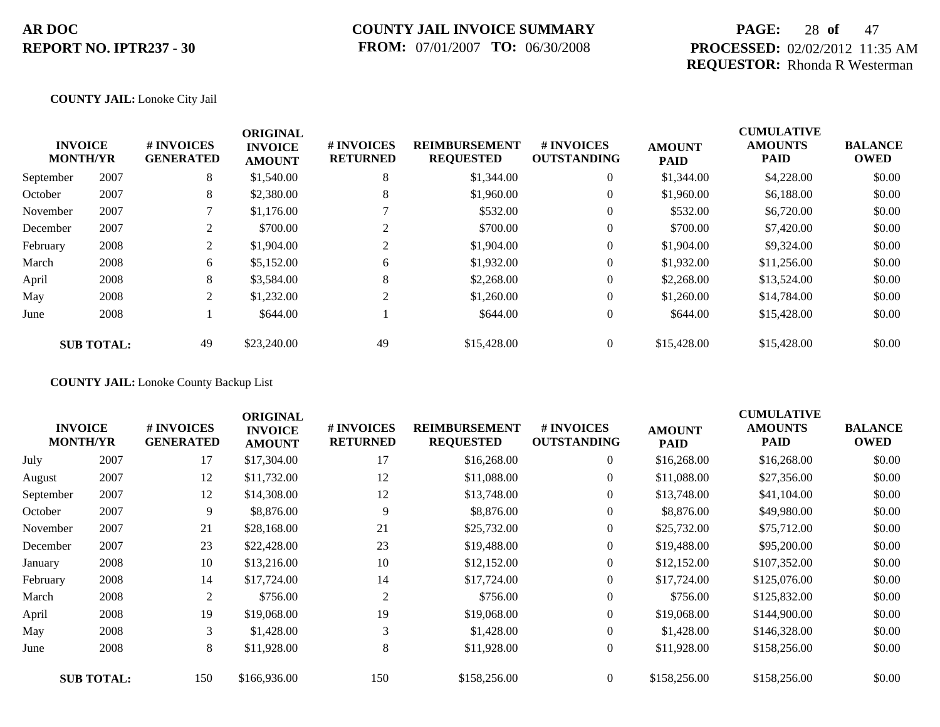### **PAGE:** 28 **of** 47 **PROCESSED:** 02/02/2012 11:35 AM **REQUESTOR:** Rhonda R Westerman

#### **COUNTY JAIL:** Lonoke City Jail

|           | <b>INVOICE</b><br><b>MONTH/YR</b> | # INVOICES<br><b>GENERATED</b> | <b>ORIGINAL</b><br><b>INVOICE</b><br><b>AMOUNT</b> | # INVOICES<br><b>RETURNED</b> | <b>REIMBURSEMENT</b><br><b>REQUESTED</b> | <b>#INVOICES</b><br><b>OUTSTANDING</b> | <b>AMOUNT</b><br><b>PAID</b> | <b>CUMULATIVE</b><br><b>AMOUNTS</b><br><b>PAID</b> | <b>BALANCE</b><br><b>OWED</b> |
|-----------|-----------------------------------|--------------------------------|----------------------------------------------------|-------------------------------|------------------------------------------|----------------------------------------|------------------------------|----------------------------------------------------|-------------------------------|
| September | 2007                              | 8                              | \$1,540.00                                         | 8                             | \$1,344.00                               | $\overline{0}$                         | \$1,344.00                   | \$4,228.00                                         | \$0.00                        |
| October   | 2007                              | 8                              | \$2,380.00                                         | 8                             | \$1,960.00                               | $\overline{0}$                         | \$1,960.00                   | \$6,188.00                                         | \$0.00                        |
| November  | 2007                              |                                | \$1,176.00                                         |                               | \$532.00                                 | $\overline{0}$                         | \$532.00                     | \$6,720.00                                         | \$0.00                        |
| December  | 2007                              | 2                              | \$700.00                                           |                               | \$700.00                                 | $\overline{0}$                         | \$700.00                     | \$7,420.00                                         | \$0.00                        |
| February  | 2008                              | 2                              | \$1,904.00                                         | $\sim$                        | \$1,904.00                               | $\overline{0}$                         | \$1,904.00                   | \$9,324.00                                         | \$0.00                        |
| March     | 2008                              | 6                              | \$5,152.00                                         | 6                             | \$1,932.00                               | $\overline{0}$                         | \$1,932.00                   | \$11,256.00                                        | \$0.00                        |
| April     | 2008                              | 8                              | \$3,584.00                                         | 8                             | \$2,268.00                               | $\overline{0}$                         | \$2,268.00                   | \$13,524.00                                        | \$0.00                        |
| May       | 2008                              | 2                              | \$1,232.00                                         | 2                             | \$1,260.00                               | $\overline{0}$                         | \$1,260.00                   | \$14,784.00                                        | \$0.00                        |
| June      | 2008                              |                                | \$644.00                                           |                               | \$644.00                                 | $\overline{0}$                         | \$644.00                     | \$15,428.00                                        | \$0.00                        |
|           | <b>SUB TOTAL:</b>                 | 49                             | \$23,240.00                                        | 49                            | \$15,428.00                              | $\overline{0}$                         | \$15,428.00                  | \$15,428.00                                        | \$0.00                        |

**COUNTY JAIL:** Lonoke County Backup List

|           | <b>INVOICE</b><br><b>MONTH/YR</b> | <b># INVOICES</b><br><b>GENERATED</b> | <b>ORIGINAL</b><br><b>INVOICE</b><br><b>AMOUNT</b> | # INVOICES<br><b>RETURNED</b> | <b>REIMBURSEMENT</b><br><b>REQUESTED</b> | <b># INVOICES</b><br><b>OUTSTANDING</b> | <b>AMOUNT</b><br><b>PAID</b> | <b>CUMULATIVE</b><br><b>AMOUNTS</b><br>PAID | <b>BALANCE</b><br><b>OWED</b> |
|-----------|-----------------------------------|---------------------------------------|----------------------------------------------------|-------------------------------|------------------------------------------|-----------------------------------------|------------------------------|---------------------------------------------|-------------------------------|
| July      | 2007                              | 17                                    | \$17,304.00                                        | 17                            | \$16,268.00                              | $\overline{0}$                          | \$16,268.00                  | \$16,268.00                                 | \$0.00                        |
| August    | 2007                              | 12                                    | \$11,732.00                                        | 12                            | \$11,088.00                              | $\overline{0}$                          | \$11,088.00                  | \$27,356.00                                 | \$0.00                        |
| September | 2007                              | 12                                    | \$14,308.00                                        | 12                            | \$13,748.00                              | $\overline{0}$                          | \$13,748.00                  | \$41,104.00                                 | \$0.00                        |
| October   | 2007                              | 9                                     | \$8,876.00                                         | 9                             | \$8,876.00                               | 0                                       | \$8,876.00                   | \$49,980.00                                 | \$0.00                        |
| November  | 2007                              | 21                                    | \$28,168.00                                        | 21                            | \$25,732.00                              | $\overline{0}$                          | \$25,732.00                  | \$75,712.00                                 | \$0.00                        |
| December  | 2007                              | 23                                    | \$22,428.00                                        | 23                            | \$19,488.00                              | $\overline{0}$                          | \$19,488.00                  | \$95,200.00                                 | \$0.00                        |
| January   | 2008                              | 10                                    | \$13,216.00                                        | 10                            | \$12,152.00                              | $\overline{0}$                          | \$12,152.00                  | \$107,352.00                                | \$0.00                        |
| February  | 2008                              | 14                                    | \$17,724.00                                        | 14                            | \$17,724.00                              | $\overline{0}$                          | \$17,724.00                  | \$125,076.00                                | \$0.00                        |
| March     | 2008                              | 2                                     | \$756.00                                           | 2                             | \$756.00                                 | $\overline{0}$                          | \$756.00                     | \$125,832.00                                | \$0.00                        |
| April     | 2008                              | 19                                    | \$19,068.00                                        | 19                            | \$19,068.00                              | $\overline{0}$                          | \$19,068.00                  | \$144,900.00                                | \$0.00                        |
| May       | 2008                              | 3                                     | \$1,428.00                                         | 3                             | \$1,428.00                               | $\overline{0}$                          | \$1,428.00                   | \$146,328.00                                | \$0.00                        |
| June      | 2008                              | 8                                     | \$11,928.00                                        | 8                             | \$11,928.00                              | $\boldsymbol{0}$                        | \$11,928.00                  | \$158,256.00                                | \$0.00                        |
|           | <b>SUB TOTAL:</b>                 | 150                                   | \$166,936.00                                       | 150                           | \$158,256.00                             | $\overline{0}$                          | \$158,256.00                 | \$158,256.00                                | \$0.00                        |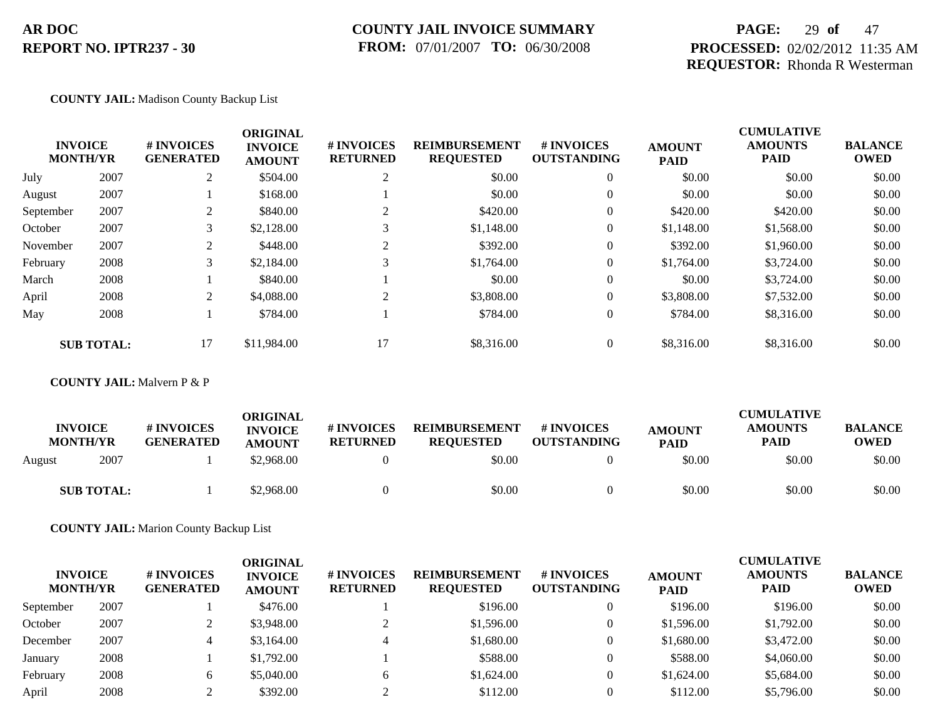### **COUNTY JAIL INVOICE SUMMARY FROM:** 07/01/2007 **TO:** 06/30/2008

### **PAGE:** 29 **of** 47 **PROCESSED:** 02/02/2012 11:35 AM **REQUESTOR:** Rhonda R Westerman

#### **COUNTY JAIL:** Madison County Backup List

|           | <b>INVOICE</b><br><b>MONTH/YR</b> | # INVOICES<br><b>GENERATED</b> | <b>ORIGINAL</b><br><b>INVOICE</b><br><b>AMOUNT</b> | # INVOICES<br><b>RETURNED</b> | <b>REIMBURSEMENT</b><br><b>REQUESTED</b> | <b># INVOICES</b><br><b>OUTSTANDING</b> | <b>AMOUNT</b><br><b>PAID</b> | <b>CUMULATIVE</b><br><b>AMOUNTS</b><br><b>PAID</b> | <b>BALANCE</b><br><b>OWED</b> |
|-----------|-----------------------------------|--------------------------------|----------------------------------------------------|-------------------------------|------------------------------------------|-----------------------------------------|------------------------------|----------------------------------------------------|-------------------------------|
| July      | 2007                              | 2                              | \$504.00                                           | 2                             | \$0.00                                   | $\overline{0}$                          | \$0.00                       | \$0.00                                             | \$0.00                        |
| August    | 2007                              |                                | \$168.00                                           |                               | \$0.00                                   | $\overline{0}$                          | \$0.00                       | \$0.00                                             | \$0.00                        |
| September | 2007                              | 2                              | \$840.00                                           |                               | \$420.00                                 | $\overline{0}$                          | \$420.00                     | \$420.00                                           | \$0.00                        |
| October   | 2007                              | 3                              | \$2,128.00                                         | 3                             | \$1,148.00                               | 0                                       | \$1,148.00                   | \$1,568.00                                         | \$0.00                        |
| November  | 2007                              | 2                              | \$448.00                                           | $\gamma$                      | \$392.00                                 | $\overline{0}$                          | \$392.00                     | \$1,960.00                                         | \$0.00                        |
| February  | 2008                              | 3                              | \$2,184.00                                         | 3                             | \$1,764.00                               | $\overline{0}$                          | \$1,764.00                   | \$3,724.00                                         | \$0.00                        |
| March     | 2008                              |                                | \$840.00                                           |                               | \$0.00                                   | $\overline{0}$                          | \$0.00                       | \$3,724.00                                         | \$0.00                        |
| April     | 2008                              | 2                              | \$4,088.00                                         | 2                             | \$3,808.00                               | $\overline{0}$                          | \$3,808.00                   | \$7,532.00                                         | \$0.00                        |
| May       | 2008                              |                                | \$784.00                                           |                               | \$784.00                                 | $\overline{0}$                          | \$784.00                     | \$8,316.00                                         | \$0.00                        |
|           | <b>SUB TOTAL:</b>                 | 17                             | \$11,984.00                                        | 17                            | \$8,316.00                               | $\overline{0}$                          | \$8,316.00                   | \$8,316.00                                         | \$0.00                        |

#### **COUNTY JAIL:** Malvern P & P

| <b>INVOICE</b><br><b>MONTH/YR</b> | <b>#INVOICES</b><br><b>GENERATED</b> | ORIGINAL<br><b>INVOICE</b><br><b>AMOUNT</b> | <b># INVOICES</b><br><b>RETURNED</b> | <b>REIMBURSEMENT</b><br><b>REOUESTED</b> | <b># INVOICES</b><br><b>OUTSTANDING</b> | <b>AMOUNT</b><br><b>PAID</b> | <b>CUMULATIVE</b><br><b>AMOUNTS</b><br><b>PAID</b> | <b>BALANCE</b><br><b>OWED</b> |
|-----------------------------------|--------------------------------------|---------------------------------------------|--------------------------------------|------------------------------------------|-----------------------------------------|------------------------------|----------------------------------------------------|-------------------------------|
| 2007<br>August                    |                                      | \$2,968.00                                  |                                      | \$0.00                                   |                                         | \$0.00                       | \$0.00                                             | \$0.00                        |
| <b>SUB TOTAL:</b>                 |                                      | \$2,968.00                                  |                                      | \$0.00                                   |                                         | \$0.00                       | \$0.00                                             | \$0.00                        |

**COUNTY JAIL:** Marion County Backup List

| <b>INVOICE</b><br><b>MONTH/YR</b> |      | # INVOICES<br><b>GENERATED</b> | ORIGINAL<br><b>INVOICE</b><br><b>AMOUNT</b> | # INVOICES<br><b>RETURNED</b> | <b>REIMBURSEMENT</b><br><b>REQUESTED</b> | # INVOICES<br><b>OUTSTANDING</b> | <b>AMOUNT</b><br><b>PAID</b> | <b>CUMULATIVE</b><br><b>AMOUNTS</b><br><b>PAID</b> | <b>BALANCE</b><br><b>OWED</b> |
|-----------------------------------|------|--------------------------------|---------------------------------------------|-------------------------------|------------------------------------------|----------------------------------|------------------------------|----------------------------------------------------|-------------------------------|
| September                         | 2007 |                                | \$476.00                                    |                               | \$196.00                                 | $\Omega$                         | \$196.00                     | \$196.00                                           | \$0.00                        |
| October                           | 2007 |                                | \$3,948.00                                  |                               | \$1,596.00                               | $\overline{0}$                   | \$1,596.00                   | \$1,792.00                                         | \$0.00                        |
| December                          | 2007 |                                | \$3,164.00                                  | 4                             | \$1,680.00                               | $\theta$                         | \$1,680.00                   | \$3,472.00                                         | \$0.00                        |
| January                           | 2008 |                                | \$1,792.00                                  |                               | \$588.00                                 | $\overline{0}$                   | \$588.00                     | \$4,060.00                                         | \$0.00                        |
| February                          | 2008 | 6.                             | \$5,040.00                                  | 6                             | \$1,624.00                               | $\overline{0}$                   | \$1,624.00                   | \$5,684.00                                         | \$0.00                        |
| April                             | 2008 |                                | \$392.00                                    |                               | \$112.00                                 |                                  | \$112.00                     | \$5,796.00                                         | \$0.00                        |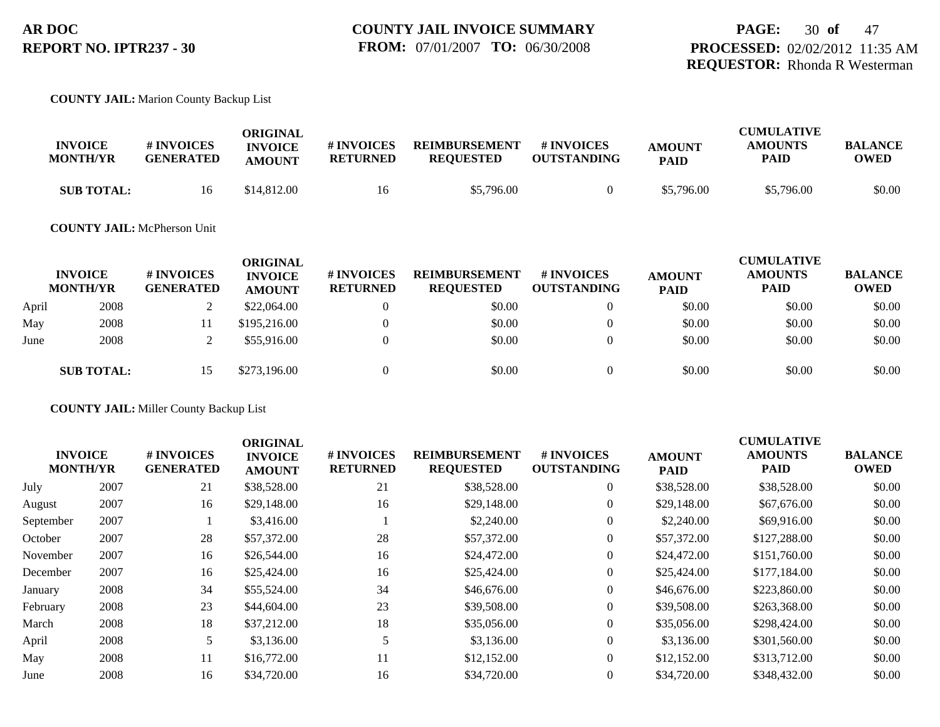#### **COUNTY JAIL:** Marion County Backup List

| <b>INVOICE</b><br><b>MONTH/YR</b> | # INVOICES<br><b>GENERATED</b> | ORIGINAL<br><b>INVOICE</b><br><b>AMOUNT</b> | # INVOICES<br><b>RETURNED</b> | <b>REIMBURSEMENT</b><br><b>REQUESTED</b> | # INVOICES<br><b>OUTSTANDING</b> | <b>AMOUNT</b><br><b>PAID</b> | <b>CUMULATIVE</b><br><b>AMOUNTS</b><br>PAID | <b>BALANCE</b><br>OWED |
|-----------------------------------|--------------------------------|---------------------------------------------|-------------------------------|------------------------------------------|----------------------------------|------------------------------|---------------------------------------------|------------------------|
| <b>SUB TOTAL:</b>                 | 16                             | \$14,812.00                                 | 16                            | \$5,796.00                               |                                  | \$5,796.00                   | \$5,796.00                                  | \$0.00                 |

### **COUNTY JAIL:** McPherson Unit

|       | <b>INVOICE</b><br><b>MONTH/YR</b> | # INVOICES<br><b>GENERATED</b> | <b>ORIGINAL</b><br><b>INVOICE</b><br><b>AMOUNT</b> | <b>#INVOICES</b><br><b>RETURNED</b> | <b>REIMBURSEMENT</b><br><b>REQUESTED</b> | <b>#INVOICES</b><br><b>OUTSTANDING</b> | <b>AMOUNT</b><br><b>PAID</b> | <b>CUMULATIVE</b><br><b>AMOUNTS</b><br><b>PAID</b> | <b>BALANCE</b><br><b>OWED</b> |
|-------|-----------------------------------|--------------------------------|----------------------------------------------------|-------------------------------------|------------------------------------------|----------------------------------------|------------------------------|----------------------------------------------------|-------------------------------|
| April | 2008                              |                                | \$22,064.00                                        |                                     | \$0.00                                   | $\overline{0}$                         | \$0.00                       | \$0.00                                             | \$0.00                        |
| May   | 2008                              |                                | \$195,216.00                                       |                                     | \$0.00                                   |                                        | \$0.00                       | \$0.00                                             | \$0.00                        |
| June  | 2008                              |                                | \$55,916.00                                        |                                     | \$0.00                                   |                                        | \$0.00                       | \$0.00                                             | \$0.00                        |
|       | <b>SUB TOTAL:</b>                 | 15                             | \$273,196.00                                       |                                     | \$0.00                                   |                                        | \$0.00                       | \$0.00                                             | \$0.00                        |

**COUNTY JAIL:** Miller County Backup List

| <b>INVOICE</b><br><b>MONTH/YR</b> |      | # INVOICES<br><b>GENERATED</b> | <b>ORIGINAL</b><br><b>INVOICE</b><br><b>AMOUNT</b> | # INVOICES<br><b>RETURNED</b> | <b>REIMBURSEMENT</b><br><b>REQUESTED</b> | # INVOICES<br><b>OUTSTANDING</b> | <b>AMOUNT</b><br><b>PAID</b> | <b>CUMULATIVE</b><br><b>AMOUNTS</b><br>PAID | <b>BALANCE</b><br><b>OWED</b> |
|-----------------------------------|------|--------------------------------|----------------------------------------------------|-------------------------------|------------------------------------------|----------------------------------|------------------------------|---------------------------------------------|-------------------------------|
| July                              | 2007 | 21                             | \$38,528.00                                        | 21                            | \$38,528.00                              | $\overline{0}$                   | \$38,528.00                  | \$38,528.00                                 | \$0.00                        |
| August                            | 2007 | 16                             | \$29,148.00                                        | 16                            | \$29,148.00                              | $\theta$                         | \$29,148.00                  | \$67,676.00                                 | \$0.00                        |
| September                         | 2007 |                                | \$3,416.00                                         |                               | \$2,240.00                               | $\overline{0}$                   | \$2,240.00                   | \$69,916.00                                 | \$0.00                        |
| October                           | 2007 | 28                             | \$57,372.00                                        | 28                            | \$57,372.00                              | $\overline{0}$                   | \$57,372.00                  | \$127,288.00                                | \$0.00                        |
| November                          | 2007 | 16                             | \$26,544.00                                        | 16                            | \$24,472.00                              | $\overline{0}$                   | \$24,472.00                  | \$151,760.00                                | \$0.00                        |
| December                          | 2007 | 16                             | \$25,424.00                                        | 16                            | \$25,424.00                              | $\overline{0}$                   | \$25,424.00                  | \$177,184.00                                | \$0.00                        |
| January                           | 2008 | 34                             | \$55,524.00                                        | 34                            | \$46,676.00                              | $\overline{0}$                   | \$46,676.00                  | \$223,860.00                                | \$0.00                        |
| February                          | 2008 | 23                             | \$44,604.00                                        | 23                            | \$39,508.00                              | $\overline{0}$                   | \$39,508.00                  | \$263,368.00                                | \$0.00                        |
| March                             | 2008 | 18                             | \$37,212.00                                        | 18                            | \$35,056.00                              | $\overline{0}$                   | \$35,056.00                  | \$298,424.00                                | \$0.00                        |
| April                             | 2008 |                                | \$3,136.00                                         | 5                             | \$3,136.00                               | $\overline{0}$                   | \$3,136.00                   | \$301,560.00                                | \$0.00                        |
| May                               | 2008 | 11                             | \$16,772.00                                        | 11                            | \$12,152.00                              | $\overline{0}$                   | \$12,152.00                  | \$313,712.00                                | \$0.00                        |
| June                              | 2008 | 16                             | \$34,720.00                                        | 16                            | \$34,720.00                              | $\overline{0}$                   | \$34,720.00                  | \$348,432.00                                | \$0.00                        |
|                                   |      |                                |                                                    |                               |                                          |                                  |                              |                                             |                               |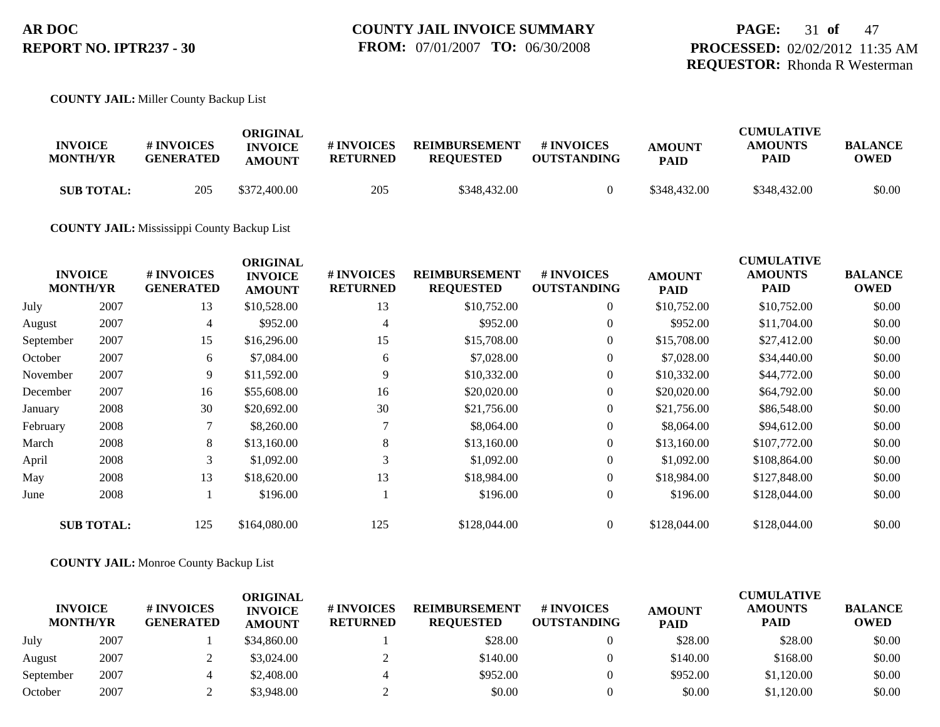#### **COUNTY JAIL:** Miller County Backup List

| <b>INVOICE</b><br><b>MONTH/YR</b> | <b>#INVOICES</b><br><b>GENERATED</b> | ORIGINAL<br><b>INVOICE</b><br><b>AMOUNT</b> | # INVOICES<br><b>RETURNED</b> | <b>REIMBURSEMENT</b><br><b>REOUESTED</b> | # INVOICES<br><b>OUTSTANDING</b> | <b>AMOUNT</b><br><b>PAID</b> | <b>CUMULATIVE</b><br><b>AMOUNTS</b><br>PAID | <b>BALANCE</b><br>OWED |
|-----------------------------------|--------------------------------------|---------------------------------------------|-------------------------------|------------------------------------------|----------------------------------|------------------------------|---------------------------------------------|------------------------|
| <b>SUB TOTAL:</b>                 | 205                                  | \$372,400.00                                | 205                           | \$348,432.00                             |                                  | \$348,432.00                 | \$348,432.00                                | \$0.00                 |

#### **COUNTY JAIL:** Mississippi County Backup List

| <b>CUMULATIVE</b><br><b>BALANCE</b><br><b>OWED</b> |
|----------------------------------------------------|
| \$0.00<br>\$10,752.00                              |
| \$11,704.00<br>\$0.00                              |
| \$0.00<br>\$27,412.00                              |
| \$0.00<br>\$34,440.00                              |
| \$44,772.00<br>\$0.00                              |
| \$64,792.00<br>\$0.00                              |
| \$0.00<br>\$86,548.00                              |
| \$94,612.00<br>\$0.00                              |
| \$0.00<br>\$107,772.00                             |
| \$0.00<br>\$108,864.00                             |
| \$127,848.00<br>\$0.00                             |
| \$128,044.00<br>\$0.00                             |
| \$0.00<br>\$128,044.00                             |
|                                                    |

#### **COUNTY JAIL:** Monroe County Backup List

| <b>INVOICE</b><br><b>MONTH/YR</b> |      | <b># INVOICES</b><br><b>GENERATED</b> | ORIGINAL<br><b>INVOICE</b><br><b>AMOUNT</b> | # INVOICES<br><b>RETURNED</b> | <b>REIMBURSEMENT</b><br><b>REQUESTED</b> | <b>#INVOICES</b><br><b>OUTSTANDING</b> | <b>AMOUNT</b><br><b>PAID</b> | <b>CUMULATIVE</b><br><b>AMOUNTS</b><br><b>PAID</b> | <b>BALANCE</b><br><b>OWED</b> |
|-----------------------------------|------|---------------------------------------|---------------------------------------------|-------------------------------|------------------------------------------|----------------------------------------|------------------------------|----------------------------------------------------|-------------------------------|
| July                              | 2007 |                                       | \$34,860.00                                 |                               | \$28.00                                  |                                        | \$28.00                      | \$28.00                                            | \$0.00                        |
| August                            | 2007 |                                       | \$3,024.00                                  |                               | \$140.00                                 |                                        | \$140.00                     | \$168.00                                           | \$0.00                        |
| September                         | 2007 |                                       | \$2,408.00                                  |                               | \$952.00                                 |                                        | \$952.00                     | \$1,120.00                                         | \$0.00                        |
| October                           | 2007 |                                       | \$3,948.00                                  |                               | \$0.00                                   |                                        | \$0.00                       | \$1,120.00                                         | \$0.00                        |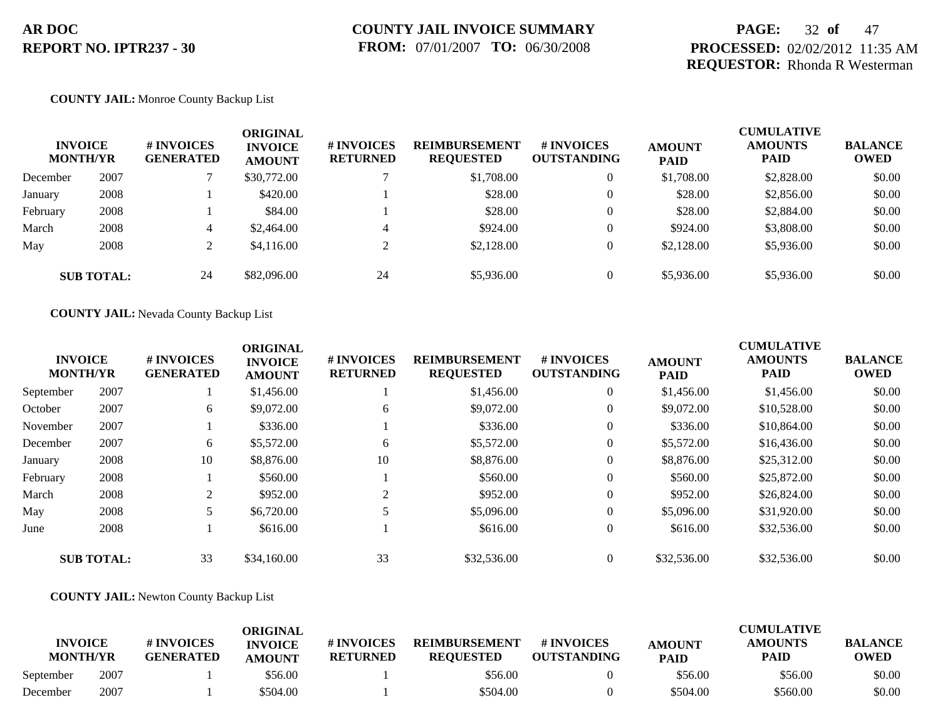### **PAGE:** 32 **of** 47 **PROCESSED:** 02/02/2012 11:35 AM **REQUESTOR:** Rhonda R Westerman

#### **COUNTY JAIL:** Monroe County Backup List

| <b>INVOICE</b><br><b>MONTH/YR</b> |      | # INVOICES<br><b>GENERATED</b> | ORIGINAL<br><b>INVOICE</b><br><b>AMOUNT</b> | # INVOICES<br><b>RETURNED</b> | <b>REIMBURSEMENT</b><br><b>REQUESTED</b> | # INVOICES<br><b>OUTSTANDING</b> | <b>AMOUNT</b><br><b>PAID</b> | <b>CUMULATIVE</b><br><b>AMOUNTS</b><br><b>PAID</b> | <b>BALANCE</b><br><b>OWED</b> |
|-----------------------------------|------|--------------------------------|---------------------------------------------|-------------------------------|------------------------------------------|----------------------------------|------------------------------|----------------------------------------------------|-------------------------------|
| December                          | 2007 |                                | \$30,772.00                                 |                               | \$1,708.00                               | $\overline{0}$                   | \$1,708.00                   | \$2,828.00                                         | \$0.00                        |
| January                           | 2008 |                                | \$420.00                                    |                               | \$28.00                                  | $\overline{0}$                   | \$28.00                      | \$2,856.00                                         | \$0.00                        |
| February                          | 2008 |                                | \$84.00                                     |                               | \$28.00                                  | $\overline{0}$                   | \$28.00                      | \$2,884.00                                         | \$0.00                        |
| March                             | 2008 | 4                              | \$2,464.00                                  | 4                             | \$924.00                                 | $\theta$                         | \$924.00                     | \$3,808.00                                         | \$0.00                        |
| May                               | 2008 |                                | \$4,116.00                                  | ◠                             | \$2,128.00                               | $\overline{0}$                   | \$2,128.00                   | \$5,936.00                                         | \$0.00                        |
| <b>SUB TOTAL:</b>                 |      | 24                             | \$82,096.00                                 | 24                            | \$5,936.00                               | $\theta$                         | \$5,936.00                   | \$5,936.00                                         | \$0.00                        |

**COUNTY JAIL:** Nevada County Backup List

|                   | <b>INVOICE</b><br><b>MONTH/YR</b> | # INVOICES<br><b>GENERATED</b> | <b>ORIGINAL</b><br><b>INVOICE</b><br><b>AMOUNT</b> | # INVOICES<br><b>RETURNED</b> | <b>REIMBURSEMENT</b><br><b>REQUESTED</b> | <b>#INVOICES</b><br><b>OUTSTANDING</b> | <b>AMOUNT</b><br><b>PAID</b> | <b>CUMULATIVE</b><br><b>AMOUNTS</b><br><b>PAID</b> | <b>BALANCE</b><br><b>OWED</b> |
|-------------------|-----------------------------------|--------------------------------|----------------------------------------------------|-------------------------------|------------------------------------------|----------------------------------------|------------------------------|----------------------------------------------------|-------------------------------|
| September         | 2007                              |                                | \$1,456.00                                         |                               | \$1,456.00                               | $\overline{0}$                         | \$1,456.00                   | \$1,456.00                                         | \$0.00                        |
| October           | 2007                              | 6                              | \$9,072.00                                         | 6                             | \$9,072.00                               | $\overline{0}$                         | \$9,072.00                   | \$10,528.00                                        | \$0.00                        |
| November          | 2007                              |                                | \$336.00                                           |                               | \$336.00                                 | $\overline{0}$                         | \$336.00                     | \$10,864.00                                        | \$0.00                        |
| December          | 2007                              | 6                              | \$5,572.00                                         | 6                             | \$5,572.00                               | $\overline{0}$                         | \$5,572.00                   | \$16,436.00                                        | \$0.00                        |
| January           | 2008                              | 10                             | \$8,876.00                                         | 10                            | \$8,876.00                               | $\overline{0}$                         | \$8,876.00                   | \$25,312.00                                        | \$0.00                        |
| February          | 2008                              |                                | \$560.00                                           |                               | \$560.00                                 | $\overline{0}$                         | \$560.00                     | \$25,872.00                                        | \$0.00                        |
| March             | 2008                              |                                | \$952.00                                           | $\mathcal{D}$                 | \$952.00                                 | $\overline{0}$                         | \$952.00                     | \$26,824.00                                        | \$0.00                        |
| May               | 2008                              |                                | \$6,720.00                                         |                               | \$5,096.00                               | $\overline{0}$                         | \$5,096.00                   | \$31,920.00                                        | \$0.00                        |
| June              | 2008                              |                                | \$616.00                                           |                               | \$616.00                                 | $\overline{0}$                         | \$616.00                     | \$32,536.00                                        | \$0.00                        |
| <b>SUB TOTAL:</b> |                                   | 33                             | \$34,160.00                                        | 33                            | \$32,536.00                              | $\theta$                               | \$32,536.00                  | \$32,536.00                                        | \$0.00                        |

#### **COUNTY JAIL:** Newton County Backup List

| <b>INVOICE</b><br><b>MONTH/YR</b> |      | # INVOICES<br><b>GENERATED</b> | ORIGINAL<br><b>INVOICE</b><br><b>AMOUNT</b> | # INVOICES<br><b>RETURNED</b> | <b>REIMBURSEMENT</b><br><b>REQUESTED</b> | # INVOICES<br><b>OUTSTANDING</b> | <b>AMOUNT</b><br><b>PAID</b> | CUMULATIVE<br><b>AMOUNTS</b><br><b>PAID</b> | <b>BALANCE</b><br><b>OWED</b> |
|-----------------------------------|------|--------------------------------|---------------------------------------------|-------------------------------|------------------------------------------|----------------------------------|------------------------------|---------------------------------------------|-------------------------------|
| September                         | 2007 |                                | \$56.00                                     |                               | \$56.00                                  |                                  | \$56.00                      | \$56.00                                     | \$0.00                        |
| December                          | 2007 |                                | \$504.00                                    |                               | \$504.00                                 |                                  | \$504.00                     | \$560.00                                    | \$0.00                        |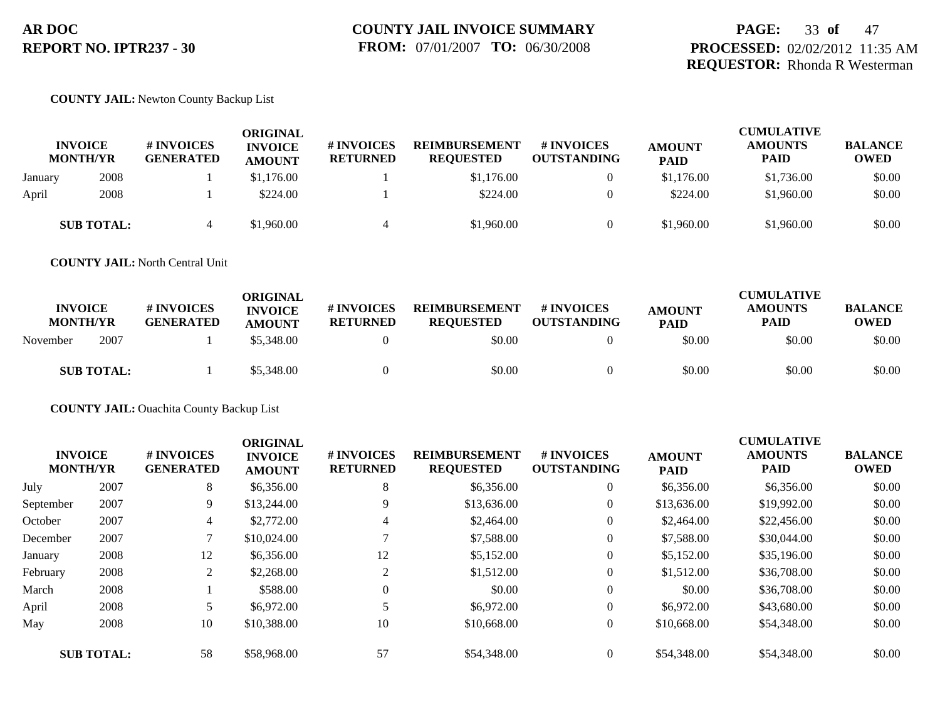### **PAGE:** 33 **of** 47 **PROCESSED:** 02/02/2012 11:35 AM **REQUESTOR:** Rhonda R Westerman

#### **COUNTY JAIL:** Newton County Backup List

|         | <b>INVOICE</b><br><b>MONTH/YR</b> | <b># INVOICES</b><br><b>GENERATED</b> | <b>ORIGINAL</b><br><b>INVOICE</b><br><b>AMOUNT</b> | <b>#INVOICES</b><br><b>RETURNED</b> | <b>REIMBURSEMENT</b><br><b>REQUESTED</b> | <b>#INVOICES</b><br><b>OUTSTANDING</b> | <b>AMOUNT</b><br><b>PAID</b> | <b>CUMULATIVE</b><br><b>AMOUNTS</b><br><b>PAID</b> | <b>BALANCE</b><br><b>OWED</b> |
|---------|-----------------------------------|---------------------------------------|----------------------------------------------------|-------------------------------------|------------------------------------------|----------------------------------------|------------------------------|----------------------------------------------------|-------------------------------|
| January | 2008                              |                                       | \$1,176.00                                         |                                     | \$1,176.00                               | $\overline{0}$                         | \$1,176.00                   | \$1,736.00                                         | \$0.00                        |
| April   | 2008                              |                                       | \$224.00                                           |                                     | \$224.00                                 | 0                                      | \$224.00                     | \$1,960.00                                         | \$0.00                        |
|         | <b>SUB TOTAL:</b>                 |                                       | \$1,960.00                                         |                                     | \$1,960.00                               | $\overline{0}$                         | \$1,960.00                   | \$1,960.00                                         | \$0.00                        |

**COUNTY JAIL:** North Central Unit

| <b>INVOICE</b><br><b>MONTH/YR</b> | # INVOICES<br><b>GENERATED</b> | ORIGINAL<br><b>INVOICE</b><br><b>AMOUNT</b> | # INVOICES<br><b>RETURNED</b> | <b>REIMBURSEMENT</b><br><b>REQUESTED</b> | # INVOICES<br><b>OUTSTANDING</b> | <b>AMOUNT</b><br><b>PAID</b> | <b>CUMULATIVE</b><br><b>AMOUNTS</b><br>PAID | <b>BALANCE</b><br><b>OWED</b> |
|-----------------------------------|--------------------------------|---------------------------------------------|-------------------------------|------------------------------------------|----------------------------------|------------------------------|---------------------------------------------|-------------------------------|
| 2007<br>November                  |                                | \$5,348.00                                  |                               | \$0.00                                   |                                  | \$0.00                       | \$0.00                                      | \$0.00                        |
| <b>SUB TOTAL:</b>                 |                                | \$5,348.00                                  |                               | \$0.00                                   |                                  | \$0.00                       | \$0.00                                      | \$0.00                        |

**COUNTY JAIL:** Ouachita County Backup List

|                   | <b>INVOICE</b><br><b>MONTH/YR</b> | # INVOICES<br><b>GENERATED</b> | <b>ORIGINAL</b><br><b>INVOICE</b><br><b>AMOUNT</b> | # INVOICES<br><b>RETURNED</b> | <b>REIMBURSEMENT</b><br><b>REQUESTED</b> | <b>#INVOICES</b><br><b>OUTSTANDING</b> | <b>AMOUNT</b><br><b>PAID</b> | <b>CUMULATIVE</b><br><b>AMOUNTS</b><br><b>PAID</b> | <b>BALANCE</b><br><b>OWED</b> |
|-------------------|-----------------------------------|--------------------------------|----------------------------------------------------|-------------------------------|------------------------------------------|----------------------------------------|------------------------------|----------------------------------------------------|-------------------------------|
| July              | 2007                              | 8                              | \$6,356.00                                         | 8                             | \$6,356.00                               | $\overline{0}$                         | \$6,356.00                   | \$6,356.00                                         | \$0.00                        |
| September         | 2007                              | 9                              | \$13,244.00                                        | 9                             | \$13,636.00                              | $\overline{0}$                         | \$13,636.00                  | \$19,992.00                                        | \$0.00                        |
| October           | 2007                              | 4                              | \$2,772.00                                         | 4                             | \$2,464.00                               | $\theta$                               | \$2,464.00                   | \$22,456.00                                        | \$0.00                        |
| December          | 2007                              |                                | \$10,024.00                                        |                               | \$7,588.00                               | $\theta$                               | \$7,588.00                   | \$30,044.00                                        | \$0.00                        |
| January           | 2008                              | 12                             | \$6,356.00                                         | 12                            | \$5,152.00                               | $\theta$                               | \$5,152.00                   | \$35,196.00                                        | \$0.00                        |
| February          | 2008                              | 2                              | \$2,268.00                                         | 2                             | \$1,512.00                               | $\overline{0}$                         | \$1,512.00                   | \$36,708.00                                        | \$0.00                        |
| March             | 2008                              |                                | \$588.00                                           | $\theta$                      | \$0.00                                   | $\theta$                               | \$0.00                       | \$36,708.00                                        | \$0.00                        |
| April             | 2008                              |                                | \$6,972.00                                         |                               | \$6,972.00                               | $\theta$                               | \$6,972.00                   | \$43,680.00                                        | \$0.00                        |
| May               | 2008                              | 10                             | \$10,388.00                                        | 10                            | \$10,668.00                              | $\overline{0}$                         | \$10,668.00                  | \$54,348.00                                        | \$0.00                        |
| <b>SUB TOTAL:</b> |                                   | 58                             | \$58,968.00                                        | 57                            | \$54,348.00                              | $\overline{0}$                         | \$54,348.00                  | \$54,348.00                                        | \$0.00                        |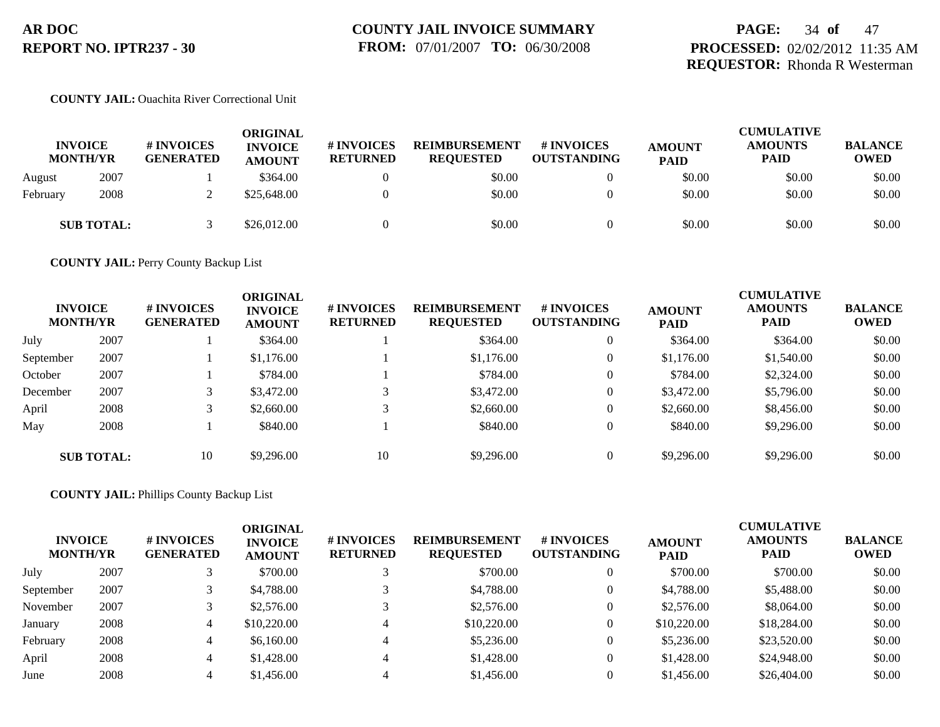### **PAGE:** 34 **of** 47 **PROCESSED:** 02/02/2012 11:35 AM **REQUESTOR:** Rhonda R Westerman

### **COUNTY JAIL:** Ouachita River Correctional Unit

| <b>INVOICE</b><br><b>MONTH/YR</b> |                   | <b># INVOICES</b><br><b>GENERATED</b> | ORIGINAL<br><b>INVOICE</b><br><b>AMOUNT</b> | # INVOICES<br><b>RETURNED</b> | <b>REIMBURSEMENT</b><br><b>REQUESTED</b> | <b>#INVOICES</b><br><b>OUTSTANDING</b> | <b>AMOUNT</b><br><b>PAID</b> | <b>CUMULATIVE</b><br><b>AMOUNTS</b><br><b>PAID</b> | <b>BALANCE</b><br><b>OWED</b> |
|-----------------------------------|-------------------|---------------------------------------|---------------------------------------------|-------------------------------|------------------------------------------|----------------------------------------|------------------------------|----------------------------------------------------|-------------------------------|
| August                            | 2007              |                                       | \$364.00                                    |                               | \$0.00                                   |                                        | \$0.00                       | \$0.00                                             | \$0.00                        |
| February                          | 2008              |                                       | \$25,648.00                                 |                               | \$0.00                                   |                                        | \$0.00                       | \$0.00                                             | \$0.00                        |
|                                   | <b>SUB TOTAL:</b> |                                       | \$26,012.00                                 |                               | \$0.00                                   |                                        | \$0.00                       | \$0.00                                             | \$0.00                        |

**COUNTY JAIL:** Perry County Backup List

|           | <b>INVOICE</b><br><b>MONTH/YR</b> | # INVOICES<br><b>GENERATED</b> | <b>ORIGINAL</b><br><b>INVOICE</b><br><b>AMOUNT</b> | # INVOICES<br><b>RETURNED</b> | <b>REIMBURSEMENT</b><br><b>REQUESTED</b> | # INVOICES<br><b>OUTSTANDING</b> | <b>AMOUNT</b><br><b>PAID</b> | <b>CUMULATIVE</b><br><b>AMOUNTS</b><br><b>PAID</b> | <b>BALANCE</b><br><b>OWED</b> |
|-----------|-----------------------------------|--------------------------------|----------------------------------------------------|-------------------------------|------------------------------------------|----------------------------------|------------------------------|----------------------------------------------------|-------------------------------|
| July      | 2007                              |                                | \$364.00                                           |                               | \$364.00                                 |                                  | \$364.00                     | \$364.00                                           | \$0.00                        |
| September | 2007                              |                                | \$1,176.00                                         |                               | \$1,176.00                               | $\boldsymbol{0}$                 | \$1,176.00                   | \$1,540.00                                         | \$0.00                        |
| October   | 2007                              |                                | \$784.00                                           |                               | \$784.00                                 |                                  | \$784.00                     | \$2,324.00                                         | \$0.00                        |
| December  | 2007                              | 3                              | \$3,472.00                                         |                               | \$3,472.00                               | $\theta$                         | \$3,472.00                   | \$5,796.00                                         | \$0.00                        |
| April     | 2008                              |                                | \$2,660.00                                         |                               | \$2,660.00                               | $\theta$                         | \$2,660.00                   | \$8,456.00                                         | \$0.00                        |
| May       | 2008                              |                                | \$840.00                                           |                               | \$840.00                                 |                                  | \$840.00                     | \$9,296.00                                         | \$0.00                        |
|           | <b>SUB TOTAL:</b>                 | 10                             | \$9,296.00                                         | 10                            | \$9,296.00                               |                                  | \$9,296.00                   | \$9,296.00                                         | \$0.00                        |

#### **COUNTY JAIL:** Phillips County Backup List

| <b>INVOICE</b><br><b>MONTH/YR</b> |      | # INVOICES<br><b>GENERATED</b> | <b>ORIGINAL</b><br><b>INVOICE</b><br><b>AMOUNT</b> | # INVOICES<br><b>RETURNED</b> | <b>REIMBURSEMENT</b><br><b>REQUESTED</b> | <b># INVOICES</b><br><b>OUTSTANDING</b> | <b>AMOUNT</b><br><b>PAID</b> | <b>CUMULATIVE</b><br><b>AMOUNTS</b><br><b>PAID</b> | <b>BALANCE</b><br><b>OWED</b> |
|-----------------------------------|------|--------------------------------|----------------------------------------------------|-------------------------------|------------------------------------------|-----------------------------------------|------------------------------|----------------------------------------------------|-------------------------------|
| July                              | 2007 |                                | \$700.00                                           |                               | \$700.00                                 |                                         | \$700.00                     | \$700.00                                           | \$0.00                        |
| September                         | 2007 |                                | \$4,788.00                                         |                               | \$4,788.00                               |                                         | \$4,788.00                   | \$5,488.00                                         | \$0.00                        |
| November                          | 2007 |                                | \$2,576.00                                         |                               | \$2,576.00                               |                                         | \$2,576.00                   | \$8,064.00                                         | \$0.00                        |
| January                           | 2008 | 4                              | \$10,220.00                                        |                               | \$10,220.00                              |                                         | \$10,220.00                  | \$18,284.00                                        | \$0.00                        |
| February                          | 2008 | 4                              | \$6,160.00                                         |                               | \$5,236.00                               |                                         | \$5,236.00                   | \$23,520.00                                        | \$0.00                        |
| April                             | 2008 | 4                              | \$1,428.00                                         |                               | \$1,428.00                               |                                         | \$1,428.00                   | \$24,948.00                                        | \$0.00                        |
| June                              | 2008 |                                | \$1,456.00                                         |                               | \$1,456.00                               |                                         | \$1,456.00                   | \$26,404.00                                        | \$0.00                        |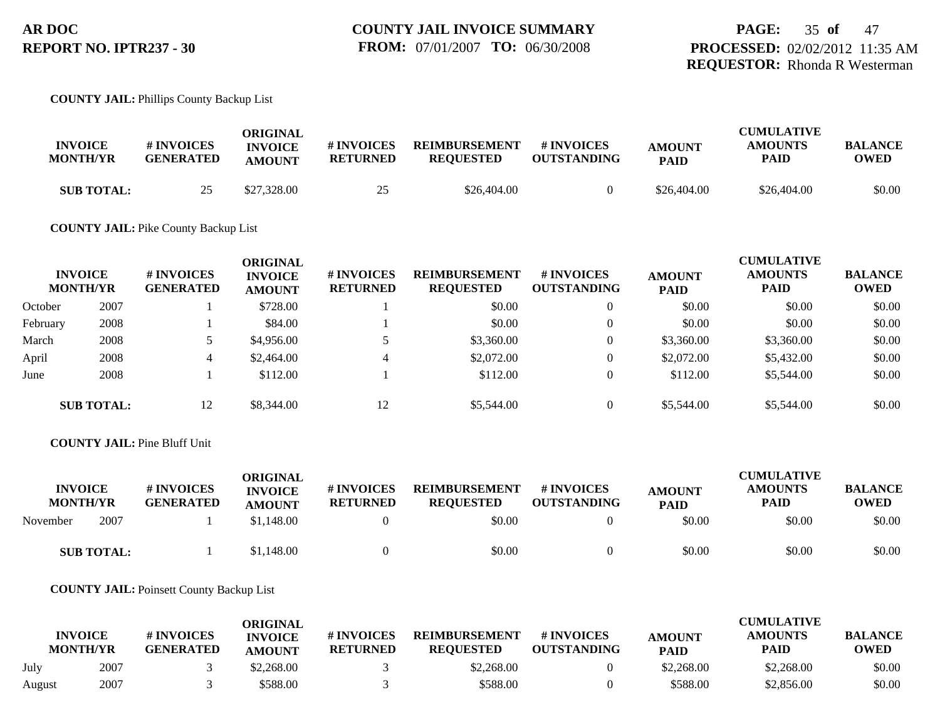#### **COUNTY JAIL:** Phillips County Backup List

| <b>INVOICE</b><br><b>MONTH/YR</b> | <b># INVOICES</b><br><b>GENERATED</b> | ORIGINAL<br><b>INVOICE</b><br><b>AMOUNT</b> | # INVOICES<br><b>RETURNED</b> | <b>REIMBURSEMENT</b><br><b>REOUESTED</b> | <b># INVOICES</b><br><b>OUTSTANDING</b> | <b>AMOUNT</b><br><b>PAID</b> | <b>CUMULATIVE</b><br><b>AMOUNTS</b><br><b>PAID</b> | <b>BALANCE</b><br>OWED |
|-----------------------------------|---------------------------------------|---------------------------------------------|-------------------------------|------------------------------------------|-----------------------------------------|------------------------------|----------------------------------------------------|------------------------|
| <b>SUB TOTAL:</b>                 |                                       | \$27,328.00                                 | 25<br>ت                       | \$26,404.00                              |                                         | \$26,404.00                  | \$26,404.00                                        | \$0.00                 |

#### **COUNTY JAIL:** Pike County Backup List

|          | <b>INVOICE</b><br><b>MONTH/YR</b> | # INVOICES<br><b>GENERATED</b> | <b>ORIGINAL</b><br><b>INVOICE</b><br><b>AMOUNT</b> | # INVOICES<br><b>RETURNED</b> | <b>REIMBURSEMENT</b><br><b>REQUESTED</b> | # INVOICES<br><b>OUTSTANDING</b> | <b>AMOUNT</b><br><b>PAID</b> | <b>CUMULATIVE</b><br><b>AMOUNTS</b><br><b>PAID</b> | <b>BALANCE</b><br><b>OWED</b> |
|----------|-----------------------------------|--------------------------------|----------------------------------------------------|-------------------------------|------------------------------------------|----------------------------------|------------------------------|----------------------------------------------------|-------------------------------|
| October  | 2007                              |                                | \$728.00                                           |                               | \$0.00                                   | $\overline{0}$                   | \$0.00                       | \$0.00                                             | \$0.00                        |
| February | 2008                              |                                | \$84.00                                            |                               | \$0.00                                   | $\overline{0}$                   | \$0.00                       | \$0.00                                             | \$0.00                        |
| March    | 2008                              |                                | \$4,956.00                                         |                               | \$3,360.00                               | $\overline{0}$                   | \$3,360.00                   | \$3,360.00                                         | \$0.00                        |
| April    | 2008                              | 4                              | \$2,464.00                                         | 4                             | \$2,072.00                               | $\overline{0}$                   | \$2,072.00                   | \$5,432.00                                         | \$0.00                        |
| June     | 2008                              |                                | \$112.00                                           |                               | \$112.00                                 | $\overline{0}$                   | \$112.00                     | \$5,544.00                                         | \$0.00                        |
|          | <b>SUB TOTAL:</b>                 | 12                             | \$8,344.00                                         | 12                            | \$5,544.00                               | $\overline{0}$                   | \$5,544.00                   | \$5,544.00                                         | \$0.00                        |

#### **COUNTY JAIL:** Pine Bluff Unit

| <b>INVOICE</b><br><b>MONTH/YR</b> | # INVOICES<br><b>GENERATED</b> | ORIGINAL<br><b>INVOICE</b><br><b>AMOUNT</b> | <b>#INVOICES</b><br><b>RETURNED</b> | <b>REIMBURSEMENT</b><br><b>REOUESTED</b> | # INVOICES<br><b>OUTSTANDING</b> | <b>AMOUNT</b><br><b>PAID</b> | <b>CUMULATIVE</b><br><b>AMOUNTS</b><br><b>PAID</b> | <b>BALANCE</b><br><b>OWED</b> |
|-----------------------------------|--------------------------------|---------------------------------------------|-------------------------------------|------------------------------------------|----------------------------------|------------------------------|----------------------------------------------------|-------------------------------|
| 2007<br>November                  |                                | \$1,148.00                                  |                                     | \$0.00                                   |                                  | \$0.00                       | \$0.00                                             | \$0.00                        |
| <b>SUB TOTAL:</b>                 |                                | \$1,148.00                                  |                                     | \$0.00                                   |                                  | \$0.00                       | \$0.00                                             | \$0.00                        |

**COUNTY JAIL:** Poinsett County Backup List

|        | <b>INVOICE</b><br><b>MONTH/YR</b> | # INVOICES<br><b>GENERATED</b> | ORIGINAL<br><b>INVOICE</b><br><b>AMOUNT</b> | # INVOICES<br><b>RETURNED</b> | <b>REIMBURSEMENT</b><br><b>REOUESTED</b> | # INVOICES<br><b>OUTSTANDING</b> | <b>AMOUNT</b><br><b>PAID</b> | <b>CUMULATIVE</b><br>AMOUNTS<br><b>PAID</b> | <b>BALANCE</b><br><b>OWED</b> |
|--------|-----------------------------------|--------------------------------|---------------------------------------------|-------------------------------|------------------------------------------|----------------------------------|------------------------------|---------------------------------------------|-------------------------------|
| July   | 2007                              |                                | \$2,268.00                                  |                               | \$2,268.00                               |                                  | \$2,268.00                   | \$2,268.00                                  | \$0.00                        |
| August | 2007                              |                                | \$588.00                                    |                               | \$588.00                                 |                                  | \$588.00                     | \$2,856.00                                  | \$0.00                        |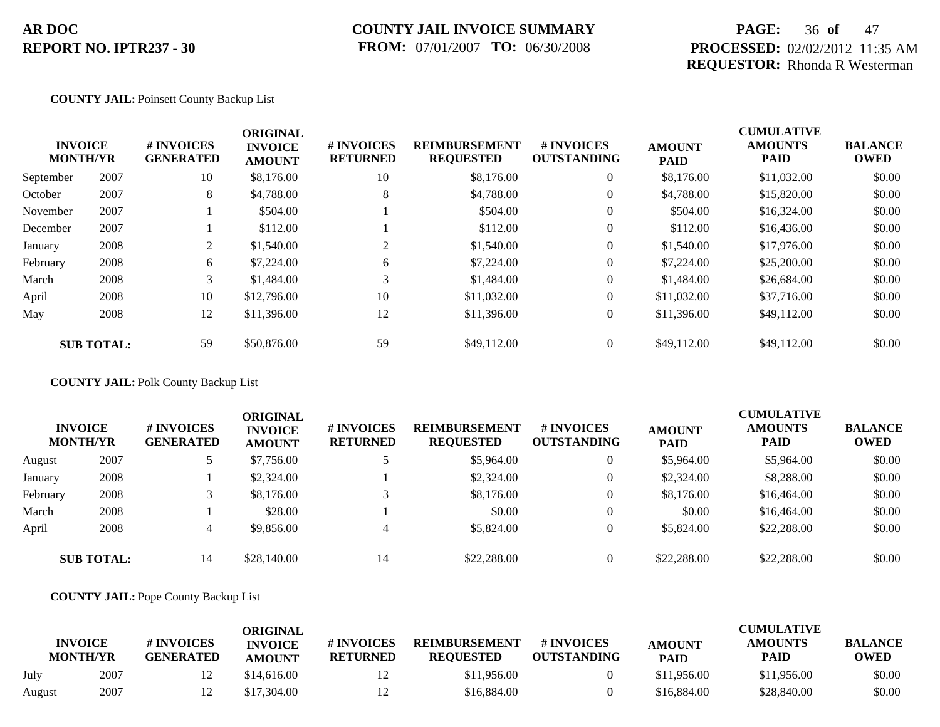### **COUNTY JAIL INVOICE SUMMARY FROM:** 07/01/2007 **TO:** 06/30/2008

### **PAGE:** 36 **of** 47 **PROCESSED:** 02/02/2012 11:35 AM **REQUESTOR:** Rhonda R Westerman

#### **COUNTY JAIL:** Poinsett County Backup List

| <b>INVOICE</b><br><b>MONTH/YR</b> |                   | # INVOICES<br><b>GENERATED</b> | <b>ORIGINAL</b><br><b>INVOICE</b><br><b>AMOUNT</b> | # INVOICES<br><b>RETURNED</b> | <b>REIMBURSEMENT</b><br><b>REQUESTED</b> | <b>#INVOICES</b><br><b>OUTSTANDING</b> | <b>AMOUNT</b><br><b>PAID</b> | <b>CUMULATIVE</b><br><b>AMOUNTS</b><br><b>PAID</b> | <b>BALANCE</b><br><b>OWED</b> |
|-----------------------------------|-------------------|--------------------------------|----------------------------------------------------|-------------------------------|------------------------------------------|----------------------------------------|------------------------------|----------------------------------------------------|-------------------------------|
| September                         | 2007              | 10                             | \$8,176.00                                         | 10                            | \$8,176.00                               | $\overline{0}$                         | \$8,176.00                   | \$11,032.00                                        | \$0.00                        |
| October                           | 2007              | 8                              | \$4,788.00                                         | 8                             | \$4,788.00                               | $\overline{0}$                         | \$4,788.00                   | \$15,820.00                                        | \$0.00                        |
| November                          | 2007              |                                | \$504.00                                           |                               | \$504.00                                 | $\overline{0}$                         | \$504.00                     | \$16,324.00                                        | \$0.00                        |
| December                          | 2007              |                                | \$112.00                                           |                               | \$112.00                                 | $\overline{0}$                         | \$112.00                     | \$16,436.00                                        | \$0.00                        |
| January                           | 2008              | 2                              | \$1,540.00                                         | 2                             | \$1,540.00                               | $\overline{0}$                         | \$1,540.00                   | \$17,976.00                                        | \$0.00                        |
| February                          | 2008              | 6                              | \$7,224.00                                         | 6                             | \$7,224.00                               | $\overline{0}$                         | \$7,224.00                   | \$25,200.00                                        | \$0.00                        |
| March                             | 2008              | 3 <sup>1</sup>                 | \$1,484.00                                         | 3                             | \$1,484.00                               | $\overline{0}$                         | \$1,484.00                   | \$26,684.00                                        | \$0.00                        |
| April                             | 2008              | 10                             | \$12,796.00                                        | 10                            | \$11,032.00                              | $\overline{0}$                         | \$11,032.00                  | \$37,716.00                                        | \$0.00                        |
| May                               | 2008              | 12                             | \$11,396.00                                        | 12                            | \$11,396.00                              | $\overline{0}$                         | \$11,396.00                  | \$49,112.00                                        | \$0.00                        |
|                                   | <b>SUB TOTAL:</b> | 59                             | \$50,876.00                                        | 59                            | \$49,112.00                              | $\overline{0}$                         | \$49,112.00                  | \$49,112.00                                        | \$0.00                        |

**COUNTY JAIL:** Polk County Backup List

|          | <b>INVOICE</b><br><b>MONTH/YR</b> | # INVOICES<br><b>GENERATED</b> | ORIGINAL<br><b>INVOICE</b><br><b>AMOUNT</b> | # INVOICES<br><b>RETURNED</b> | <b>REIMBURSEMENT</b><br><b>REQUESTED</b> | <b># INVOICES</b><br><b>OUTSTANDING</b> | <b>AMOUNT</b><br><b>PAID</b> | <b>CUMULATIVE</b><br><b>AMOUNTS</b><br><b>PAID</b> | <b>BALANCE</b><br><b>OWED</b> |
|----------|-----------------------------------|--------------------------------|---------------------------------------------|-------------------------------|------------------------------------------|-----------------------------------------|------------------------------|----------------------------------------------------|-------------------------------|
| August   | 2007                              |                                | \$7,756.00                                  |                               | \$5,964.00                               | 0                                       | \$5,964.00                   | \$5,964.00                                         | \$0.00                        |
| January  | 2008                              |                                | \$2,324.00                                  |                               | \$2,324.00                               | 0                                       | \$2,324.00                   | \$8,288.00                                         | \$0.00                        |
| February | 2008                              |                                | \$8,176.00                                  |                               | \$8,176.00                               | 0                                       | \$8,176.00                   | \$16,464.00                                        | \$0.00                        |
| March    | 2008                              |                                | \$28.00                                     |                               | \$0.00                                   | $\overline{0}$                          | \$0.00                       | \$16,464.00                                        | \$0.00                        |
| April    | 2008                              |                                | \$9,856.00                                  | 4                             | \$5,824.00                               | 0                                       | \$5,824.00                   | \$22,288.00                                        | \$0.00                        |
|          | <b>SUB TOTAL:</b>                 | 14                             | \$28,140.00                                 | 14                            | \$22,288.00                              | 0                                       | \$22,288,00                  | \$22,288.00                                        | \$0.00                        |

**COUNTY JAIL:** Pope County Backup List

|        | <b>INVOICE</b><br><b>MONTH/YR</b> | # INVOICES<br><b>GENERATED</b> | <b>ORIGINAL</b><br><b>INVOICE</b><br><b>AMOUNT</b> | # INVOICES<br><b>RETURNED</b> | <b>REIMBURSEMENT</b><br><b>REQUESTED</b> | # INVOICES<br><b>OUTSTANDING</b> | <b>AMOUNT</b><br><b>PAID</b> | <b>CUMULATIVE</b><br><b>AMOUNTS</b><br><b>PAID</b> | <b>BALANCE</b><br><b>OWED</b> |
|--------|-----------------------------------|--------------------------------|----------------------------------------------------|-------------------------------|------------------------------------------|----------------------------------|------------------------------|----------------------------------------------------|-------------------------------|
| July   | 2007                              |                                | \$14,616.00                                        | 12                            | \$11,956.00                              |                                  | \$11,956.00                  | \$11,956.00                                        | \$0.00                        |
| August | 2007                              |                                | \$17,304.00                                        | 12                            | \$16,884.00                              |                                  | \$16,884.00                  | \$28,840.00                                        | \$0.00                        |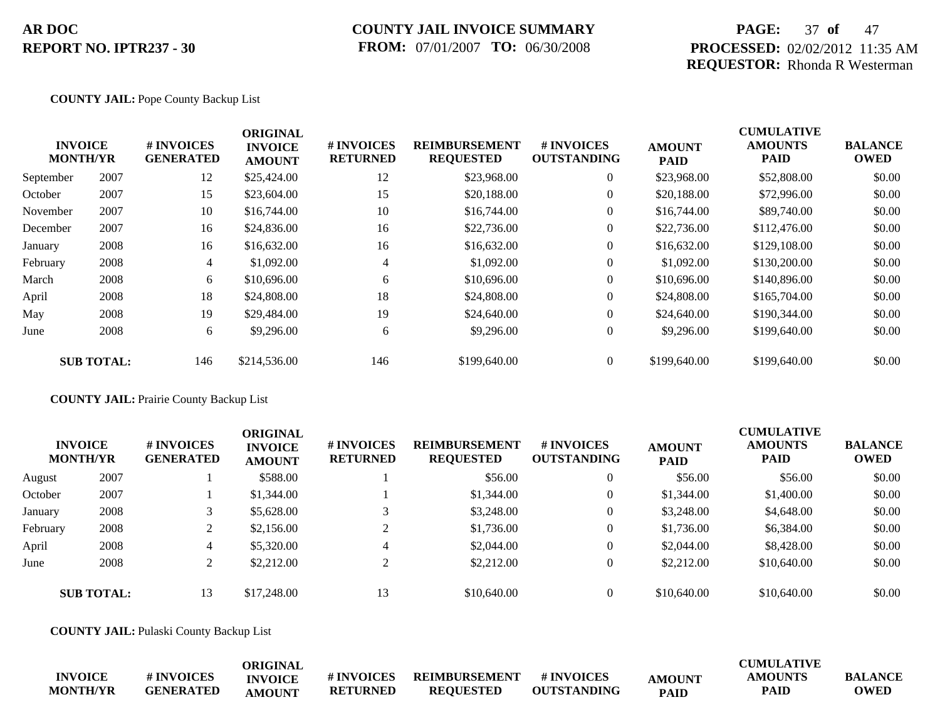### **COUNTY JAIL INVOICE SUMMARY FROM:** 07/01/2007 **TO:** 06/30/2008

### **PAGE:** 37 **of** 47 **PROCESSED:** 02/02/2012 11:35 AM **REQUESTOR:** Rhonda R Westerman

#### **COUNTY JAIL:** Pope County Backup List

|           |                                   |                                | <b>ORIGINAL</b>                 |                               |                                          |                                        |                              | <b>CUMULATIVE</b>             |                               |
|-----------|-----------------------------------|--------------------------------|---------------------------------|-------------------------------|------------------------------------------|----------------------------------------|------------------------------|-------------------------------|-------------------------------|
|           | <b>INVOICE</b><br><b>MONTH/YR</b> | # INVOICES<br><b>GENERATED</b> | <b>INVOICE</b><br><b>AMOUNT</b> | # INVOICES<br><b>RETURNED</b> | <b>REIMBURSEMENT</b><br><b>REQUESTED</b> | <b>#INVOICES</b><br><b>OUTSTANDING</b> | <b>AMOUNT</b><br><b>PAID</b> | <b>AMOUNTS</b><br><b>PAID</b> | <b>BALANCE</b><br><b>OWED</b> |
| September | 2007                              | 12                             | \$25,424.00                     | 12                            | \$23,968.00                              | $\overline{0}$                         | \$23,968.00                  | \$52,808.00                   | \$0.00                        |
| October   | 2007                              | 15                             | \$23,604.00                     | 15                            | \$20,188.00                              | $\overline{0}$                         | \$20,188.00                  | \$72,996.00                   | \$0.00                        |
| November  | 2007                              | 10                             | \$16,744.00                     | 10                            | \$16,744.00                              | $\overline{0}$                         | \$16,744.00                  | \$89,740.00                   | \$0.00                        |
| December  | 2007                              | 16                             | \$24,836.00                     | 16                            | \$22,736.00                              | $\overline{0}$                         | \$22,736.00                  | \$112,476.00                  | \$0.00                        |
| January   | 2008                              | 16                             | \$16,632.00                     | 16                            | \$16,632.00                              | $\overline{0}$                         | \$16,632.00                  | \$129,108.00                  | \$0.00                        |
| February  | 2008                              | $\overline{4}$                 | \$1,092.00                      | 4                             | \$1,092.00                               | $\overline{0}$                         | \$1,092.00                   | \$130,200.00                  | \$0.00                        |
| March     | 2008                              | 6                              | \$10,696.00                     | 6                             | \$10,696.00                              | $\overline{0}$                         | \$10,696.00                  | \$140,896.00                  | \$0.00                        |
| April     | 2008                              | 18                             | \$24,808.00                     | 18                            | \$24,808.00                              | $\overline{0}$                         | \$24,808.00                  | \$165,704.00                  | \$0.00                        |
| May       | 2008                              | 19                             | \$29,484.00                     | 19                            | \$24,640.00                              | $\overline{0}$                         | \$24,640.00                  | \$190,344.00                  | \$0.00                        |
| June      | 2008                              | 6                              | \$9,296.00                      | 6                             | \$9,296.00                               | $\overline{0}$                         | \$9,296.00                   | \$199,640.00                  | \$0.00                        |
|           | <b>SUB TOTAL:</b>                 | 146                            | \$214,536.00                    | 146                           | \$199,640.00                             | $\theta$                               | \$199,640.00                 | \$199,640.00                  | \$0.00                        |

#### **COUNTY JAIL:** Prairie County Backup List

|          | <b>INVOICE</b><br><b>MONTH/YR</b> | # INVOICES<br><b>GENERATED</b> | <b>ORIGINAL</b><br><b>INVOICE</b><br><b>AMOUNT</b> | # INVOICES<br><b>RETURNED</b> | <b>REIMBURSEMENT</b><br><b>REQUESTED</b> | <b># INVOICES</b><br><b>OUTSTANDING</b> | <b>AMOUNT</b><br><b>PAID</b> | <b>CUMULATIVE</b><br><b>AMOUNTS</b><br><b>PAID</b> | <b>BALANCE</b><br><b>OWED</b> |
|----------|-----------------------------------|--------------------------------|----------------------------------------------------|-------------------------------|------------------------------------------|-----------------------------------------|------------------------------|----------------------------------------------------|-------------------------------|
| August   | 2007                              |                                | \$588.00                                           |                               | \$56.00                                  |                                         | \$56.00                      | \$56.00                                            | \$0.00                        |
| October  | 2007                              |                                | \$1,344.00                                         |                               | \$1,344.00                               |                                         | \$1,344.00                   | \$1,400.00                                         | \$0.00                        |
| January  | 2008                              |                                | \$5,628.00                                         |                               | \$3,248.00                               |                                         | \$3,248.00                   | \$4,648.00                                         | \$0.00                        |
| February | 2008                              |                                | \$2,156.00                                         |                               | \$1,736.00                               |                                         | \$1,736.00                   | \$6,384.00                                         | \$0.00                        |
| April    | 2008                              | 4                              | \$5,320.00                                         | 4                             | \$2,044.00                               | $\theta$                                | \$2,044.00                   | \$8,428.00                                         | \$0.00                        |
| June     | 2008                              |                                | \$2,212.00                                         | $\bigcap$                     | \$2,212.00                               |                                         | \$2,212.00                   | \$10,640.00                                        | \$0.00                        |
|          | <b>SUB TOTAL:</b>                 | 13                             | \$17,248.00                                        | 13                            | \$10,640.00                              |                                         | \$10,640.00                  | \$10,640.00                                        | \$0.00                        |

**COUNTY JAIL:** Pulaski County Backup List

|                 |                  | <b>DRIGINAL</b> |                 |                      |                    |               | <b>CUMULATIVE</b> |                |
|-----------------|------------------|-----------------|-----------------|----------------------|--------------------|---------------|-------------------|----------------|
| <b>INVOICE</b>  | # INVOICES       | <b>INVOICE</b>  | # INVOICES      | <b>REIMBURSEMENT</b> | # INVOICES         | <b>AMOUNT</b> | <b>AMOUNTS</b>    | <b>BALANCE</b> |
| <b>MONTH/YR</b> | <b>GENERATED</b> | <b>AMOUNT</b>   | <b>RETURNED</b> | <b>REOUESTED</b>     | <b>OUTSTANDING</b> | <b>PAID</b>   | PAID              | <b>OWED</b>    |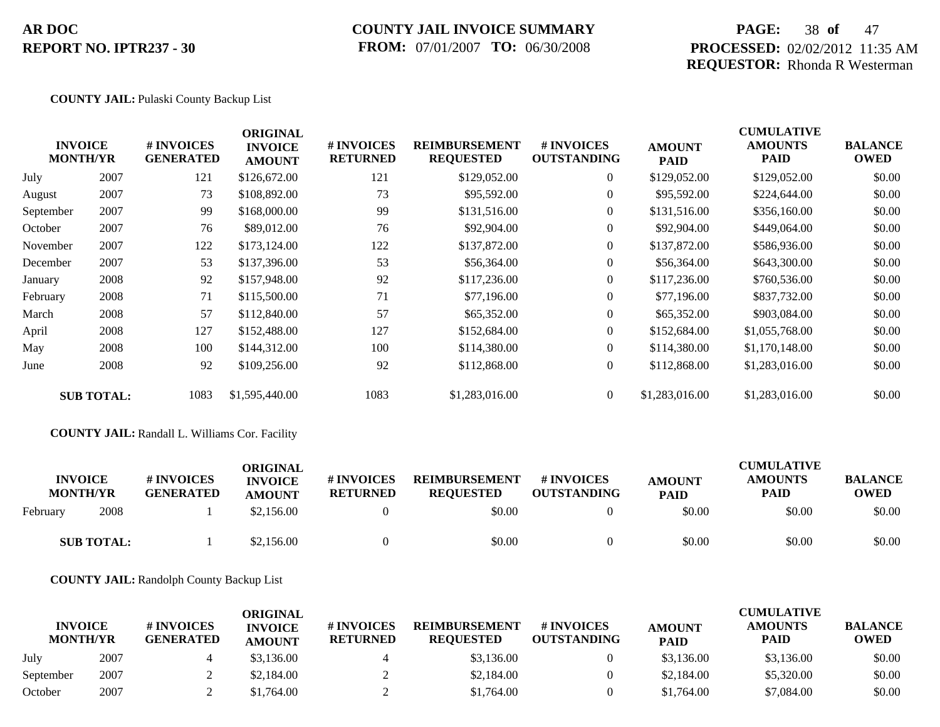### **COUNTY JAIL INVOICE SUMMARY FROM:** 07/01/2007 **TO:** 06/30/2008

### **PAGE:** 38 **of** 47 **PROCESSED:** 02/02/2012 11:35 AM **REQUESTOR:** Rhonda R Westerman

#### **COUNTY JAIL:** Pulaski County Backup List

|           | <b>INVOICE</b><br><b>MONTH/YR</b> | # INVOICES<br><b>GENERATED</b> | <b>ORIGINAL</b><br><b>INVOICE</b><br><b>AMOUNT</b> | # INVOICES<br><b>RETURNED</b> | <b>REIMBURSEMENT</b><br><b>REQUESTED</b> | <b># INVOICES</b><br><b>OUTSTANDING</b> | <b>AMOUNT</b><br><b>PAID</b> | <b>CUMULATIVE</b><br><b>AMOUNTS</b><br>PAID | <b>BALANCE</b><br><b>OWED</b> |
|-----------|-----------------------------------|--------------------------------|----------------------------------------------------|-------------------------------|------------------------------------------|-----------------------------------------|------------------------------|---------------------------------------------|-------------------------------|
| July      | 2007                              | 121                            | \$126,672.00                                       | 121                           | \$129,052.00                             | $\overline{0}$                          | \$129,052.00                 | \$129,052.00                                | \$0.00                        |
| August    | 2007                              | 73                             | \$108,892.00                                       | 73                            | \$95,592.00                              | $\overline{0}$                          | \$95,592.00                  | \$224,644.00                                | \$0.00                        |
| September | 2007                              | 99                             | \$168,000.00                                       | 99                            | \$131,516.00                             | $\overline{0}$                          | \$131,516.00                 | \$356,160.00                                | \$0.00                        |
| October   | 2007                              | 76                             | \$89,012.00                                        | 76                            | \$92,904.00                              | $\overline{0}$                          | \$92,904.00                  | \$449,064.00                                | \$0.00                        |
| November  | 2007                              | 122                            | \$173,124.00                                       | 122                           | \$137,872.00                             | $\overline{0}$                          | \$137,872.00                 | \$586,936.00                                | \$0.00                        |
| December  | 2007                              | 53                             | \$137,396.00                                       | 53                            | \$56,364.00                              | $\Omega$                                | \$56,364.00                  | \$643,300.00                                | \$0.00                        |
| January   | 2008                              | 92                             | \$157,948.00                                       | 92                            | \$117,236.00                             | $\Omega$                                | \$117,236.00                 | \$760,536.00                                | \$0.00                        |
| February  | 2008                              | 71                             | \$115,500.00                                       | 71                            | \$77,196.00                              | $\overline{0}$                          | \$77,196.00                  | \$837,732.00                                | \$0.00                        |
| March     | 2008                              | 57                             | \$112,840.00                                       | 57                            | \$65,352.00                              | $\overline{0}$                          | \$65,352.00                  | \$903,084.00                                | \$0.00                        |
| April     | 2008                              | 127                            | \$152,488.00                                       | 127                           | \$152,684.00                             | $\overline{0}$                          | \$152,684.00                 | \$1,055,768.00                              | \$0.00                        |
| May       | 2008                              | 100                            | \$144,312.00                                       | 100                           | \$114,380.00                             | $\overline{0}$                          | \$114,380.00                 | \$1,170,148.00                              | \$0.00                        |
| June      | 2008                              | 92                             | \$109,256.00                                       | 92                            | \$112,868.00                             | $\overline{0}$                          | \$112,868.00                 | \$1,283,016.00                              | \$0.00                        |
|           | <b>SUB TOTAL:</b>                 | 1083                           | \$1,595,440.00                                     | 1083                          | \$1,283,016.00                           | $\overline{0}$                          | \$1,283,016.00               | \$1,283,016.00                              | \$0.00                        |
|           |                                   |                                |                                                    |                               |                                          |                                         |                              |                                             |                               |

**COUNTY JAIL:** Randall L. Williams Cor. Facility

| <b>INVOICE</b><br><b>MONTH/YR</b> | <b>#INVOICES</b><br><b>GENERATED</b> | ORIGINAL<br><b>INVOICE</b><br><b>AMOUNT</b> | # INVOICES<br><b>RETURNED</b> | <b>REIMBURSEMENT</b><br><b>REQUESTED</b> | # INVOICES<br><b>OUTSTANDING</b> | <b>AMOUNT</b><br><b>PAID</b> | <b>CUMULATIVE</b><br><b>AMOUNTS</b><br><b>PAID</b> | <b>BALANCE</b><br><b>OWED</b> |
|-----------------------------------|--------------------------------------|---------------------------------------------|-------------------------------|------------------------------------------|----------------------------------|------------------------------|----------------------------------------------------|-------------------------------|
| 2008<br>February                  |                                      | \$2,156.00                                  |                               | \$0.00                                   |                                  | \$0.00                       | \$0.00                                             | \$0.00                        |
| <b>SUB TOTAL:</b>                 |                                      | \$2,156.00                                  |                               | \$0.00                                   |                                  | \$0.00                       | \$0.00                                             | \$0.00                        |

**COUNTY JAIL:** Randolph County Backup List

| <b>INVOICE</b><br><b>MONTH/YR</b> |      | # INVOICES<br><b>GENERATED</b> | ORIGINAL<br><b>INVOICE</b><br><b>AMOUNT</b> | <b>#INVOICES</b><br><b>RETURNED</b> | <b>REIMBURSEMENT</b><br><b>REQUESTED</b> | # INVOICES<br><b>OUTSTANDING</b> | <b>AMOUNT</b><br><b>PAID</b> | <b>CUMULATIVE</b><br><b>AMOUNTS</b><br><b>PAID</b> | <b>BALANCE</b><br><b>OWED</b> |
|-----------------------------------|------|--------------------------------|---------------------------------------------|-------------------------------------|------------------------------------------|----------------------------------|------------------------------|----------------------------------------------------|-------------------------------|
| July                              | 2007 |                                | \$3,136.00                                  |                                     | \$3,136.00                               |                                  | \$3,136.00                   | \$3,136.00                                         | \$0.00                        |
| September                         | 2007 |                                | \$2,184.00                                  |                                     | \$2,184.00                               |                                  | \$2,184.00                   | \$5,320.00                                         | \$0.00                        |
| October                           | 2007 |                                | \$1,764.00                                  |                                     | \$1,764.00                               |                                  | \$1,764.00                   | \$7,084.00                                         | \$0.00                        |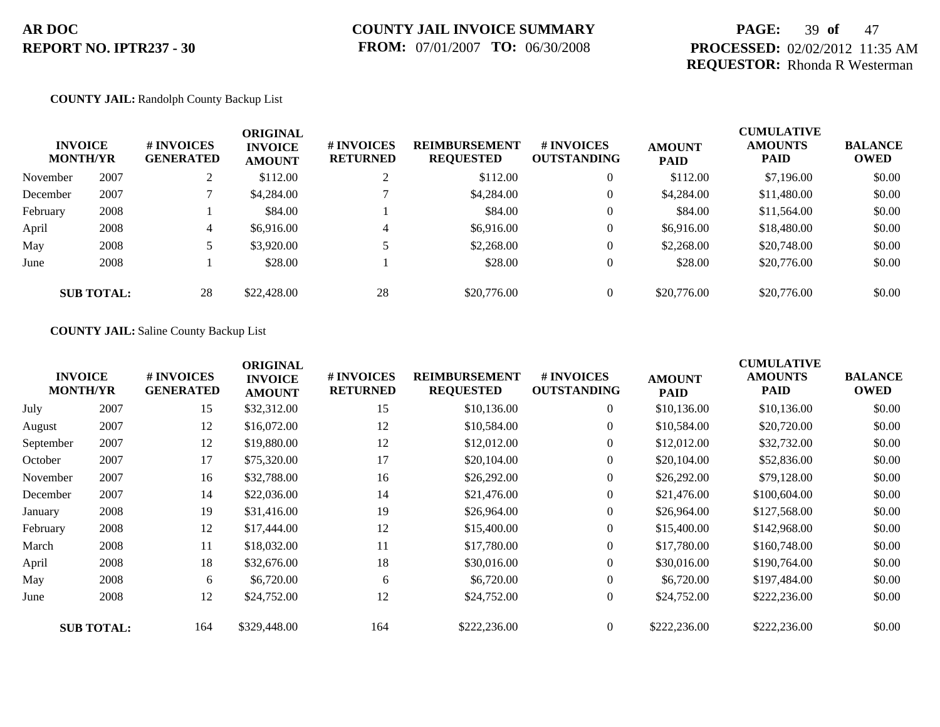### **PAGE:** 39 **of** 47 **PROCESSED:** 02/02/2012 11:35 AM **REQUESTOR:** Rhonda R Westerman

#### **COUNTY JAIL:** Randolph County Backup List

| <b>MONTH/YR</b> | <b>INVOICE</b>    | <b># INVOICES</b><br><b>GENERATED</b> | <b>ORIGINAL</b><br><b>INVOICE</b><br><b>AMOUNT</b> | # INVOICES<br><b>RETURNED</b> | <b>REIMBURSEMENT</b><br><b>REQUESTED</b> | <b># INVOICES</b><br><b>OUTSTANDING</b> | <b>AMOUNT</b><br><b>PAID</b> | <b>CUMULATIVE</b><br><b>AMOUNTS</b><br><b>PAID</b> | <b>BALANCE</b><br><b>OWED</b> |
|-----------------|-------------------|---------------------------------------|----------------------------------------------------|-------------------------------|------------------------------------------|-----------------------------------------|------------------------------|----------------------------------------------------|-------------------------------|
| November        | 2007              |                                       | \$112.00                                           | $\bigcap$                     | \$112.00                                 | $\overline{0}$                          | \$112.00                     | \$7,196.00                                         | \$0.00                        |
| December        | 2007              |                                       | \$4,284.00                                         |                               | \$4,284.00                               | 0                                       | \$4,284.00                   | \$11,480.00                                        | \$0.00                        |
| February        | 2008              |                                       | \$84.00                                            |                               | \$84.00                                  | $\theta$                                | \$84.00                      | \$11,564.00                                        | \$0.00                        |
| April           | 2008              | 4                                     | \$6,916.00                                         | $\overline{4}$                | \$6,916.00                               | $\theta$                                | \$6,916.00                   | \$18,480.00                                        | \$0.00                        |
| May             | 2008              |                                       | \$3,920.00                                         |                               | \$2,268.00                               | $\theta$                                | \$2,268.00                   | \$20,748.00                                        | \$0.00                        |
| June            | 2008              |                                       | \$28.00                                            |                               | \$28.00                                  | $\overline{0}$                          | \$28.00                      | \$20,776.00                                        | \$0.00                        |
|                 | <b>SUB TOTAL:</b> | 28                                    | \$22,428.00                                        | 28                            | \$20,776.00                              | $\theta$                                | \$20,776.00                  | \$20,776.00                                        | \$0.00                        |

#### **COUNTY JAIL:** Saline County Backup List

|           | <b>INVOICE</b><br><b>MONTH/YR</b> | # INVOICES<br><b>GENERATED</b> | <b>ORIGINAL</b><br><b>INVOICE</b><br><b>AMOUNT</b> | # INVOICES<br><b>RETURNED</b> | <b>REIMBURSEMENT</b><br><b>REQUESTED</b> | <b># INVOICES</b><br><b>OUTSTANDING</b> | <b>AMOUNT</b><br><b>PAID</b> | <b>CUMULATIVE</b><br><b>AMOUNTS</b><br>PAID | <b>BALANCE</b><br><b>OWED</b> |
|-----------|-----------------------------------|--------------------------------|----------------------------------------------------|-------------------------------|------------------------------------------|-----------------------------------------|------------------------------|---------------------------------------------|-------------------------------|
| July      | 2007                              | 15                             | \$32,312.00                                        | 15                            | \$10,136.00                              | $\overline{0}$                          | \$10,136.00                  | \$10,136.00                                 | \$0.00                        |
| August    | 2007                              | 12                             | \$16,072.00                                        | 12                            | \$10,584.00                              | $\overline{0}$                          | \$10,584.00                  | \$20,720.00                                 | \$0.00                        |
| September | 2007                              | 12                             | \$19,880.00                                        | 12                            | \$12,012.00                              | $\overline{0}$                          | \$12,012.00                  | \$32,732.00                                 | \$0.00                        |
| October   | 2007                              | 17                             | \$75,320.00                                        | 17                            | \$20,104.00                              | $\overline{0}$                          | \$20,104.00                  | \$52,836.00                                 | \$0.00                        |
| November  | 2007                              | 16                             | \$32,788.00                                        | 16                            | \$26,292.00                              | $\overline{0}$                          | \$26,292.00                  | \$79,128.00                                 | \$0.00                        |
| December  | 2007                              | 14                             | \$22,036.00                                        | 14                            | \$21,476.00                              | $\overline{0}$                          | \$21,476.00                  | \$100,604.00                                | \$0.00                        |
| January   | 2008                              | 19                             | \$31,416.00                                        | 19                            | \$26,964.00                              | $\overline{0}$                          | \$26,964.00                  | \$127,568.00                                | \$0.00                        |
| February  | 2008                              | 12                             | \$17,444.00                                        | 12                            | \$15,400.00                              | $\overline{0}$                          | \$15,400.00                  | \$142,968.00                                | \$0.00                        |
| March     | 2008                              | 11                             | \$18,032.00                                        | 11                            | \$17,780.00                              | $\overline{0}$                          | \$17,780.00                  | \$160,748.00                                | \$0.00                        |
| April     | 2008                              | 18                             | \$32,676.00                                        | 18                            | \$30,016.00                              | $\overline{0}$                          | \$30,016.00                  | \$190,764.00                                | \$0.00                        |
| May       | 2008                              | 6                              | \$6,720.00                                         | 6                             | \$6,720.00                               | $\overline{0}$                          | \$6,720.00                   | \$197,484.00                                | \$0.00                        |
| June      | 2008                              | 12                             | \$24,752.00                                        | 12                            | \$24,752.00                              | $\overline{0}$                          | \$24,752.00                  | \$222,236.00                                | \$0.00                        |
|           | <b>SUB TOTAL:</b>                 | 164                            | \$329,448.00                                       | 164                           | \$222,236.00                             | $\Omega$                                | \$222,236.00                 | \$222,236.00                                | \$0.00                        |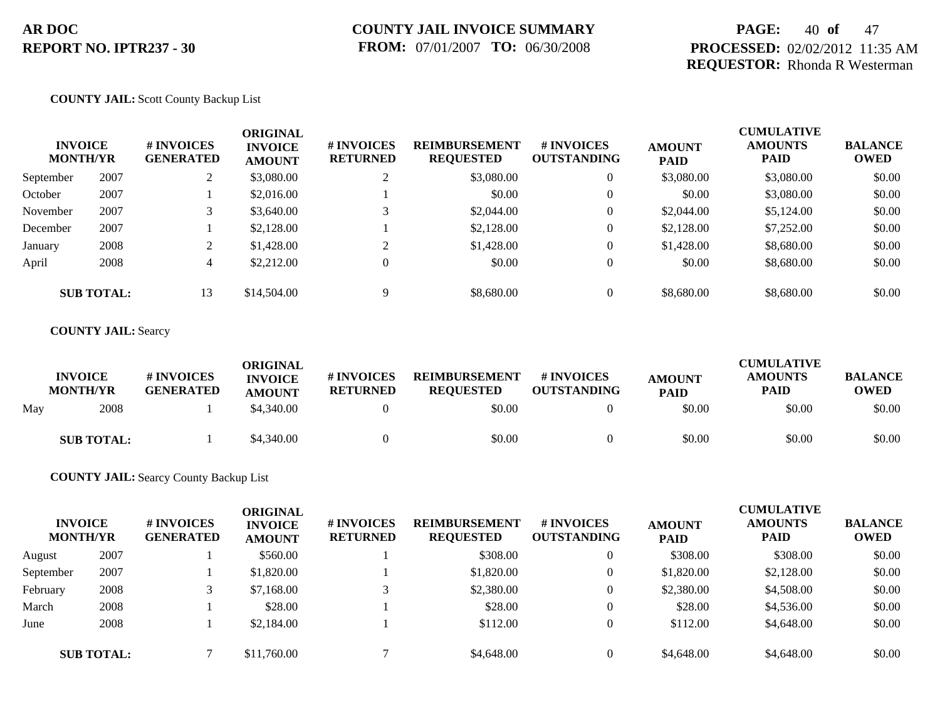### **PAGE:** 40 **of** 47 **PROCESSED:** 02/02/2012 11:35 AM **REQUESTOR:** Rhonda R Westerman

#### **COUNTY JAIL:** Scott County Backup List

| <b>INVOICE</b><br><b>MONTH/YR</b> |                   | # INVOICES<br><b>GENERATED</b> | <b>ORIGINAL</b><br><b>INVOICE</b><br><b>AMOUNT</b> | # INVOICES<br><b>RETURNED</b> | <b>REIMBURSEMENT</b><br><b>REQUESTED</b> | <b>#INVOICES</b><br><b>OUTSTANDING</b> | <b>AMOUNT</b><br><b>PAID</b> | <b>CUMULATIVE</b><br><b>AMOUNTS</b><br><b>PAID</b> | <b>BALANCE</b><br><b>OWED</b> |
|-----------------------------------|-------------------|--------------------------------|----------------------------------------------------|-------------------------------|------------------------------------------|----------------------------------------|------------------------------|----------------------------------------------------|-------------------------------|
| September                         | 2007              |                                | \$3,080.00                                         | ◠                             | \$3,080.00                               | $\overline{0}$                         | \$3,080.00                   | \$3,080.00                                         | \$0.00                        |
| October                           | 2007              |                                | \$2,016.00                                         |                               | \$0.00                                   | $\theta$                               | \$0.00                       | \$3,080.00                                         | \$0.00                        |
| November                          | 2007              |                                | \$3,640.00                                         | ⌒                             | \$2,044.00                               | $\overline{0}$                         | \$2,044.00                   | \$5,124.00                                         | \$0.00                        |
| December                          | 2007              |                                | \$2,128.00                                         |                               | \$2,128.00                               | $\mathbf{0}$                           | \$2,128.00                   | \$7,252.00                                         | \$0.00                        |
| January                           | 2008              |                                | \$1,428.00                                         | $\sim$                        | \$1,428.00                               | $\theta$                               | \$1,428.00                   | \$8,680.00                                         | \$0.00                        |
| April                             | 2008              | 4                              | \$2,212.00                                         | $\theta$                      | \$0.00                                   | $\overline{0}$                         | \$0.00                       | \$8,680.00                                         | \$0.00                        |
|                                   | <b>SUB TOTAL:</b> | 13                             | \$14,504.00                                        | 9                             | \$8,680.00                               | $\overline{0}$                         | \$8,680.00                   | \$8,680.00                                         | \$0.00                        |

#### **COUNTY JAIL:** Searcy

|     | <b>INVOICE</b><br><b>MONTH/YR</b> | <b>#INVOICES</b><br><b>GENERATED</b> | ORIGINAL<br><b>INVOICE</b><br><b>AMOUNT</b> | # INVOICES<br><b>RETURNED</b> | <b>REIMBURSEMENT</b><br><b>REQUESTED</b> | # INVOICES<br><b>OUTSTANDING</b> | <b>AMOUNT</b><br><b>PAID</b> | <b>CUMULATIVE</b><br><b>AMOUNTS</b><br><b>PAID</b> | <b>BALANCE</b><br><b>OWED</b> |
|-----|-----------------------------------|--------------------------------------|---------------------------------------------|-------------------------------|------------------------------------------|----------------------------------|------------------------------|----------------------------------------------------|-------------------------------|
| May | 2008                              |                                      | \$4,340.00                                  |                               | \$0.00                                   |                                  | \$0.00                       | \$0.00                                             | \$0.00                        |
|     | <b>SUB TOTAL:</b>                 |                                      | \$4,340.00                                  |                               | \$0.00                                   |                                  | \$0.00                       | \$0.00                                             | \$0.00                        |

### **COUNTY JAIL:** Searcy County Backup List

| <b>INVOICE</b><br><b>MONTH/YR</b> |                   | # INVOICES<br><b>GENERATED</b> | ORIGINAL<br><b>INVOICE</b><br><b>AMOUNT</b> | <b>#INVOICES</b><br><b>RETURNED</b> | <b>REIMBURSEMENT</b><br><b>REQUESTED</b> | # INVOICES<br><b>OUTSTANDING</b> | <b>AMOUNT</b><br><b>PAID</b> | <b>CUMULATIVE</b><br><b>AMOUNTS</b><br><b>PAID</b> | <b>BALANCE</b><br><b>OWED</b> |
|-----------------------------------|-------------------|--------------------------------|---------------------------------------------|-------------------------------------|------------------------------------------|----------------------------------|------------------------------|----------------------------------------------------|-------------------------------|
| August                            | 2007              |                                | \$560.00                                    |                                     | \$308.00                                 | v                                | \$308.00                     | \$308.00                                           | \$0.00                        |
| September                         | 2007              |                                | \$1,820.00                                  |                                     | \$1,820.00                               | 0                                | \$1,820.00                   | \$2,128.00                                         | \$0.00                        |
| February                          | 2008              |                                | \$7,168.00                                  |                                     | \$2,380.00                               | $\theta$                         | \$2,380.00                   | \$4,508.00                                         | \$0.00                        |
| March                             | 2008              |                                | \$28.00                                     |                                     | \$28.00                                  | 0                                | \$28.00                      | \$4,536.00                                         | \$0.00                        |
| June                              | 2008              |                                | \$2,184.00                                  |                                     | \$112.00                                 | v                                | \$112.00                     | \$4,648.00                                         | \$0.00                        |
|                                   | <b>SUB TOTAL:</b> |                                | \$11,760.00                                 |                                     | \$4,648.00                               | 0                                | \$4,648.00                   | \$4,648.00                                         | \$0.00                        |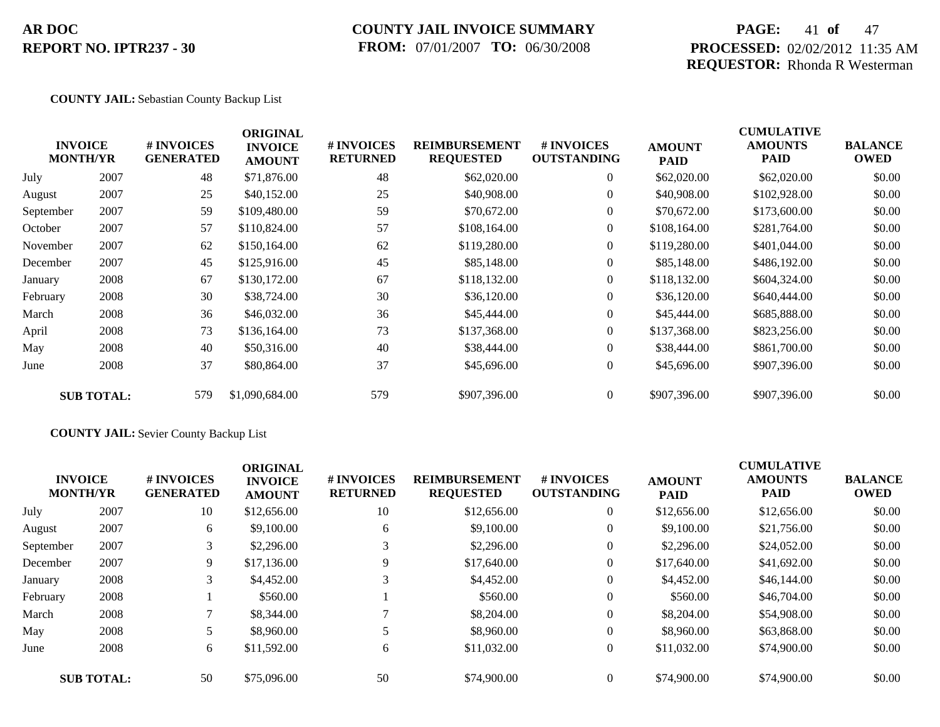### **COUNTY JAIL INVOICE SUMMARY FROM:** 07/01/2007 **TO:** 06/30/2008

### **PAGE:** 41 **of** 47 **PROCESSED:** 02/02/2012 11:35 AM **REQUESTOR:** Rhonda R Westerman

#### **COUNTY JAIL:** Sebastian County Backup List

|           | <b>INVOICE</b><br><b>MONTH/YR</b> | # INVOICES<br><b>GENERATED</b> | <b>ORIGINAL</b><br><b>INVOICE</b><br><b>AMOUNT</b> | # INVOICES<br><b>RETURNED</b> | <b>REIMBURSEMENT</b><br><b>REQUESTED</b> | <b>#INVOICES</b><br><b>OUTSTANDING</b> | <b>AMOUNT</b><br><b>PAID</b> | <b>CUMULATIVE</b><br><b>AMOUNTS</b><br>PAID | <b>BALANCE</b><br><b>OWED</b> |
|-----------|-----------------------------------|--------------------------------|----------------------------------------------------|-------------------------------|------------------------------------------|----------------------------------------|------------------------------|---------------------------------------------|-------------------------------|
| July      | 2007                              | 48                             | \$71,876.00                                        | 48                            | \$62,020.00                              | $\overline{0}$                         | \$62,020.00                  | \$62,020.00                                 | \$0.00                        |
| August    | 2007                              | 25                             | \$40,152.00                                        | 25                            | \$40,908.00                              | $\theta$                               | \$40,908.00                  | \$102,928.00                                | \$0.00                        |
| September | 2007                              | 59                             | \$109,480.00                                       | 59                            | \$70,672.00                              | $\overline{0}$                         | \$70,672.00                  | \$173,600.00                                | \$0.00                        |
| October   | 2007                              | 57                             | \$110,824.00                                       | 57                            | \$108,164.00                             | $\overline{0}$                         | \$108,164.00                 | \$281,764.00                                | \$0.00                        |
| November  | 2007                              | 62                             | \$150,164.00                                       | 62                            | \$119,280.00                             | $\overline{0}$                         | \$119,280.00                 | \$401,044.00                                | \$0.00                        |
| December  | 2007                              | 45                             | \$125,916.00                                       | 45                            | \$85,148.00                              | $\overline{0}$                         | \$85,148.00                  | \$486,192.00                                | \$0.00                        |
| January   | 2008                              | 67                             | \$130,172.00                                       | 67                            | \$118,132.00                             | $\theta$                               | \$118,132.00                 | \$604,324.00                                | \$0.00                        |
| February  | 2008                              | 30                             | \$38,724.00                                        | 30                            | \$36,120.00                              | $\overline{0}$                         | \$36,120.00                  | \$640,444.00                                | \$0.00                        |
| March     | 2008                              | 36                             | \$46,032.00                                        | 36                            | \$45,444.00                              | $\overline{0}$                         | \$45,444.00                  | \$685,888.00                                | \$0.00                        |
| April     | 2008                              | 73                             | \$136,164.00                                       | 73                            | \$137,368.00                             | $\theta$                               | \$137,368.00                 | \$823,256.00                                | \$0.00                        |
| May       | 2008                              | 40                             | \$50,316.00                                        | 40                            | \$38,444.00                              | $\overline{0}$                         | \$38,444.00                  | \$861,700.00                                | \$0.00                        |
| June      | 2008                              | 37                             | \$80,864.00                                        | 37                            | \$45,696.00                              | $\boldsymbol{0}$                       | \$45,696.00                  | \$907,396.00                                | \$0.00                        |
|           | <b>SUB TOTAL:</b>                 | 579                            | \$1,090,684.00                                     | 579                           | \$907,396.00                             | $\overline{0}$                         | \$907,396.00                 | \$907,396.00                                | \$0.00                        |

### **COUNTY JAIL:** Sevier County Backup List

|           | <b>INVOICE</b><br><b>MONTH/YR</b> | # INVOICES<br><b>GENERATED</b> | <b>ORIGINAL</b><br><b>INVOICE</b><br><b>AMOUNT</b> | # INVOICES<br><b>RETURNED</b> | <b>REIMBURSEMENT</b><br><b>REQUESTED</b> | # INVOICES<br><b>OUTSTANDING</b> | <b>AMOUNT</b><br><b>PAID</b> | <b>CUMULATIVE</b><br><b>AMOUNTS</b><br><b>PAID</b> | <b>BALANCE</b><br><b>OWED</b> |
|-----------|-----------------------------------|--------------------------------|----------------------------------------------------|-------------------------------|------------------------------------------|----------------------------------|------------------------------|----------------------------------------------------|-------------------------------|
| July      | 2007                              | 10                             | \$12,656.00                                        | 10                            | \$12,656.00                              | $\overline{0}$                   | \$12,656.00                  | \$12,656.00                                        | \$0.00                        |
| August    | 2007                              | 6                              | \$9,100.00                                         | 6                             | \$9,100.00                               | $\theta$                         | \$9,100.00                   | \$21,756.00                                        | \$0.00                        |
| September | 2007                              | 3                              | \$2,296.00                                         | 3                             | \$2,296.00                               | $\theta$                         | \$2,296.00                   | \$24,052.00                                        | \$0.00                        |
| December  | 2007                              | 9                              | \$17,136.00                                        | 9                             | \$17,640.00                              | $\theta$                         | \$17,640.00                  | \$41,692.00                                        | \$0.00                        |
| January   | 2008                              | 3                              | \$4,452.00                                         |                               | \$4,452.00                               | $\theta$                         | \$4,452.00                   | \$46,144.00                                        | \$0.00                        |
| February  | 2008                              |                                | \$560.00                                           |                               | \$560.00                                 | $\theta$                         | \$560.00                     | \$46,704.00                                        | \$0.00                        |
| March     | 2008                              |                                | \$8,344.00                                         |                               | \$8,204.00                               | $\theta$                         | \$8,204.00                   | \$54,908,00                                        | \$0.00                        |
| May       | 2008                              |                                | \$8,960.00                                         |                               | \$8,960.00                               | $\theta$                         | \$8,960.00                   | \$63,868,00                                        | \$0.00                        |
| June      | 2008                              | 6                              | \$11,592.00                                        | 6                             | \$11,032.00                              | $\overline{0}$                   | \$11,032.00                  | \$74,900.00                                        | \$0.00                        |
|           | <b>SUB TOTAL:</b>                 | 50                             | \$75,096.00                                        | 50                            | \$74,900.00                              | $\Omega$                         | \$74,900.00                  | \$74,900.00                                        | \$0.00                        |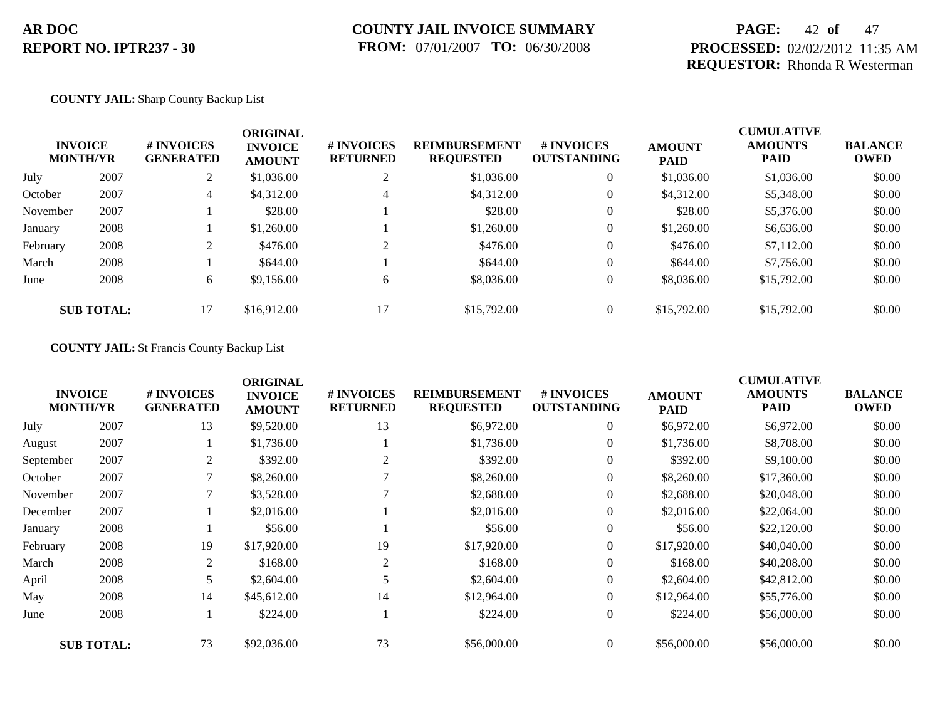### **PAGE:** 42 **of** 47 **PROCESSED:** 02/02/2012 11:35 AM **REQUESTOR:** Rhonda R Westerman

#### **COUNTY JAIL:** Sharp County Backup List

| <b>INVOICE</b><br><b>MONTH/YR</b> |                   | # INVOICES<br><b>GENERATED</b> | <b>ORIGINAL</b><br><b>INVOICE</b><br><b>AMOUNT</b> | # INVOICES<br><b>RETURNED</b> | <b>REIMBURSEMENT</b><br><b>REQUESTED</b> | <b>#INVOICES</b><br><b>OUTSTANDING</b> | <b>AMOUNT</b><br><b>PAID</b> | <b>CUMULATIVE</b><br><b>AMOUNTS</b><br><b>PAID</b> | <b>BALANCE</b><br><b>OWED</b> |
|-----------------------------------|-------------------|--------------------------------|----------------------------------------------------|-------------------------------|------------------------------------------|----------------------------------------|------------------------------|----------------------------------------------------|-------------------------------|
| July                              | 2007              | 2                              | \$1,036.00                                         | ↑                             | \$1,036.00                               | $\overline{0}$                         | \$1,036.00                   | \$1,036.00                                         | \$0.00                        |
| October                           | 2007              | 4                              | \$4,312.00                                         | 4                             | \$4,312.00                               | $\overline{0}$                         | \$4.312.00                   | \$5,348.00                                         | \$0.00                        |
| November                          | 2007              |                                | \$28.00                                            |                               | \$28.00                                  | $\overline{0}$                         | \$28.00                      | \$5,376.00                                         | \$0.00                        |
| January                           | 2008              |                                | \$1,260.00                                         |                               | \$1,260.00                               | $\overline{0}$                         | \$1,260.00                   | \$6,636.00                                         | \$0.00                        |
| February                          | 2008              |                                | \$476.00                                           | ◠                             | \$476.00                                 | $\overline{0}$                         | \$476.00                     | \$7,112.00                                         | \$0.00                        |
| March                             | 2008              |                                | \$644.00                                           |                               | \$644.00                                 | $\overline{0}$                         | \$644.00                     | \$7,756.00                                         | \$0.00                        |
| June                              | 2008              | 6                              | \$9,156.00                                         | 6                             | \$8,036.00                               | $\overline{0}$                         | \$8,036.00                   | \$15,792.00                                        | \$0.00                        |
|                                   | <b>SUB TOTAL:</b> | 17                             | \$16,912.00                                        | 17                            | \$15,792.00                              | $\overline{0}$                         | \$15,792.00                  | \$15,792.00                                        | \$0.00                        |

#### **COUNTY JAIL:** St Francis County Backup List

|           | <b>INVOICE</b><br><b>MONTH/YR</b> | # INVOICES<br><b>GENERATED</b> | <b>ORIGINAL</b><br><b>INVOICE</b><br><b>AMOUNT</b> | # INVOICES<br><b>RETURNED</b> | <b>REIMBURSEMENT</b><br><b>REQUESTED</b> | <b>#INVOICES</b><br><b>OUTSTANDING</b> | <b>AMOUNT</b><br><b>PAID</b> | <b>CUMULATIVE</b><br><b>AMOUNTS</b><br><b>PAID</b> | <b>BALANCE</b><br><b>OWED</b> |
|-----------|-----------------------------------|--------------------------------|----------------------------------------------------|-------------------------------|------------------------------------------|----------------------------------------|------------------------------|----------------------------------------------------|-------------------------------|
| July      | 2007                              | 13                             | \$9,520.00                                         | 13                            | \$6,972.00                               | $\overline{0}$                         | \$6,972.00                   | \$6,972.00                                         | \$0.00                        |
| August    | 2007                              |                                | \$1,736.00                                         |                               | \$1,736.00                               | $\overline{0}$                         | \$1,736.00                   | \$8,708.00                                         | \$0.00                        |
| September | 2007                              | 2                              | \$392.00                                           | 2                             | \$392.00                                 | $\overline{0}$                         | \$392.00                     | \$9,100.00                                         | \$0.00                        |
| October   | 2007                              | 7                              | \$8,260.00                                         |                               | \$8,260.00                               | $\boldsymbol{0}$                       | \$8,260.00                   | \$17,360.00                                        | \$0.00                        |
| November  | 2007                              | 7                              | \$3,528.00                                         |                               | \$2,688.00                               | $\overline{0}$                         | \$2,688.00                   | \$20,048.00                                        | \$0.00                        |
| December  | 2007                              |                                | \$2,016.00                                         |                               | \$2,016.00                               | $\overline{0}$                         | \$2,016.00                   | \$22,064.00                                        | \$0.00                        |
| January   | 2008                              |                                | \$56.00                                            |                               | \$56.00                                  | $\overline{0}$                         | \$56.00                      | \$22,120.00                                        | \$0.00                        |
| February  | 2008                              | 19                             | \$17,920.00                                        | 19                            | \$17,920.00                              | $\overline{0}$                         | \$17,920.00                  | \$40,040.00                                        | \$0.00                        |
| March     | 2008                              | 2                              | \$168.00                                           | $\overline{2}$                | \$168.00                                 | $\overline{0}$                         | \$168.00                     | \$40,208.00                                        | \$0.00                        |
| April     | 2008                              | 5                              | \$2,604.00                                         |                               | \$2,604.00                               | $\overline{0}$                         | \$2,604.00                   | \$42,812.00                                        | \$0.00                        |
| May       | 2008                              | 14                             | \$45,612.00                                        | 14                            | \$12,964.00                              | $\overline{0}$                         | \$12,964.00                  | \$55,776.00                                        | \$0.00                        |
| June      | 2008                              |                                | \$224.00                                           |                               | \$224.00                                 | $\boldsymbol{0}$                       | \$224.00                     | \$56,000.00                                        | \$0.00                        |
|           | <b>SUB TOTAL:</b>                 | 73                             | \$92,036.00                                        | 73                            | \$56,000.00                              | $\Omega$                               | \$56,000.00                  | \$56,000.00                                        | \$0.00                        |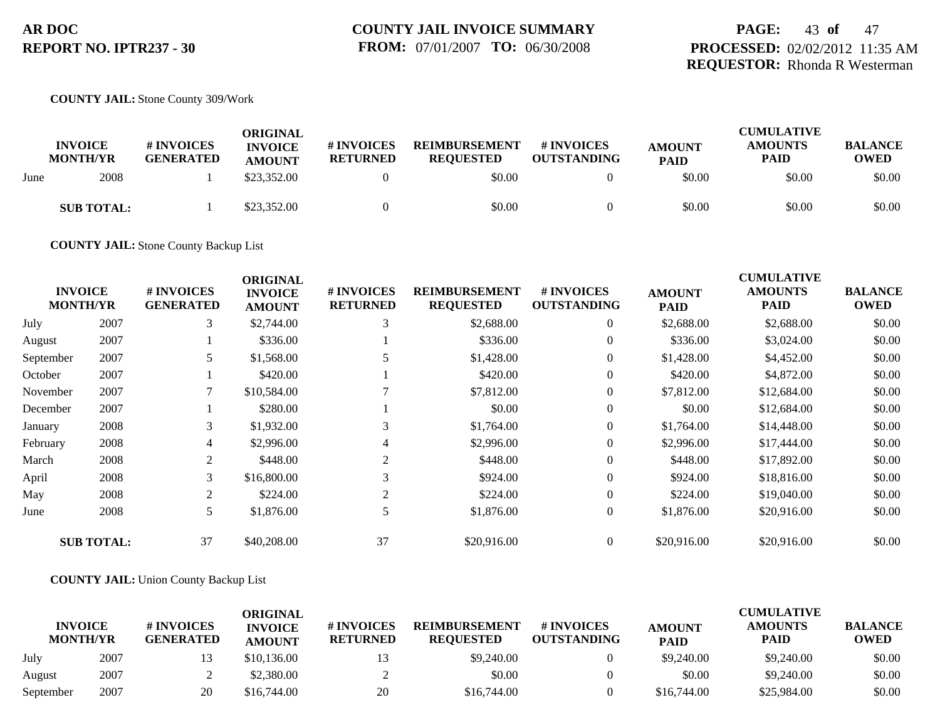### **PAGE:** 43 **of** 47 **PROCESSED:** 02/02/2012 11:35 AM **REQUESTOR:** Rhonda R Westerman

#### **COUNTY JAIL:** Stone County 309/Work

|      | <b>INVOICE</b><br><b>MONTH/YR</b> | # INVOICES<br><b>GENERATED</b> | ORIGINAL<br><b>INVOICE</b><br><b>AMOUNT</b> | # INVOICES<br><b>RETURNED</b> | <b>REIMBURSEMENT</b><br><b>REQUESTED</b> | # INVOICES<br><b>OUTSTANDING</b> | <b>AMOUNT</b><br><b>PAID</b> | <b>CUMULATIVE</b><br><b>AMOUNTS</b><br><b>PAID</b> | <b>BALANCE</b><br><b>OWED</b> |
|------|-----------------------------------|--------------------------------|---------------------------------------------|-------------------------------|------------------------------------------|----------------------------------|------------------------------|----------------------------------------------------|-------------------------------|
| June | 2008                              |                                | \$23,352.00                                 |                               | \$0.00                                   |                                  | \$0.00                       | \$0.00                                             | \$0.00                        |
|      | <b>SUB TOTAL:</b>                 |                                | \$23,352.00                                 |                               | \$0.00                                   |                                  | \$0.00                       | \$0.00                                             | \$0.00                        |

**COUNTY JAIL:** Stone County Backup List

|           | <b>INVOICE</b><br><b>MONTH/YR</b> | # INVOICES<br><b>GENERATED</b> | <b>ORIGINAL</b><br><b>INVOICE</b><br><b>AMOUNT</b> | # INVOICES<br><b>RETURNED</b> | <b>REIMBURSEMENT</b><br><b>REQUESTED</b> | # INVOICES<br><b>OUTSTANDING</b> | <b>AMOUNT</b><br><b>PAID</b> | <b>CUMULATIVE</b><br><b>AMOUNTS</b><br><b>PAID</b> | <b>BALANCE</b><br><b>OWED</b> |
|-----------|-----------------------------------|--------------------------------|----------------------------------------------------|-------------------------------|------------------------------------------|----------------------------------|------------------------------|----------------------------------------------------|-------------------------------|
| July      | 2007                              | 3                              | \$2,744.00                                         | 3                             | \$2,688.00                               | $\overline{0}$                   | \$2,688.00                   | \$2,688.00                                         | \$0.00                        |
| August    | 2007                              |                                | \$336.00                                           |                               | \$336.00                                 | $\overline{0}$                   | \$336.00                     | \$3,024.00                                         | \$0.00                        |
| September | 2007                              | 5                              | \$1,568.00                                         |                               | \$1,428.00                               | $\overline{0}$                   | \$1,428.00                   | \$4,452.00                                         | \$0.00                        |
| October   | 2007                              |                                | \$420.00                                           |                               | \$420.00                                 | $\boldsymbol{0}$                 | \$420.00                     | \$4,872.00                                         | \$0.00                        |
| November  | 2007                              |                                | \$10,584.00                                        |                               | \$7,812.00                               | $\overline{0}$                   | \$7,812.00                   | \$12,684.00                                        | \$0.00                        |
| December  | 2007                              |                                | \$280.00                                           |                               | \$0.00                                   | $\overline{0}$                   | \$0.00                       | \$12,684.00                                        | \$0.00                        |
| January   | 2008                              | 3                              | \$1,932.00                                         | 3                             | \$1,764.00                               | $\boldsymbol{0}$                 | \$1,764.00                   | \$14,448.00                                        | \$0.00                        |
| February  | 2008                              | 4                              | \$2,996.00                                         | 4                             | \$2,996.00                               | $\overline{0}$                   | \$2,996.00                   | \$17,444.00                                        | \$0.00                        |
| March     | 2008                              | 2                              | \$448.00                                           | 2                             | \$448.00                                 | $\overline{0}$                   | \$448.00                     | \$17,892.00                                        | \$0.00                        |
| April     | 2008                              | 3                              | \$16,800.00                                        |                               | \$924.00                                 | $\overline{0}$                   | \$924.00                     | \$18,816.00                                        | \$0.00                        |
| May       | 2008                              | 2                              | \$224.00                                           | 2                             | \$224.00                                 | $\overline{0}$                   | \$224.00                     | \$19,040.00                                        | \$0.00                        |
| June      | 2008                              | 5                              | \$1,876.00                                         | 5                             | \$1,876.00                               | $\overline{0}$                   | \$1,876.00                   | \$20,916.00                                        | \$0.00                        |
|           | <b>SUB TOTAL:</b>                 | 37                             | \$40,208.00                                        | 37                            | \$20,916.00                              | $\overline{0}$                   | \$20,916.00                  | \$20,916.00                                        | \$0.00                        |

#### **COUNTY JAIL:** Union County Backup List

|                                   |      |                                       | ORIGINAL                        |                               |                                          |                                  |                              | CUMULATIVE                    |                               |
|-----------------------------------|------|---------------------------------------|---------------------------------|-------------------------------|------------------------------------------|----------------------------------|------------------------------|-------------------------------|-------------------------------|
| <b>INVOICE</b><br><b>MONTH/YR</b> |      | <b># INVOICES</b><br><b>GENERATED</b> | <b>INVOICE</b><br><b>AMOUNT</b> | # INVOICES<br><b>RETURNED</b> | <b>REIMBURSEMENT</b><br><b>REOUESTED</b> | # INVOICES<br><b>OUTSTANDING</b> | <b>AMOUNT</b><br><b>PAID</b> | <b>AMOUNTS</b><br><b>PAID</b> | <b>BALANCE</b><br><b>OWED</b> |
| July                              | 2007 |                                       | \$10,136.00                     |                               | \$9,240.00                               |                                  | \$9,240.00                   | \$9,240.00                    | \$0.00                        |
| August                            | 2007 |                                       | \$2,380.00                      |                               | \$0.00                                   |                                  | \$0.00                       | \$9,240.00                    | \$0.00                        |
| September                         | 2007 | 20                                    | \$16,744.00                     | 20                            | \$16,744.00                              |                                  | \$16,744.00                  | \$25,984.00                   | \$0.00                        |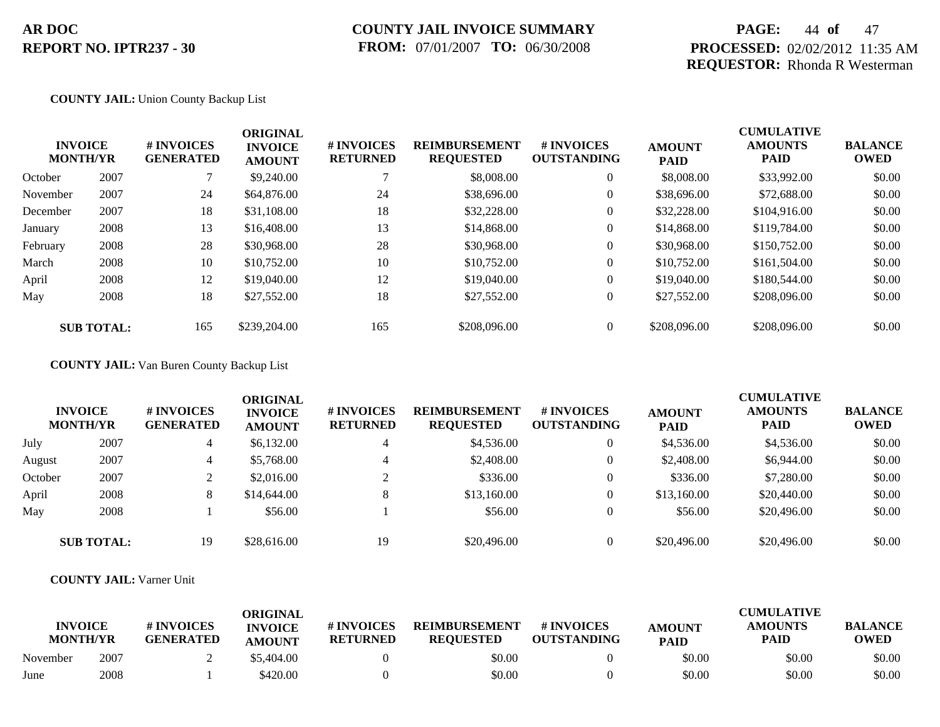### **COUNTY JAIL INVOICE SUMMARY FROM:** 07/01/2007 **TO:** 06/30/2008

### **PAGE:** 44 **of** 47 **PROCESSED:** 02/02/2012 11:35 AM **REQUESTOR:** Rhonda R Westerman

#### **COUNTY JAIL:** Union County Backup List

| <b>INVOICE</b><br><b>MONTH/YR</b> |      | # INVOICES<br><b>GENERATED</b> | <b>ORIGINAL</b><br><b>INVOICE</b><br><b>AMOUNT</b> | # INVOICES<br><b>RETURNED</b> | <b>REIMBURSEMENT</b><br><b>REQUESTED</b> | <b>#INVOICES</b><br><b>OUTSTANDING</b> | <b>AMOUNT</b><br><b>PAID</b> | <b>CUMULATIVE</b><br><b>AMOUNTS</b><br><b>PAID</b> | <b>BALANCE</b><br><b>OWED</b> |
|-----------------------------------|------|--------------------------------|----------------------------------------------------|-------------------------------|------------------------------------------|----------------------------------------|------------------------------|----------------------------------------------------|-------------------------------|
| October                           | 2007 |                                | \$9,240.00                                         |                               | \$8,008.00                               | $\overline{0}$                         | \$8,008.00                   | \$33,992.00                                        | \$0.00                        |
| November                          | 2007 | 24                             | \$64,876.00                                        | 24                            | \$38,696.00                              | $\overline{0}$                         | \$38,696.00                  | \$72,688.00                                        | \$0.00                        |
| December                          | 2007 | 18                             | \$31,108.00                                        | 18                            | \$32,228.00                              | $\theta$                               | \$32,228.00                  | \$104,916.00                                       | \$0.00                        |
| January                           | 2008 | 13                             | \$16,408.00                                        | 13                            | \$14,868.00                              | $\overline{0}$                         | \$14,868,00                  | \$119,784.00                                       | \$0.00                        |
| February                          | 2008 | 28                             | \$30,968.00                                        | 28                            | \$30,968,00                              | $\theta$                               | \$30,968.00                  | \$150,752.00                                       | \$0.00                        |
| March                             | 2008 | 10                             | \$10,752.00                                        | 10                            | \$10,752.00                              | $\theta$                               | \$10,752.00                  | \$161,504.00                                       | \$0.00                        |
| April                             | 2008 | 12                             | \$19,040.00                                        | 12                            | \$19,040.00                              | $\boldsymbol{0}$                       | \$19,040.00                  | \$180,544.00                                       | \$0.00                        |
| May                               | 2008 | 18                             | \$27,552.00                                        | 18                            | \$27,552.00                              | $\overline{0}$                         | \$27,552.00                  | \$208,096.00                                       | \$0.00                        |
| <b>SUB TOTAL:</b>                 |      | 165                            | \$239,204.00                                       | 165                           | \$208,096.00                             | $\theta$                               | \$208,096.00                 | \$208,096.00                                       | \$0.00                        |

### **COUNTY JAIL:** Van Buren County Backup List

| <b>INVOICE</b><br><b>MONTH/YR</b> |                   | <b>#INVOICES</b><br><b>GENERATED</b> | <b>ORIGINAL</b><br><b>INVOICE</b><br><b>AMOUNT</b> | # INVOICES<br><b>RETURNED</b> | <b>REIMBURSEMENT</b><br><b>REQUESTED</b> | # INVOICES<br><b>OUTSTANDING</b> | <b>AMOUNT</b><br><b>PAID</b> | <b>CUMULATIVE</b><br><b>AMOUNTS</b><br><b>PAID</b> | <b>BALANCE</b><br><b>OWED</b> |
|-----------------------------------|-------------------|--------------------------------------|----------------------------------------------------|-------------------------------|------------------------------------------|----------------------------------|------------------------------|----------------------------------------------------|-------------------------------|
| July                              | 2007              | 4                                    | \$6,132.00                                         | 4                             | \$4,536.00                               | $\theta$                         | \$4,536.00                   | \$4,536.00                                         | \$0.00                        |
| August                            | 2007              | 4                                    | \$5,768.00                                         | $\overline{4}$                | \$2,408.00                               | $\theta$                         | \$2,408.00                   | \$6,944.00                                         | \$0.00                        |
| October                           | 2007              |                                      | \$2,016.00                                         | $\bigcap$                     | \$336.00                                 | $\theta$                         | \$336.00                     | \$7,280.00                                         | \$0.00                        |
| April                             | 2008              | 8                                    | \$14,644.00                                        | 8                             | \$13,160.00                              | $\theta$                         | \$13,160.00                  | \$20,440.00                                        | \$0.00                        |
| May                               | 2008              |                                      | \$56.00                                            |                               | \$56.00                                  | $\theta$                         | \$56.00                      | \$20,496.00                                        | \$0.00                        |
|                                   | <b>SUB TOTAL:</b> | 19                                   | \$28,616.00                                        | 19                            | \$20,496.00                              | $\theta$                         | \$20,496.00                  | \$20,496.00                                        | \$0.00                        |

#### **COUNTY JAIL:** Varner Unit

|                                   |      |                                | ORIGINAL                        |                               |                                          |                                  | <b>CUMULATIVE</b>            |                               |                               |  |
|-----------------------------------|------|--------------------------------|---------------------------------|-------------------------------|------------------------------------------|----------------------------------|------------------------------|-------------------------------|-------------------------------|--|
| <b>INVOICE</b><br><b>MONTH/YR</b> |      | # INVOICES<br><b>GENERATED</b> | <b>INVOICE</b><br><b>AMOUNT</b> | # INVOICES<br><b>RETURNED</b> | <b>REIMBURSEMENT</b><br><b>REOUESTED</b> | # INVOICES<br><b>OUTSTANDING</b> | <b>AMOUNT</b><br><b>PAID</b> | <b>AMOUNTS</b><br><b>PAID</b> | <b>BALANCE</b><br><b>OWED</b> |  |
| November                          | 2007 |                                | \$5,404.00                      |                               | \$0.00                                   |                                  | \$0.00                       | \$0.00                        | \$0.00                        |  |
| June                              | 2008 |                                | \$420.00                        |                               | \$0.00                                   |                                  | \$0.00                       | \$0.00                        | \$0.00                        |  |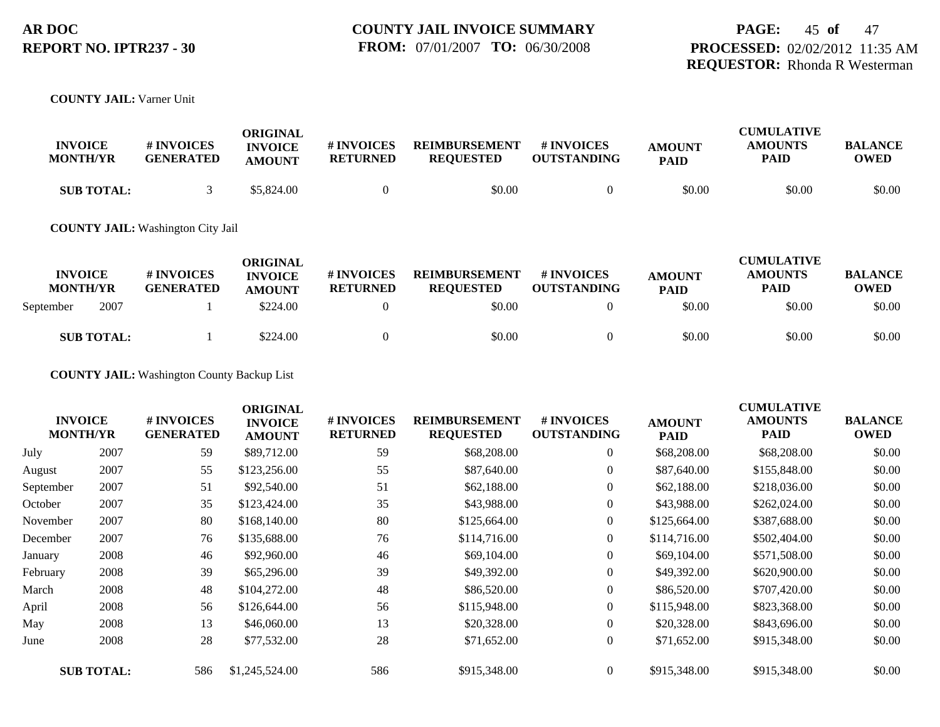**COUNTY JAIL:** Varner Unit

| <b>INVOICE</b><br><b>MONTH/YR</b> | <b># INVOICES</b><br><b>GENERATED</b> | ORIGINAL<br><b>INVOICE</b><br><b>AMOUNT</b> | # INVOICES<br><b>RETURNED</b> | <b>REIMBURSEMENT</b><br><b>REOUESTED</b> | <b>#INVOICES</b><br><b>OUTSTANDING</b> | <b>AMOUNT</b><br><b>PAID</b> | <b>CUMULATIVE</b><br><b>AMOUNTS</b><br>PAID | <b>BALANCE</b><br><b>OWED</b> |
|-----------------------------------|---------------------------------------|---------------------------------------------|-------------------------------|------------------------------------------|----------------------------------------|------------------------------|---------------------------------------------|-------------------------------|
| <b>SUB TOTAL:</b>                 |                                       | \$5,824.00                                  |                               | \$0.00                                   |                                        | \$0.00                       | \$0.00                                      | \$0.00                        |

#### **COUNTY JAIL:** Washington City Jail

| <b>INVOICE</b><br><b>MONTH/YR</b> |                   | <b>#INVOICES</b><br><b>GENERATED</b> | ORIGINAL<br><b>INVOICE</b><br><b>AMOUNT</b> | # INVOICES<br><b>RETURNED</b> | <b>REIMBURSEMENT</b><br><b>REQUESTED</b> | # INVOICES<br><b>OUTSTANDING</b> | <b>AMOUNT</b><br><b>PAID</b> | <b>CUMULATIVE</b><br><b>AMOUNTS</b><br><b>PAID</b> | <b>BALANCE</b><br>OWED |
|-----------------------------------|-------------------|--------------------------------------|---------------------------------------------|-------------------------------|------------------------------------------|----------------------------------|------------------------------|----------------------------------------------------|------------------------|
| September                         | 2007              |                                      | \$224.00                                    |                               | \$0.00                                   |                                  | \$0.00                       | \$0.00                                             | \$0.00                 |
|                                   | <b>SUB TOTAL:</b> |                                      | \$224.00                                    |                               | \$0.00                                   |                                  | \$0.00                       | \$0.00                                             | \$0.00                 |

**COUNTY JAIL:** Washington County Backup List

|           | <b>INVOICE</b><br><b>MONTH/YR</b> | <b># INVOICES</b><br><b>GENERATED</b> | <b>ORIGINAL</b><br><b>INVOICE</b><br><b>AMOUNT</b> | # INVOICES<br><b>RETURNED</b> | <b>REIMBURSEMENT</b><br><b>REQUESTED</b> | # INVOICES<br><b>OUTSTANDING</b> | <b>AMOUNT</b><br><b>PAID</b> | <b>CUMULATIVE</b><br><b>AMOUNTS</b><br>PAID | <b>BALANCE</b><br><b>OWED</b> |
|-----------|-----------------------------------|---------------------------------------|----------------------------------------------------|-------------------------------|------------------------------------------|----------------------------------|------------------------------|---------------------------------------------|-------------------------------|
| July      | 2007                              | 59                                    | \$89,712.00                                        | 59                            | \$68,208.00                              | 0                                | \$68,208.00                  | \$68,208.00                                 | \$0.00                        |
| August    | 2007                              | 55                                    | \$123,256.00                                       | 55                            | \$87,640.00                              | $\boldsymbol{0}$                 | \$87,640.00                  | \$155,848.00                                | \$0.00                        |
| September | 2007                              | 51                                    | \$92,540.00                                        | 51                            | \$62,188.00                              | $\overline{0}$                   | \$62,188.00                  | \$218,036.00                                | \$0.00                        |
| October   | 2007                              | 35                                    | \$123,424.00                                       | 35                            | \$43,988.00                              | $\boldsymbol{0}$                 | \$43,988.00                  | \$262,024.00                                | \$0.00                        |
| November  | 2007                              | 80                                    | \$168,140.00                                       | 80                            | \$125,664.00                             | $\overline{0}$                   | \$125,664.00                 | \$387,688.00                                | \$0.00                        |
| December  | 2007                              | 76                                    | \$135,688.00                                       | 76                            | \$114,716.00                             | $\overline{0}$                   | \$114,716.00                 | \$502,404.00                                | \$0.00                        |
| January   | 2008                              | 46                                    | \$92,960.00                                        | 46                            | \$69,104.00                              | $\boldsymbol{0}$                 | \$69,104.00                  | \$571,508.00                                | \$0.00                        |
| February  | 2008                              | 39                                    | \$65,296.00                                        | 39                            | \$49,392.00                              | $\overline{0}$                   | \$49,392.00                  | \$620,900.00                                | \$0.00                        |
| March     | 2008                              | 48                                    | \$104,272.00                                       | 48                            | \$86,520.00                              | $\overline{0}$                   | \$86,520.00                  | \$707,420.00                                | \$0.00                        |
| April     | 2008                              | 56                                    | \$126,644.00                                       | 56                            | \$115,948.00                             | $\overline{0}$                   | \$115,948.00                 | \$823,368.00                                | \$0.00                        |
| May       | 2008                              | 13                                    | \$46,060.00                                        | 13                            | \$20,328.00                              | $\overline{0}$                   | \$20,328.00                  | \$843,696.00                                | \$0.00                        |
| June      | 2008                              | 28                                    | \$77,532.00                                        | 28                            | \$71,652.00                              | $\overline{0}$                   | \$71,652.00                  | \$915,348.00                                | \$0.00                        |
|           | <b>SUB TOTAL:</b>                 | 586                                   | \$1,245,524.00                                     | 586                           | \$915,348.00                             | $\overline{0}$                   | \$915,348.00                 | \$915,348.00                                | \$0.00                        |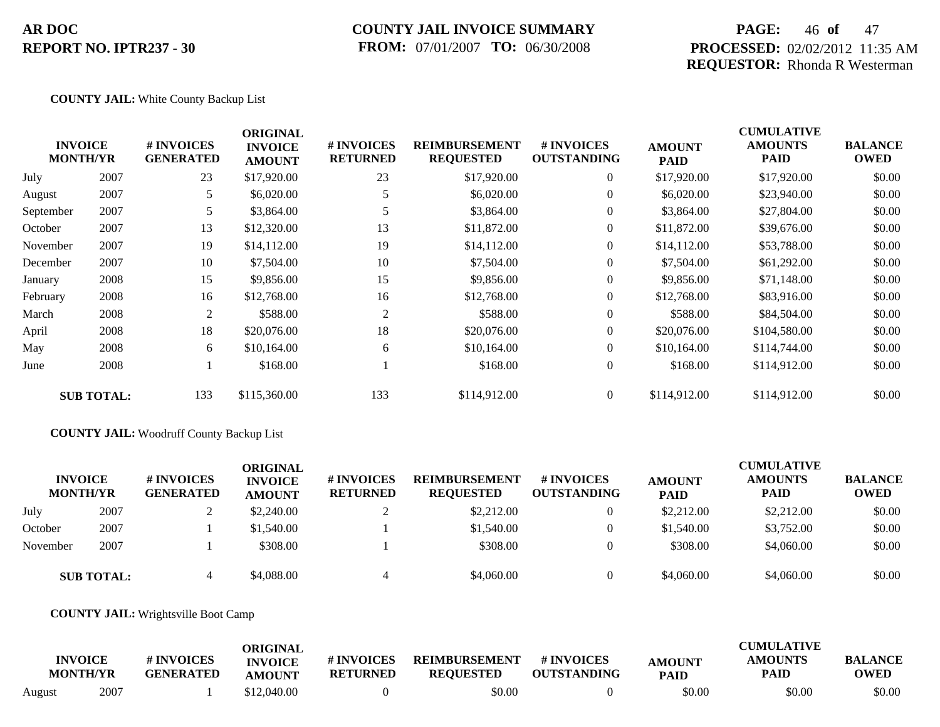### **COUNTY JAIL INVOICE SUMMARY FROM:** 07/01/2007 **TO:** 06/30/2008

### **PAGE:** 46 **of** 47 **PROCESSED:** 02/02/2012 11:35 AM **REQUESTOR:** Rhonda R Westerman

#### **COUNTY JAIL:** White County Backup List

| \$0.00<br>\$0.00 |
|------------------|
|                  |
|                  |
| \$0.00           |
| \$0.00           |
| \$0.00           |
| \$0.00           |
| \$0.00           |
| \$0.00           |
| \$0.00           |
| \$0.00           |
| \$0.00           |
| \$0.00           |
| \$0.00           |
|                  |

#### **COUNTY JAIL:** Woodruff County Backup List

| <b>INVOICE</b><br><b>MONTH/YR</b> |      | # INVOICES<br><b>GENERATED</b> | ORIGINAL<br><b>INVOICE</b><br><b>AMOUNT</b> | # INVOICES<br><b>RETURNED</b> | <b>REIMBURSEMENT</b><br><b>REQUESTED</b> | <b>#INVOICES</b><br><b>OUTSTANDING</b> | <b>AMOUNT</b><br><b>PAID</b> | <b>CUMULATIVE</b><br><b>AMOUNTS</b><br><b>PAID</b> | <b>BALANCE</b><br><b>OWED</b> |
|-----------------------------------|------|--------------------------------|---------------------------------------------|-------------------------------|------------------------------------------|----------------------------------------|------------------------------|----------------------------------------------------|-------------------------------|
| July                              | 2007 |                                | \$2,240.00                                  |                               | \$2,212.00                               |                                        | \$2,212.00                   | \$2,212.00                                         | \$0.00                        |
| October                           | 2007 |                                | \$1,540.00                                  |                               | \$1,540.00                               | $\Omega$                               | \$1,540.00                   | \$3,752.00                                         | \$0.00                        |
| November                          | 2007 |                                | \$308.00                                    |                               | \$308.00                                 |                                        | \$308.00                     | \$4,060.00                                         | \$0.00                        |
| <b>SUB TOTAL:</b>                 |      |                                | \$4,088.00                                  |                               | \$4,060.00                               |                                        | \$4,060.00                   | \$4,060.00                                         | \$0.00                        |

#### **COUNTY JAIL:** Wrightsville Boot Camp

|        | <b>INVOICE</b><br><b>MONTH/YR</b> | # INVOICES<br><b>GENERATED</b> | ORIGINAL<br><b>INVOICE</b><br><b>AMOUNT</b> | <b>#INVOICES</b><br><b>RETURNED</b> | <b>REIMBURSEMENT</b><br><b>REQUESTED</b> | # INVOICES<br><b>OUTSTANDING</b> | <b>AMOUNT</b><br><b>PAID</b> | <b>CUMULATIVE</b><br>AMOUNTS<br>PAID | <b>BALANCE</b><br><b>OWED</b> |
|--------|-----------------------------------|--------------------------------|---------------------------------------------|-------------------------------------|------------------------------------------|----------------------------------|------------------------------|--------------------------------------|-------------------------------|
| August | 2007                              |                                | \$12,040.00                                 |                                     | \$0.00                                   |                                  | \$0.00                       | \$0.00                               | \$0.00                        |